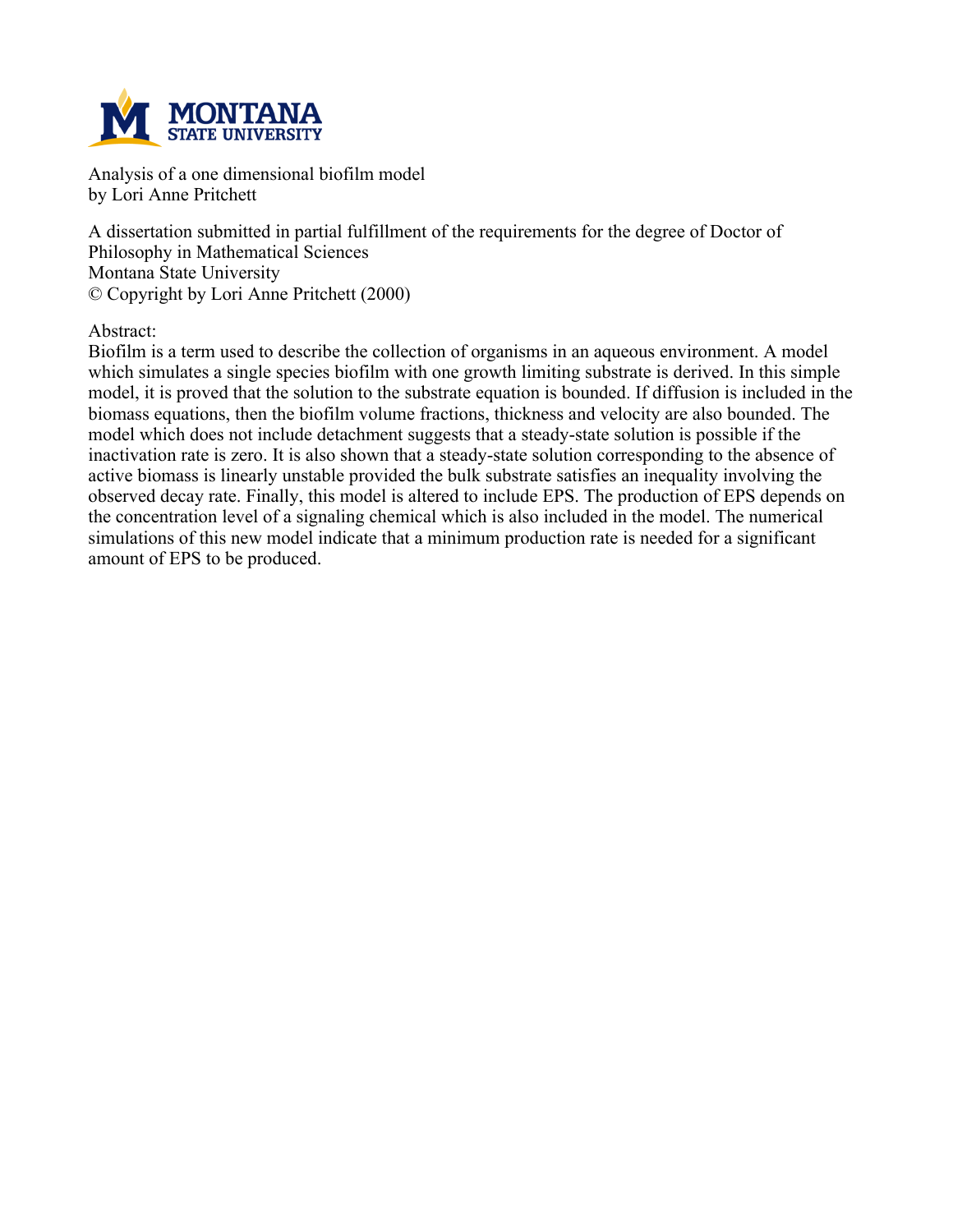

**Analysis of a one dimensional biofilm model by Lori Anne Pritchett**

**A dissertation submitted in partial fulfillment of the requirements for the degree of Doctor of Philosophy in Mathematical Sciences Montana State University © Copyright by Lori Anne Pritchett (2000)**

**Abstract:**

**Biofilm is a term used to describe the collection of organisms in an aqueous environment. A model which simulates a single species biofilm with one growth limiting substrate is derived. In this simple** model, it is proved that the solution to the substrate equation is bounded. If diffusion is included in the **biomass equations, then the biofilm volume fractions, thickness and velocity are also bounded. The model which does not include detachment suggests that a steady-state solution is possible if the inactivation rate is zero. It is also shown that a steady-state solution corresponding to the absence of active biomass is linearly unstable provided the bulk substrate satisfies an inequality involving the observed decay rate. Finally, this model is altered to include EPS. The production of EPS depends on the concentration level of a signaling chemical which is also included in the model. The numerical simulations of this new model indicate that a minimum production rate is needed for a significant amount of EPS to be produced.**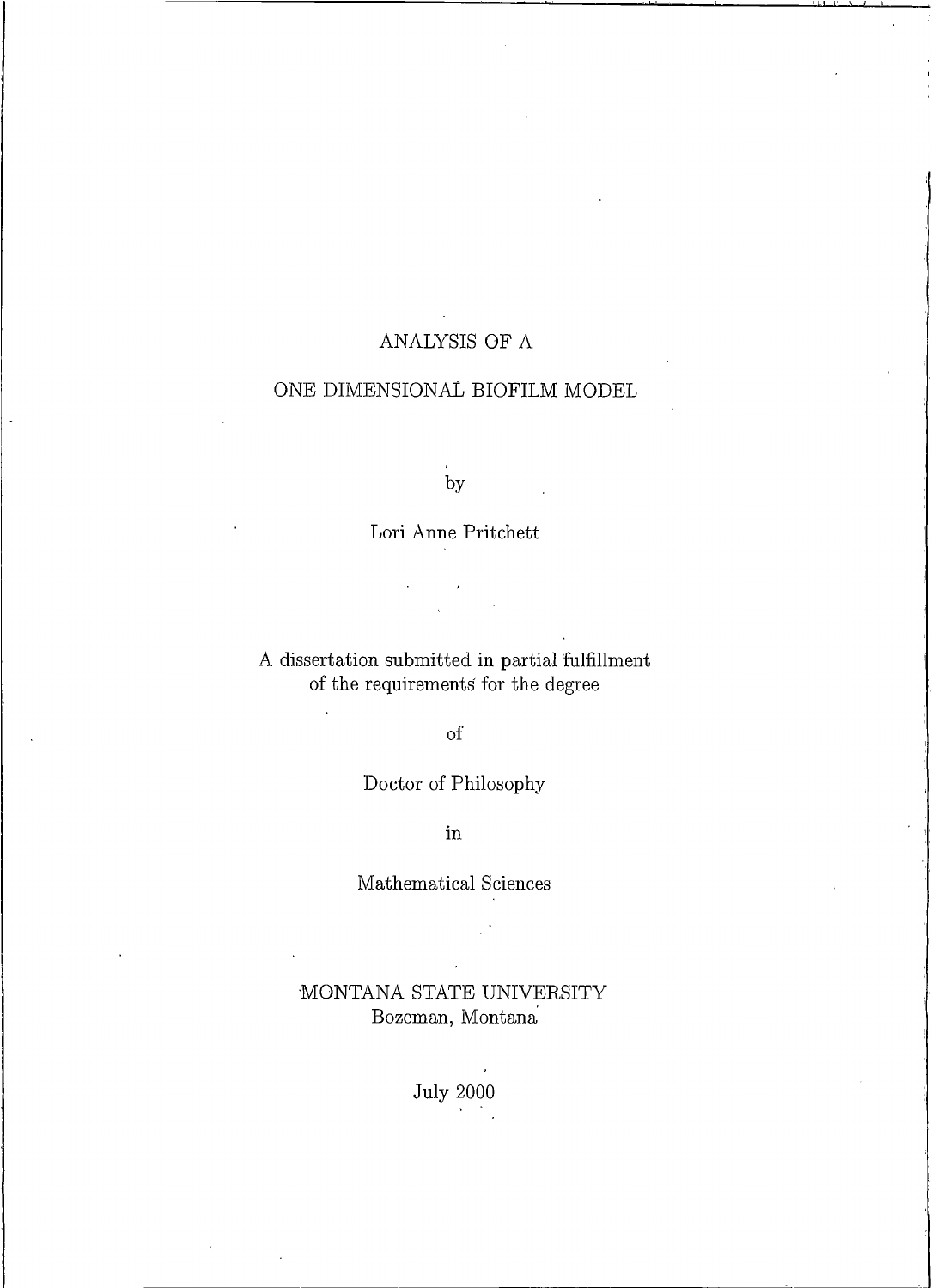# ANALYSIS OF A

# ONE DIMENSIONAL BIOFILM MODEL

by

Lori Anne Pritchett

A dissertation submitted in partial fulfillment of the requirements for the degree

 $% \left( \left( \mathcal{A},\mathcal{A}\right) \right) =\left( \mathcal{A},\mathcal{A}\right)$  of

 $\overline{a}$ 

# Doctor of Philosophy

 $\operatorname{in}$ 

## Mathematical Sciences

# MONTANA STATE UNIVERSITY Bozeman, Montana

July $2000$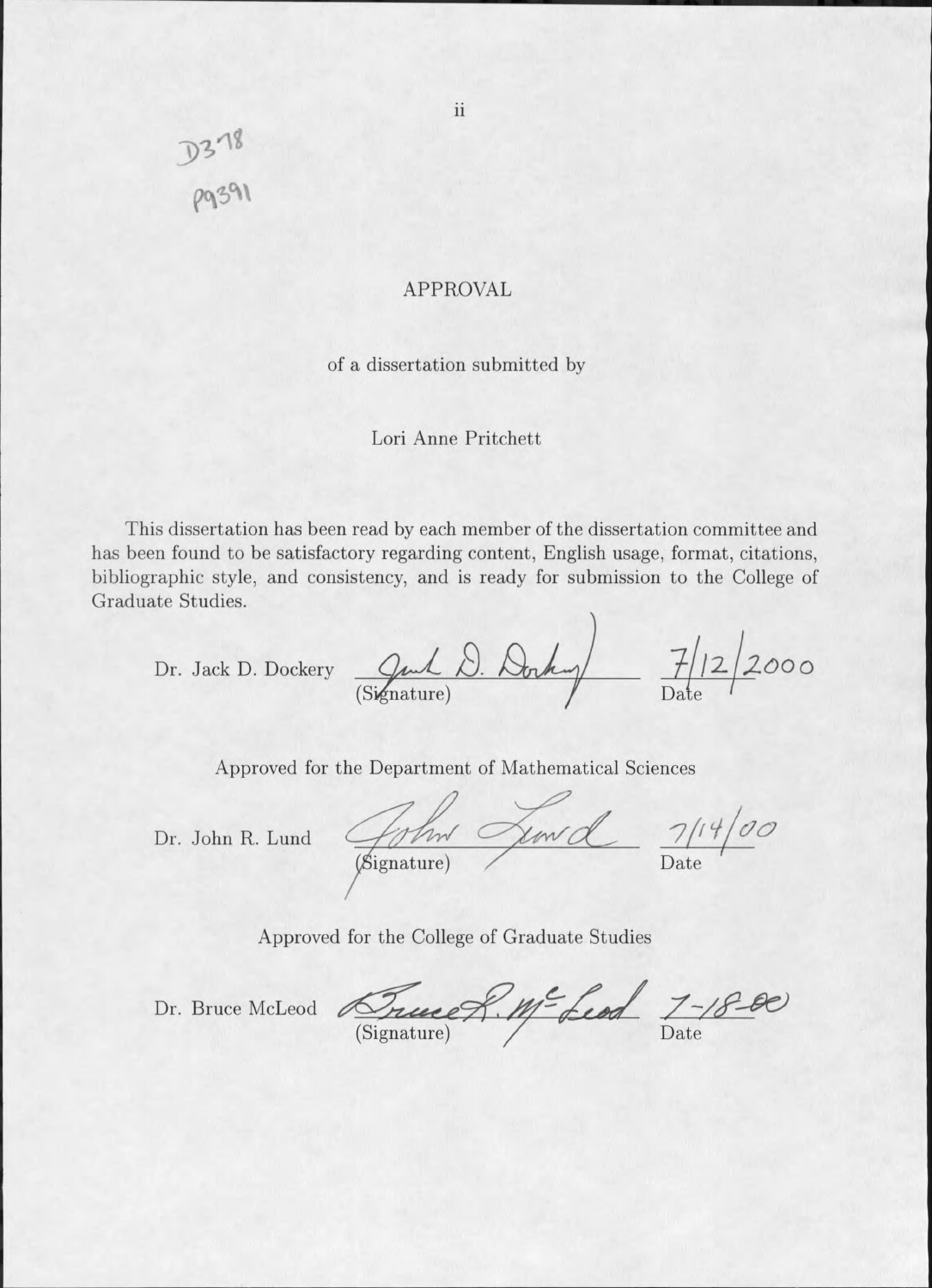D378<br>Pg391

### **APPROVAL**

#### of a dissertation submitted by

#### Lori Anne Pritchett

This dissertation has been read by each member of the dissertation committee and has been found to be satisfactory regarding content, English usage, format, citations, bibliographic style, and consistency, and is ready for submission to the College of Graduate Studies.

Dr. Jack D. Dockery Gut D. Docky 7/12/2000

Approved for the Department of Mathematical Sciences

Dr. John R. Lund

Golm Lewel 7/14/00

Approved for the College of Graduate Studies

Dr. Bruce McLeod True 8. Me Leod 7-18-00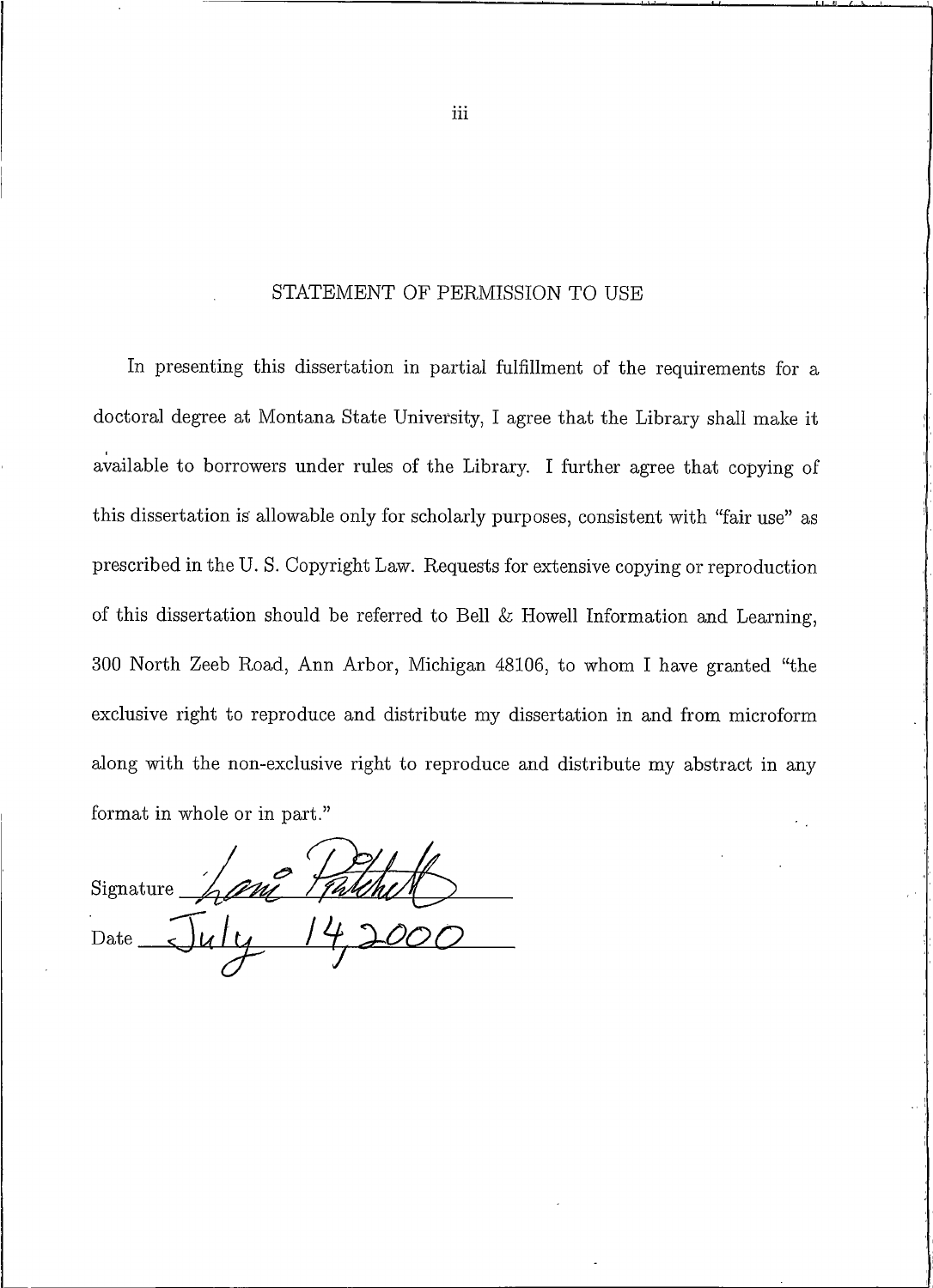#### STATEMENT OF PERMISSION TO USE

In presenting this dissertation in partial fulfillment of the requirements for a doctoral degree at Montana State University, I agree that the Library shall make it available to borrowers under rules of the Library. I further agree that copying of this dissertation is allowable only for scholarly purposes, consistent with "fair use" as prescribed in the U.S. Copyright Law. Requests for extensive copying or reproduction of this dissertation should be referred to Bell & Howell Information and Learning, 300 North Zeeb Road, Ann Arbor, Michigan 48106, to whom I have granted "the exclusive right to reproduce and distribute my dissertation in and from microform along with the non-exclusive right to reproduce and distribute my abstract in any format in whole or in part."

hani Talehet Signature Date

iii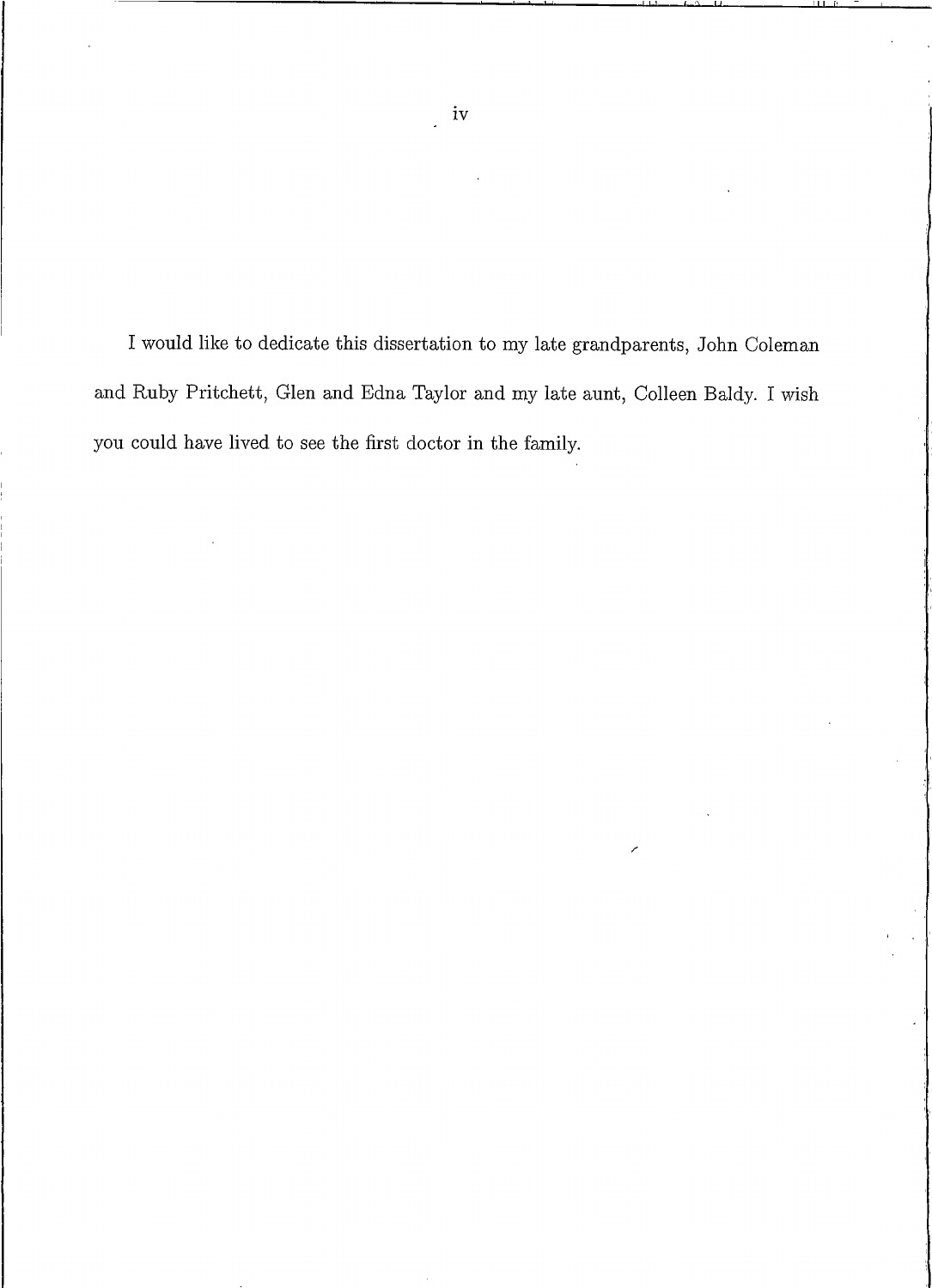I would like to dedicate this dissertation to my late grandparents, John Coleman and Ruby Pritchett, Glen and Edna Taylor and my late aunt, Colleen Baldy. I wish you could have lived to see the first doctor in the family.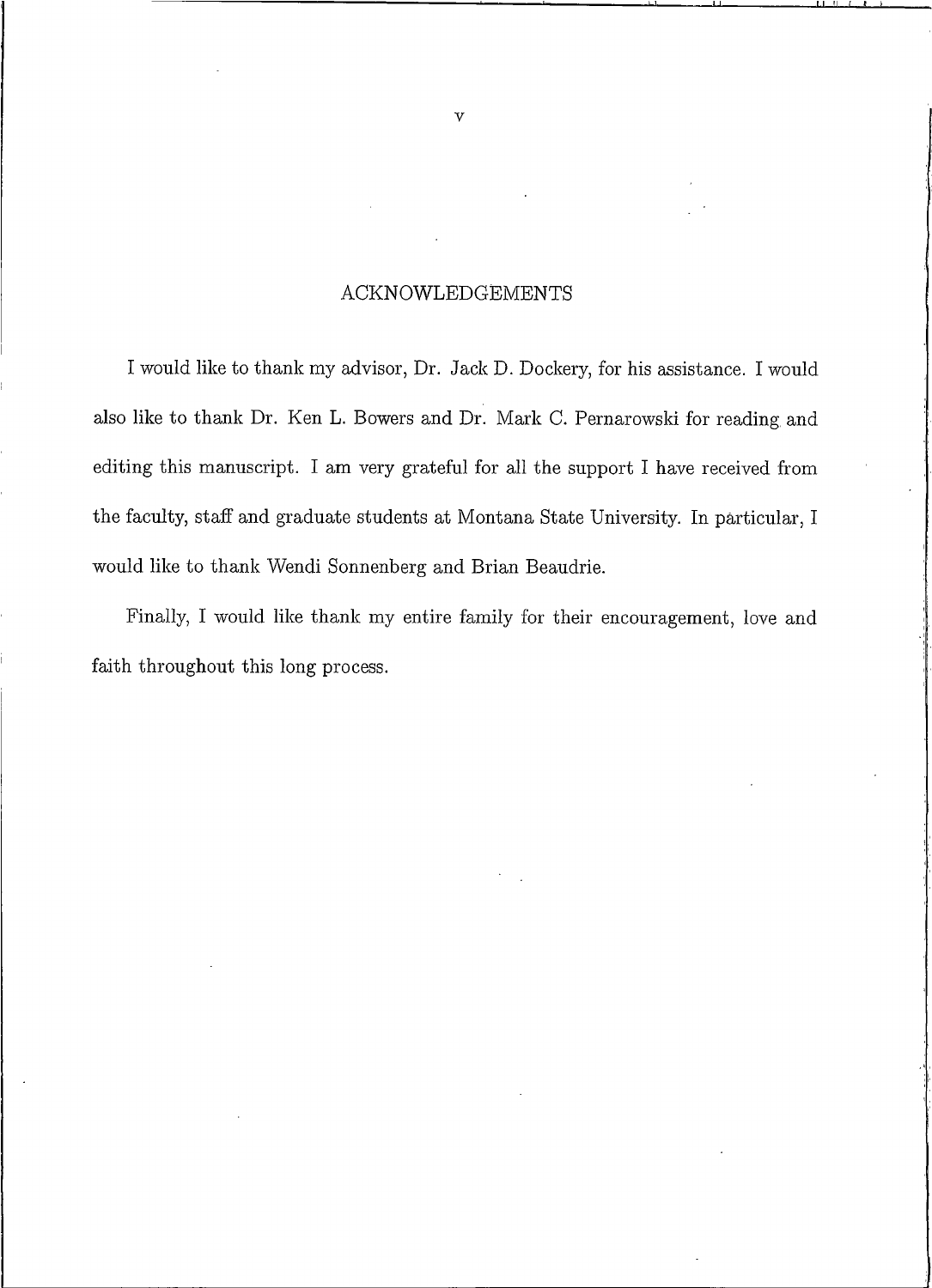### **ACKNOWLEDGEMENTS**

I would like to thank my advisor, Dr. Jack D. Dockery, for his assistance. I would also like to thank Dr. Ken L. Bowers and Dr. Mark C. Pernarowski for reading and editing this manuscript. I am very grateful for all the support I have received from the faculty, staff and graduate students at Montana State University. In particular, I would like to thank Wendi Sonnenberg and Brian Beaudrie.

Finally, I would like thank my entire family for their encouragement, love and faith throughout this long process.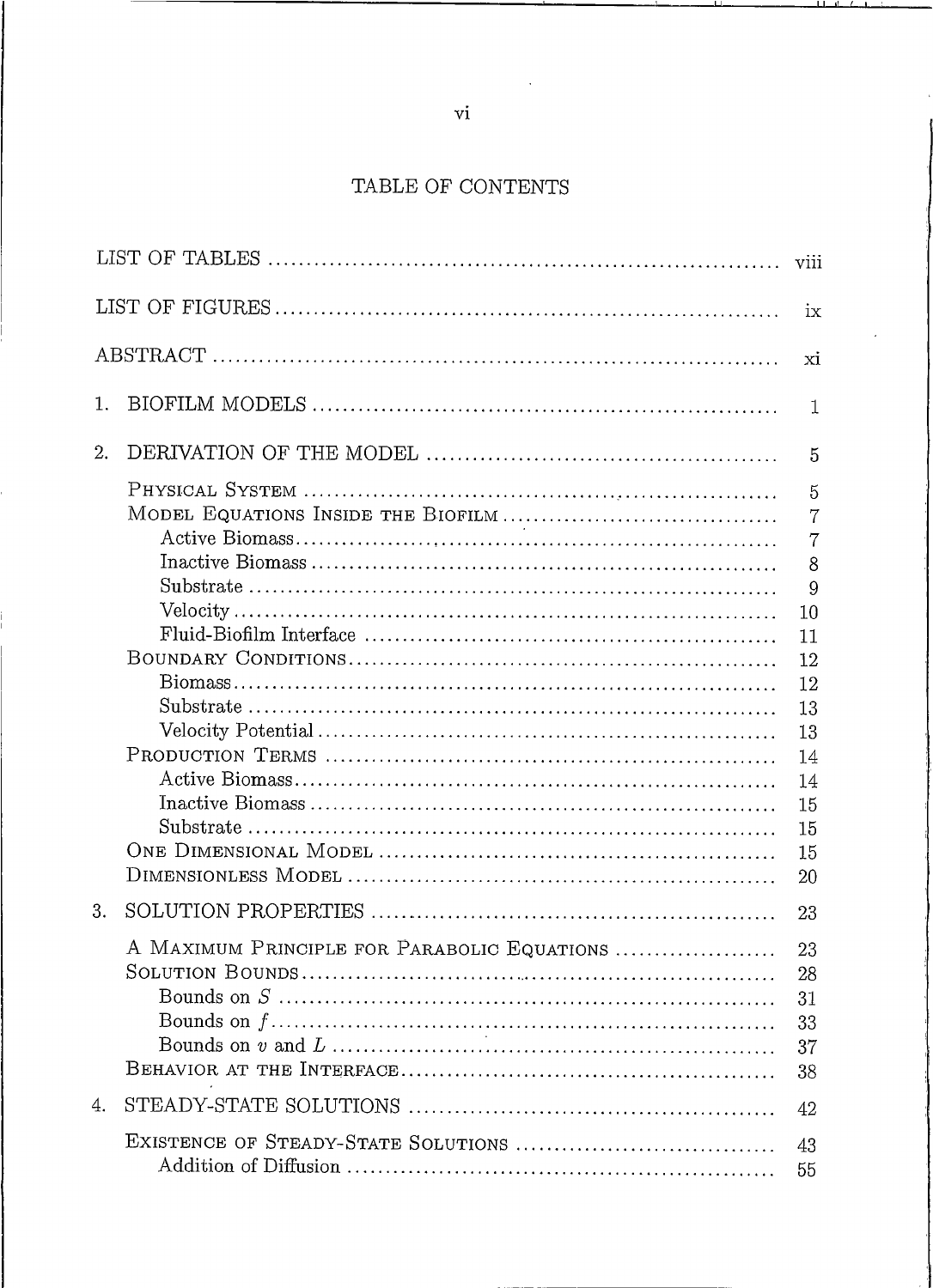## TABLE OF CON

|             | 5  |  |
|-------------|----|--|
|             | -5 |  |
|             |    |  |
|             | -7 |  |
|             |    |  |
|             |    |  |
|             |    |  |
|             |    |  |
|             |    |  |
|             |    |  |
|             |    |  |
|             |    |  |
|             |    |  |
|             |    |  |
|             |    |  |
|             |    |  |
|             |    |  |
|             |    |  |
|             |    |  |
|             |    |  |
|             | 28 |  |
| Bounds on S | 31 |  |
|             |    |  |
|             | 37 |  |
|             | 38 |  |
|             | 42 |  |
|             | 43 |  |
|             |    |  |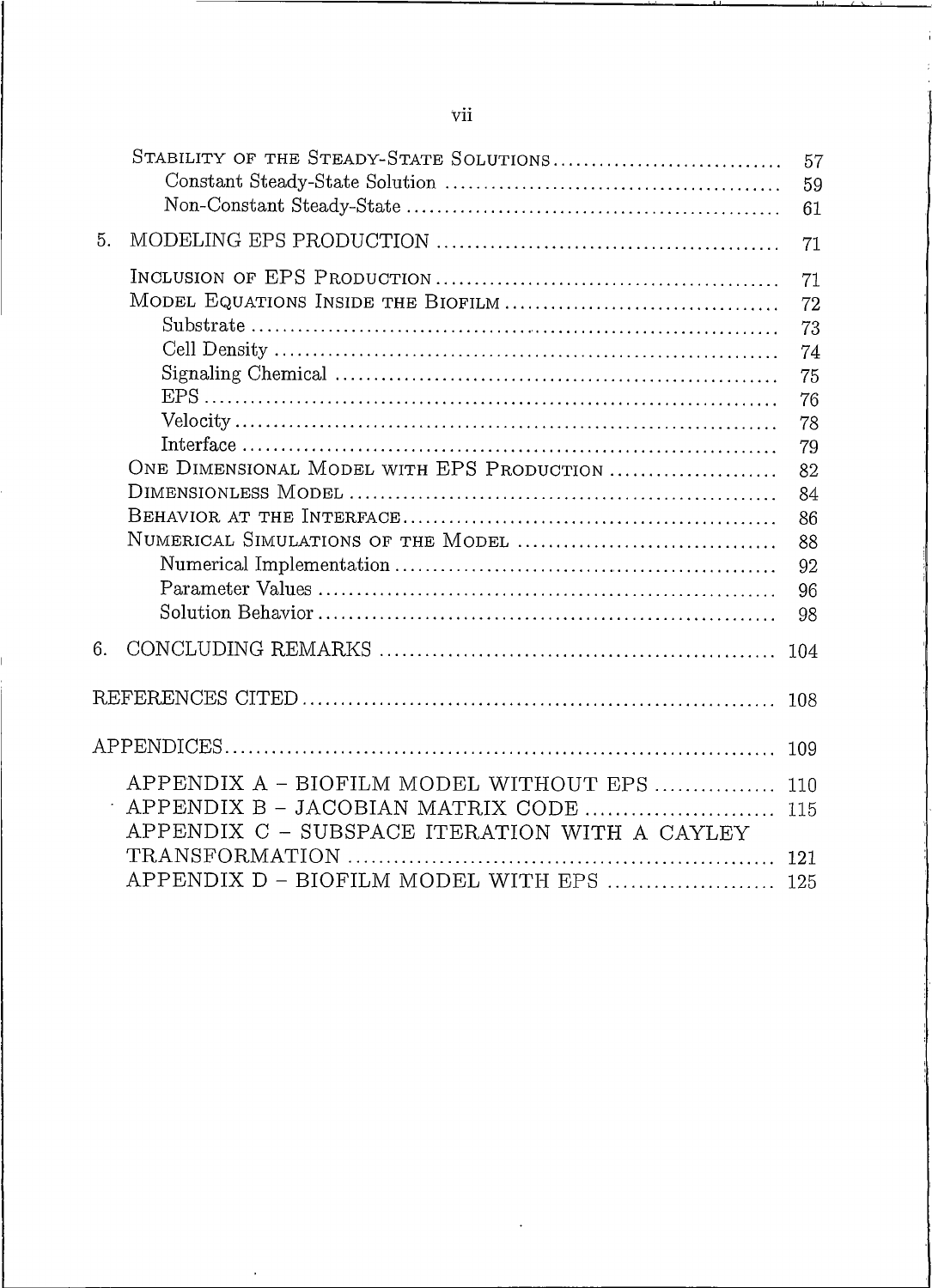|    | STABILITY OF THE STEADY-STATE SOLUTIONS                                                                                      | 57<br>59<br>61                                                                         |
|----|------------------------------------------------------------------------------------------------------------------------------|----------------------------------------------------------------------------------------|
| 5. |                                                                                                                              | 71                                                                                     |
|    | ONE DIMENSIONAL MODEL WITH EPS PRODUCTION<br>NUMERICAL SIMULATIONS OF THE MODEL                                              | 71<br>72<br>73<br>74<br>75<br>76<br>78<br>79<br>82<br>84<br>86<br>88<br>92<br>96<br>98 |
| 6. |                                                                                                                              | 104                                                                                    |
|    |                                                                                                                              | 108                                                                                    |
|    |                                                                                                                              | 109                                                                                    |
|    | APPENDIX A - BIOFILM MODEL WITHOUT EPS<br>APPENDIX B - JACOBIAN MATRIX CODE<br>APPENDIX C - SUBSPACE ITERATION WITH A CAYLEY | 110<br>115                                                                             |
|    | APPENDIX D - BIOFILM MODEL WITH EPS  125                                                                                     | 121                                                                                    |

 $\ddot{\phantom{0}}$ 

 $\cdot$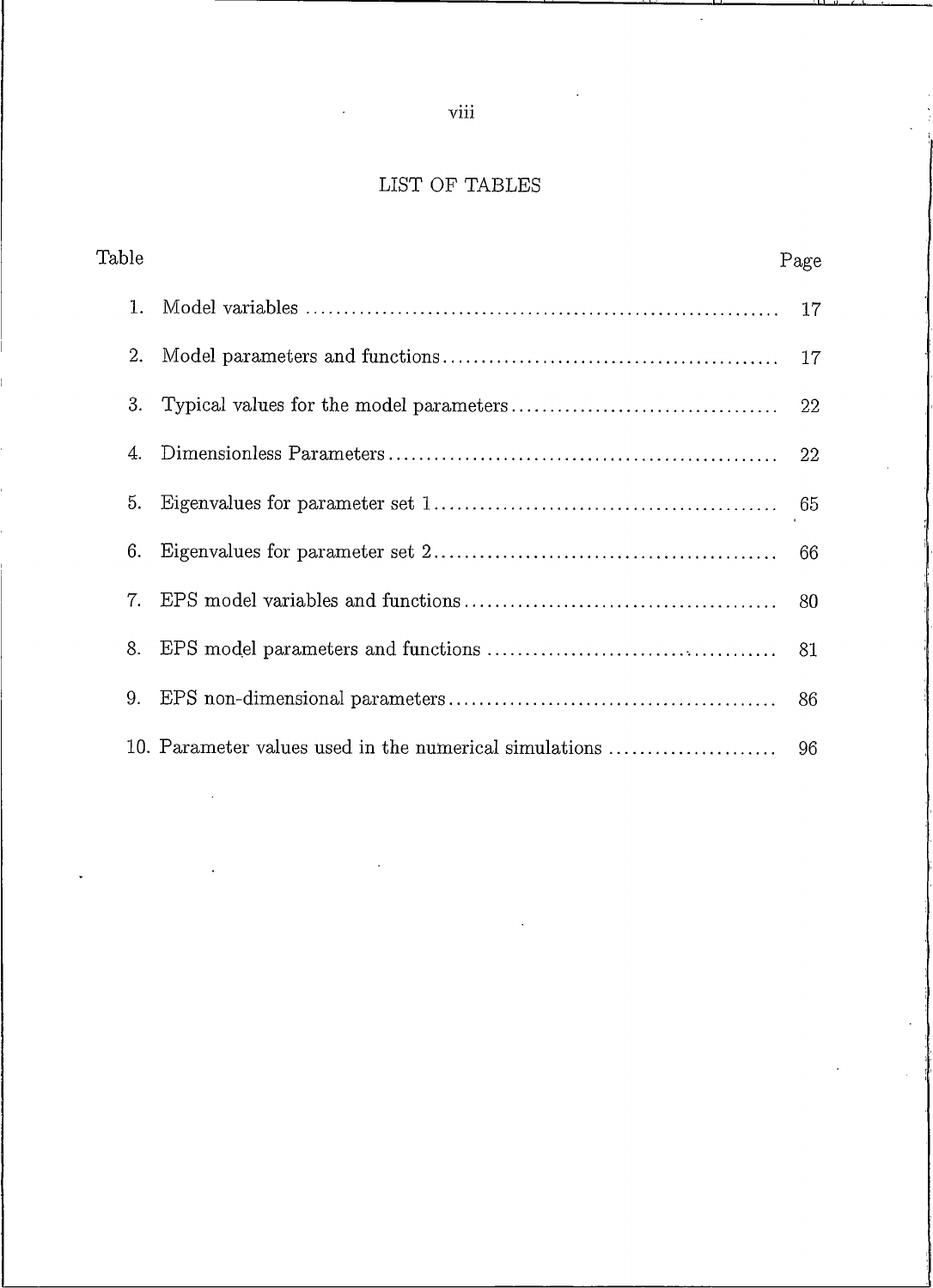# $viii$

 $\ddot{\phantom{a}}$ 

## LIST OF TA

| Page |
|------|
|      |
|      |
|      |
|      |
|      |
|      |
|      |
|      |
|      |
|      |
|      |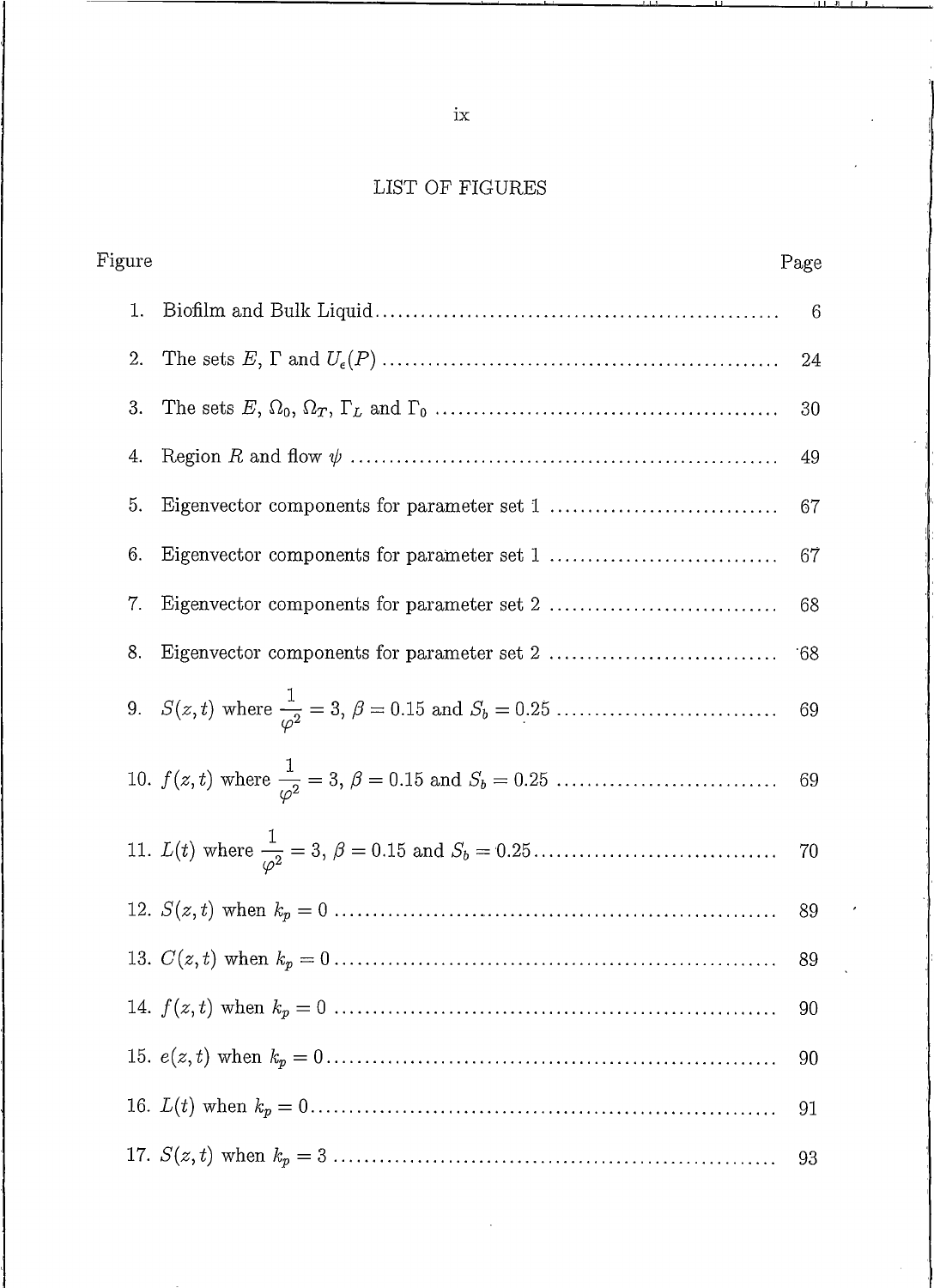# $LIST$  OF FIGURES

| Figure | Page |
|--------|------|
|        | - 6  |
| 2.     |      |
| 3.     | -30  |
| 4.     |      |
| 5.     | 67   |
| 6.     |      |
| 7.     | 68   |
| 8.     |      |
|        |      |
|        |      |
|        |      |
|        |      |
|        |      |
|        |      |
|        | 90   |
|        | 91   |
|        |      |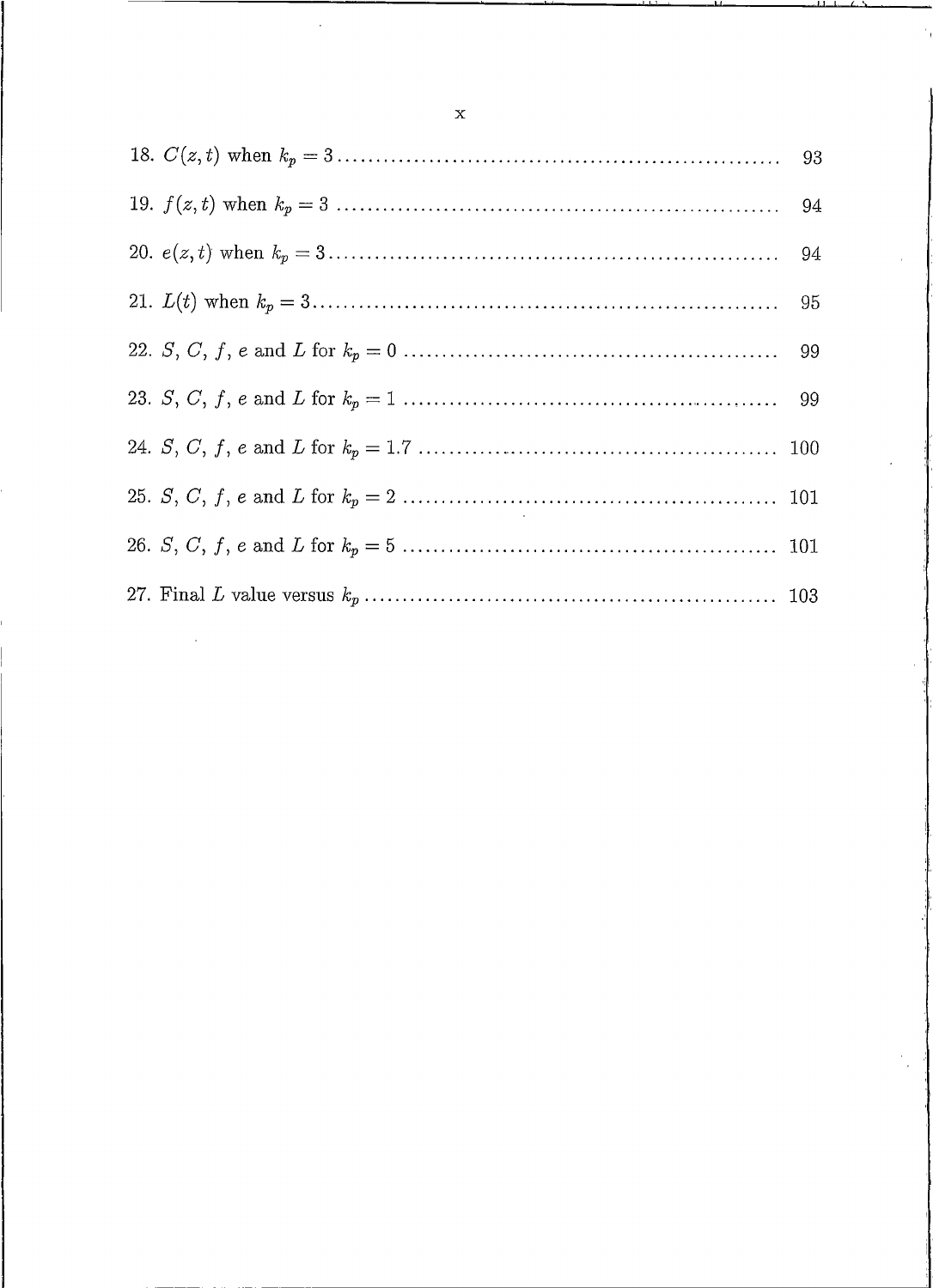$\mathbf{x}$ 

 $\overline{a}$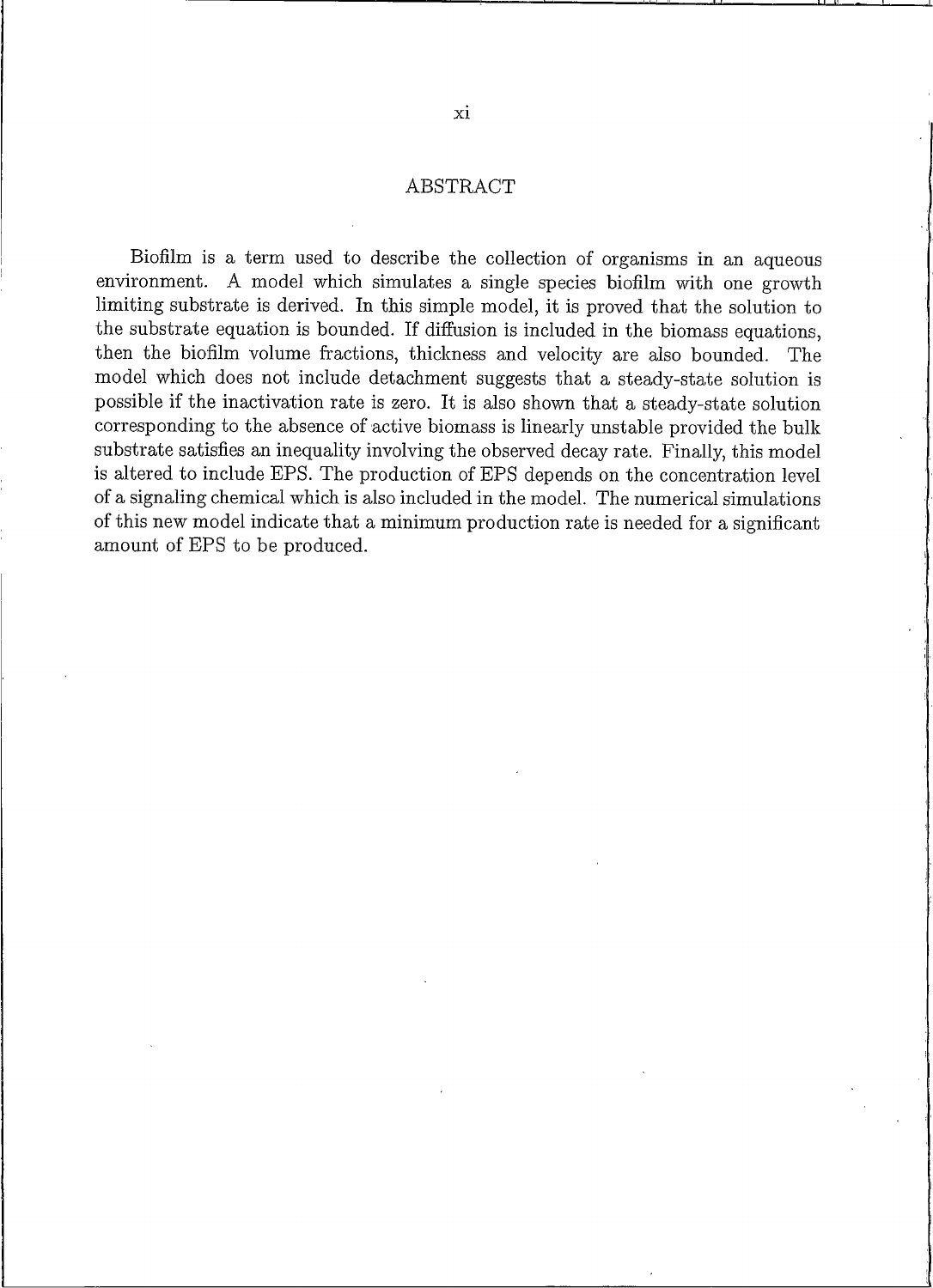#### ABSTRACT

Biofilm is a term used to describe the collection of organisms in an aqueous environment. A model which simulates a single species biofilm with one growth limiting substrate is derived. In this simple model, it is proved that the solution to the substrate equation is bounded. If diffusion is included in the biomass equations, then the biofilm volume fractions, thickness and velocity are also bounded. The model which does not include detachment suggests that a steady-state solution is possible if the inactivation rate is zero. It is also shown that a steady-state solution corresponding to the absence of active biomass is linearly unstable provided the bulk substrate satisfies an inequality involving the observed decay rate. Finally, this model is altered to include EPS. The production of EPS depends on the concentration level of a signaling chemical which is also included in the model. The numerical simulations of this new model indicate that a minimum production rate is needed for a significant amount of EPS to be produced.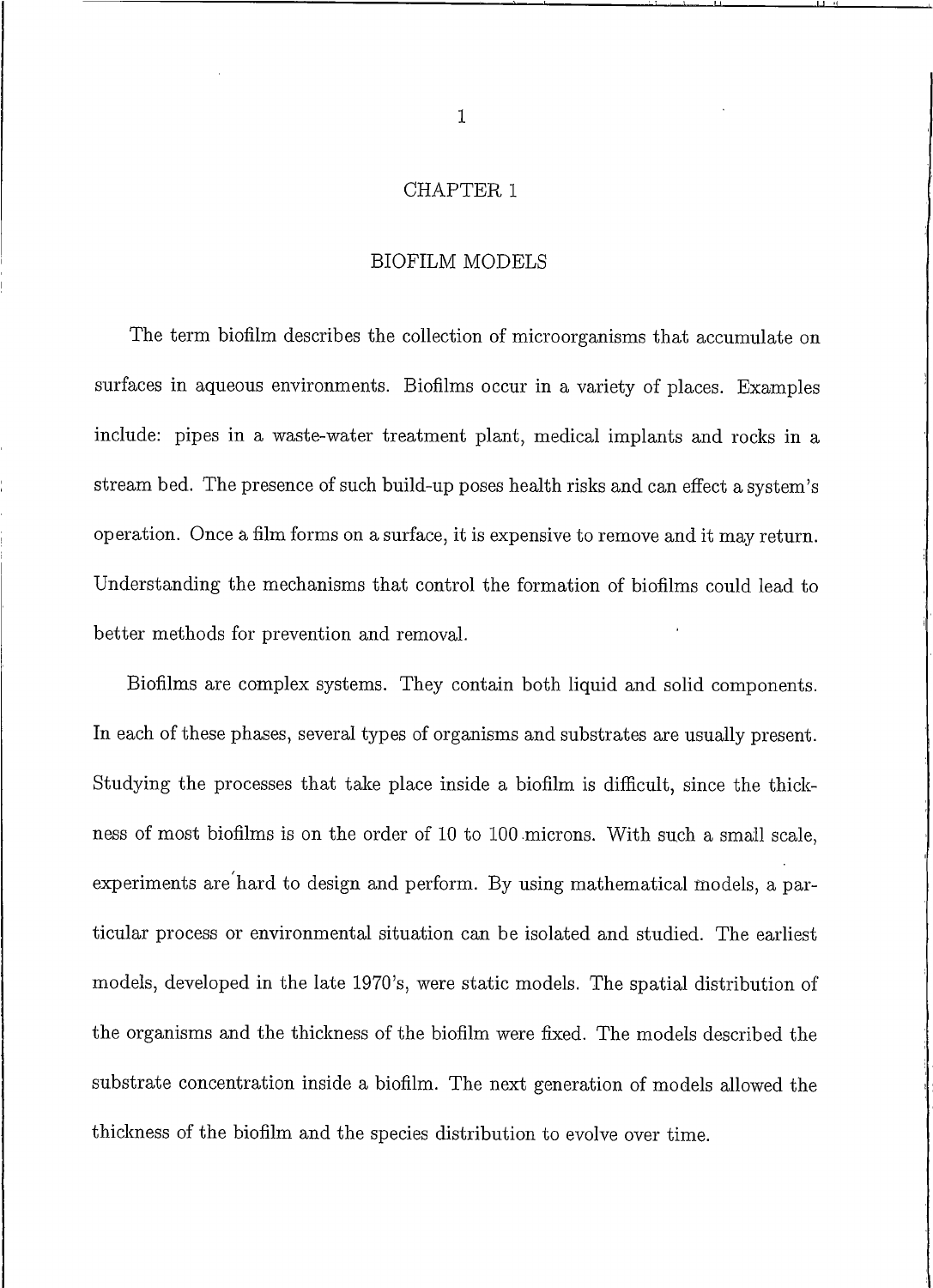#### **CHAPTER 1**

#### **BIOFILM MODELS**

The term biofilm describes the collection of microorganisms that accumulate on surfaces in aqueous environments. Biofilms occur in a variety of places. Examples include: pipes in a waste-water treatment plant, medical implants and rocks in a stream bed. The presence of such build-up poses health risks and can effect a system's operation. Once a film forms on a surface, it is expensive to remove and it may return. Understanding the mechanisms that control the formation of biofilms could lead to better methods for prevention and removal.

Biofilms are complex systems. They contain both liquid and solid components. In each of these phases, several types of organisms and substrates are usually present. Studying the processes that take place inside a biofilm is difficult, since the thickness of most biofilms is on the order of 10 to 100 microns. With such a small scale, experiments are hard to design and perform. By using mathematical models, a particular process or environmental situation can be isolated and studied. The earliest models, developed in the late 1970's, were static models. The spatial distribution of the organisms and the thickness of the biofilm were fixed. The models described the substrate concentration inside a biofilm. The next generation of models allowed the thickness of the biofilm and the species distribution to evolve over time.

 $\mathbf{1}$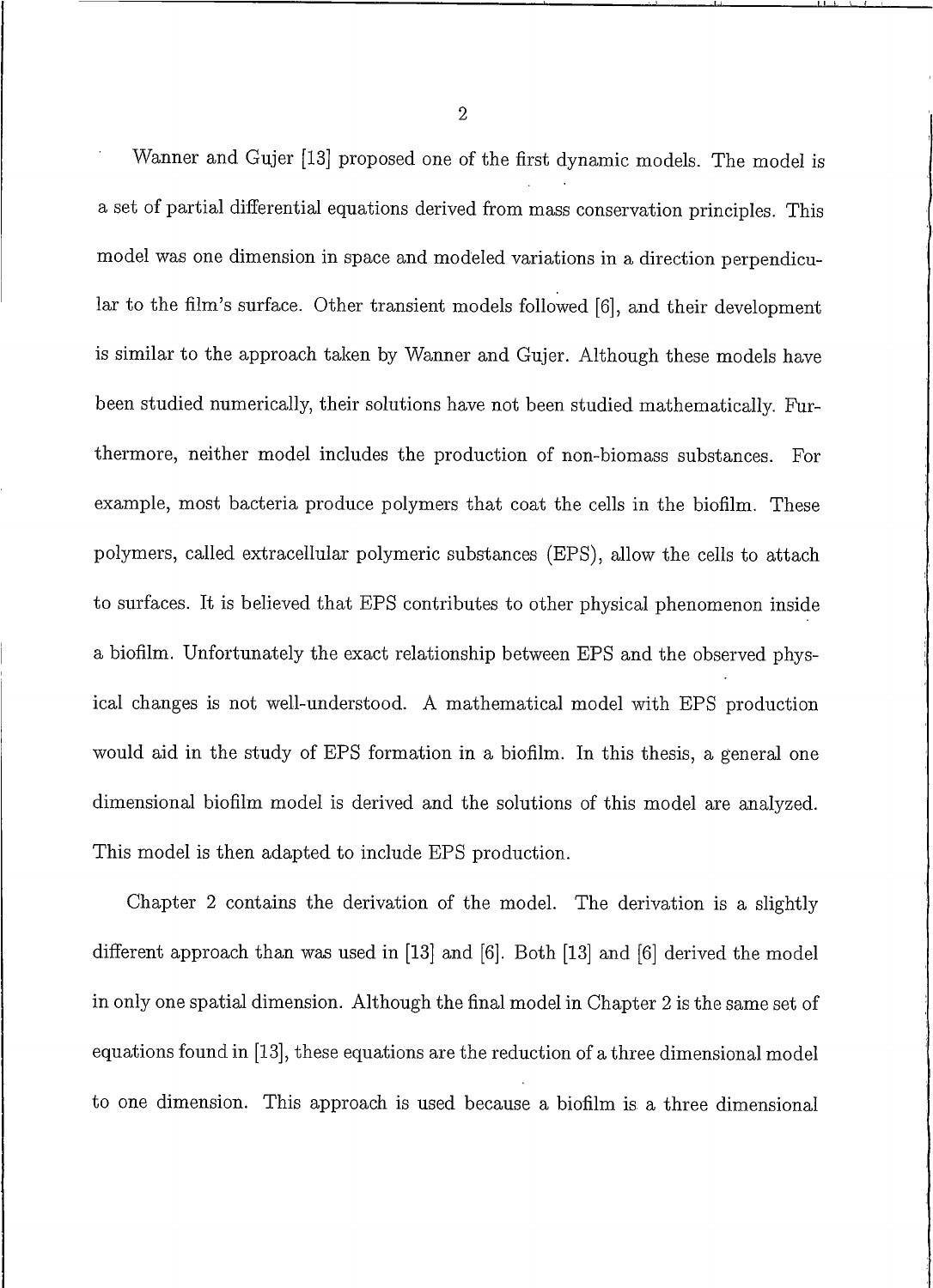Wanner and Gujer [13] proposed one of the first dynamic models. The model is a set of partial differential equations derived from mass conservation principles. This model was one dimension in space and modeled variations in a direction perpendicular to the film's surface. Other transient models followed [6], and their development is similar to the approach taken by Wanner and Gujer. Although these models have been studied numerically, their solutions have not been studied mathematically. Furthermore, neither model includes the production of non-biomass substances. For example, most bacteria produce polymers that coat the cells in the biofilm. These polymers, called extracellular polymeric substances (EPS), allow the cells to attach to surfaces. It is believed that EPS contributes to other physical phenomenon inside a biofilm. Unfortunately the exact relationship between EPS and the observed physical changes is not well-understood. A mathematical model with EPS production would aid in the study of EPS formation in a biofilm. In this thesis, a general one dimensional biofilm model is derived and the solutions of this model are analyzed. This model is then adapted to include EPS production.

Chapter 2 contains the derivation of the model. The derivation is a slightly different approach than was used in [13] and [6]. Both [13] and [6] derived the model in only one spatial dimension. Although the final model in Chapter 2 is the same set of equations found in [13], these equations are the reduction of a three dimensional model to one dimension. This approach is used because a biofilm is a three dimensional

 $\overline{2}$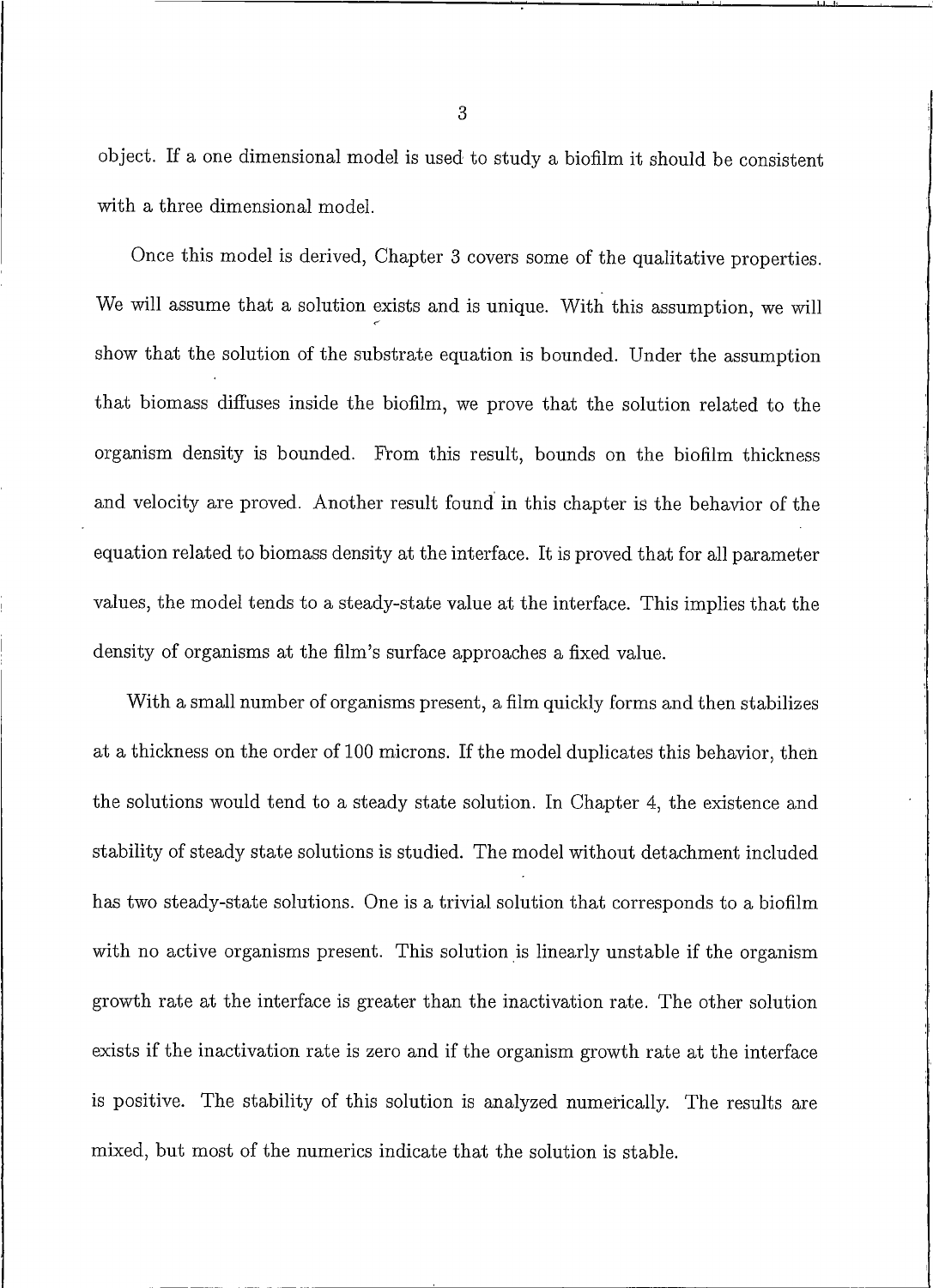object. If a one dimensional model is used to study a biofilm it should be consistent with a three dimensional model.

Once this model is derived, Chapter 3 covers some of the qualitative properties. We will assume that a solution exists and is unique. With this assumption, we will show that the solution of the substrate equation is bounded. Under the assumption that biomass diffuses inside the biofilm, we prove that the solution related to the organism density is bounded. From this result, bounds on the biofilm thickness and velocity are proved. Another result found in this chapter is the behavior of the equation related to biomass density at the interface. It is proved that for all parameter values, the model tends to a steady-state value at the interface. This implies that the density of organisms at the film's surface approaches a fixed value.

With a small number of organisms present, a film quickly forms and then stabilizes at a thickness on the order of 100 microns. If the model duplicates this behavior, then the solutions would tend to a steady state solution. In Chapter 4, the existence and stability of steady state solutions is studied. The model without detachment included has two steady-state solutions. One is a trivial solution that corresponds to a biofilm with no active organisms present. This solution is linearly unstable if the organism growth rate at the interface is greater than the inactivation rate. The other solution exists if the inactivation rate is zero and if the organism growth rate at the interface is positive. The stability of this solution is analyzed numerically. The results are mixed, but most of the numerics indicate that the solution is stable.

3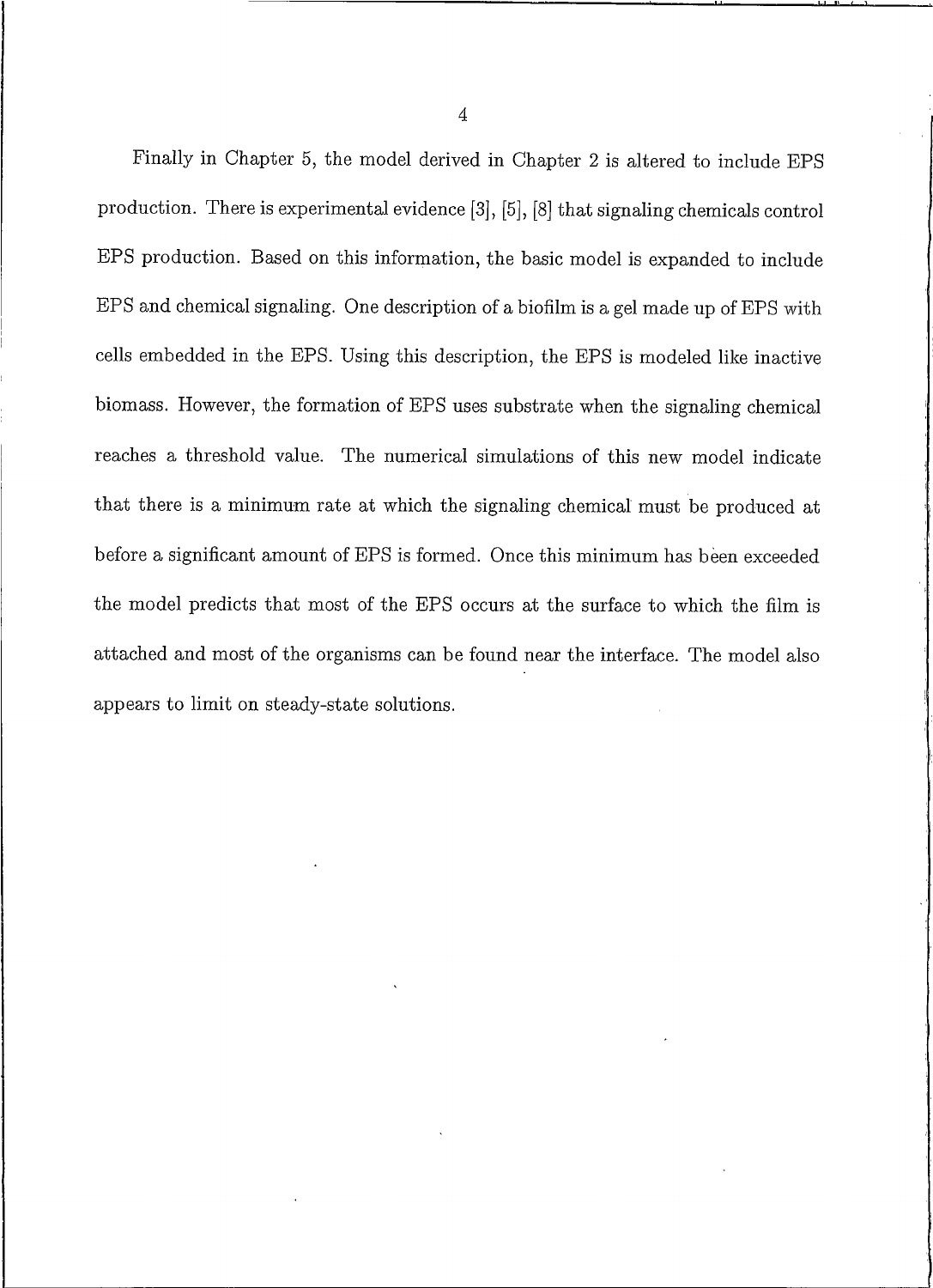Finally in Chapter 5, the model derived in Chapter 2 is altered to include EPS production. There is experimental evidence [3], [5], [8] that signaling chemicals control EPS production. Based on this information, the basic model is expanded to include EPS and chemical signaling. One description of a biofilm is a gel made up of EPS with cells embedded in the EPS. Using this description, the EPS is modeled like inactive biomass. However, the formation of EPS uses substrate when the signaling chemical reaches a threshold value. The numerical simulations of this new model indicate that there is a minimum rate at which the signaling chemical must be produced at before a significant amount of EPS is formed. Once this minimum has been exceeded the model predicts that most of the EPS occurs at the surface to which the film is attached and most of the organisms can be found near the interface. The model also appears to limit on steady-state solutions.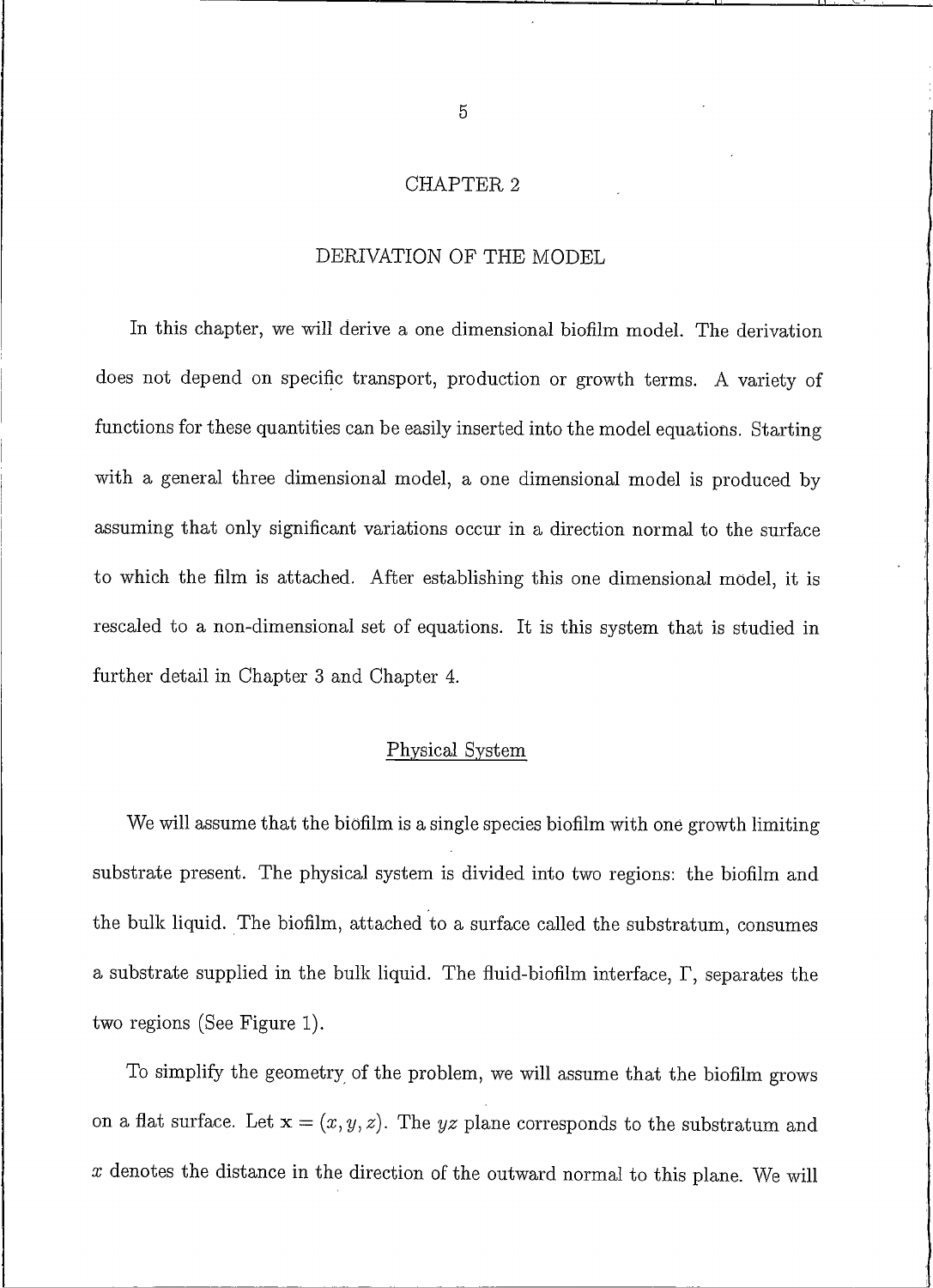#### CHAPTER<sub>2</sub>

## DERIVATION OF THE MODEL

In this chapter, we will derive a one dimensional biofilm model. The derivation does not depend on specific transport, production or growth terms. A variety of functions for these quantities can be easily inserted into the model equations. Starting with a general three dimensional model, a one dimensional model is produced by assuming that only significant variations occur in a direction normal to the surface to which the film is attached. After establishing this one dimensional model, it is rescaled to a non-dimensional set of equations. It is this system that is studied in further detail in Chapter 3 and Chapter 4.

#### Physical System

We will assume that the biofilm is a single species biofilm with one growth limiting substrate present. The physical system is divided into two regions: the biofilm and the bulk liquid. The biofilm, attached to a surface called the substratum, consumes a substrate supplied in the bulk liquid. The fluid-biofilm interface,  $\Gamma$ , separates the two regions (See Figure 1).

To simplify the geometry of the problem, we will assume that the biofilm grows on a flat surface. Let  $\mathbf{x} = (x, y, z)$ . The yz plane corresponds to the substratum and  $x$  denotes the distance in the direction of the outward normal to this plane. We will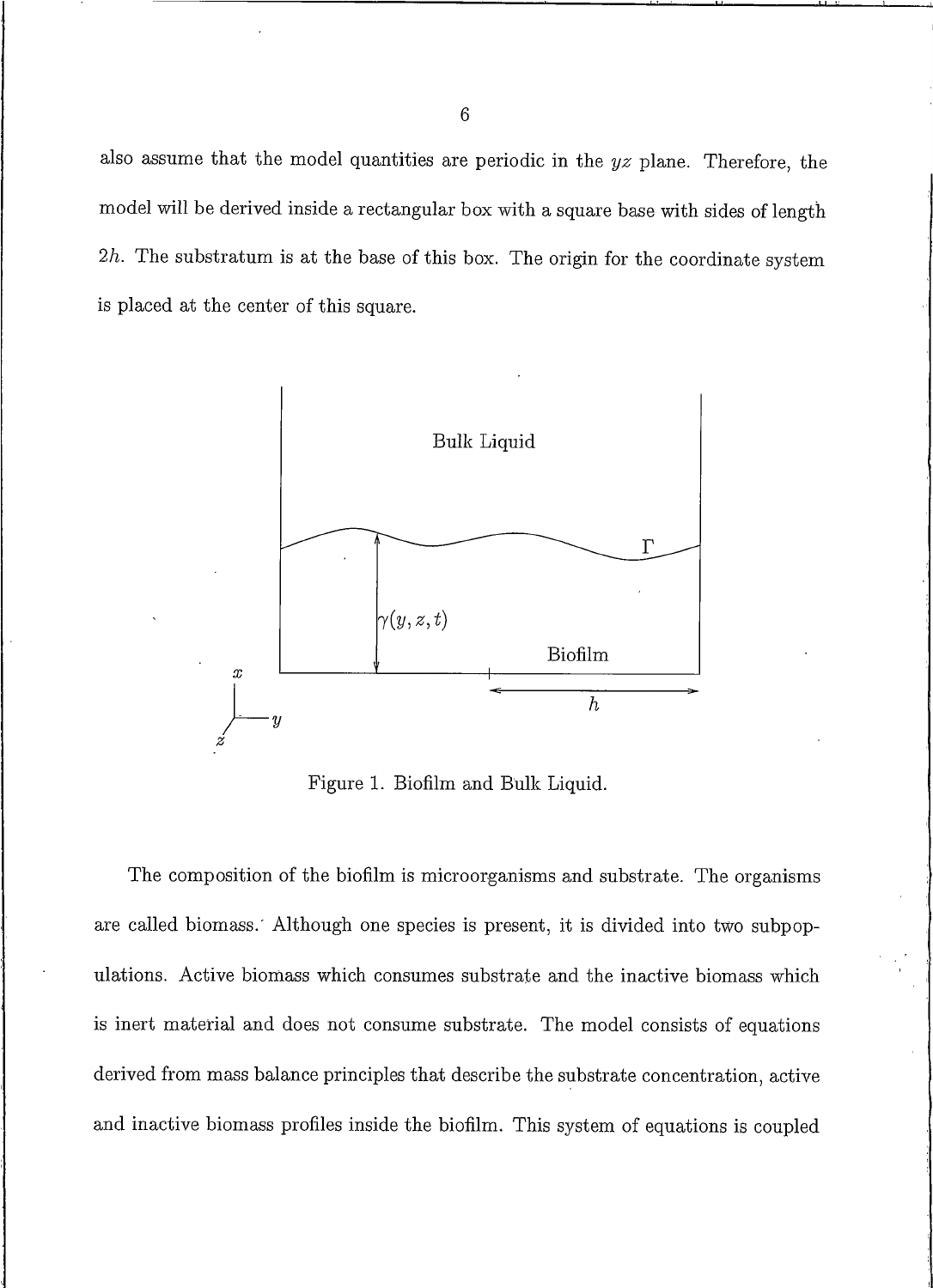also assume that the model quantities are periodic in the  $yz$  plane. Therefore, the model will be derived inside a rectangular box with a square base with sides of length  $2h$ . The substratum is at the base of this box. The origin for the coordinate system is placed at the center of this square.



Figure 1. Biofilm and Bulk Liquid.

The composition of the biofilm is microorganisms and substrate. The organisms are called biomass. Although one species is present, it is divided into two subpopulations. Active biomass which consumes substrate and the inactive biomass which is inert material and does not consume substrate. The model consists of equations derived from mass balance principles that describe the substrate concentration, active and inactive biomass profiles inside the biofilm. This system of equations is coupled

 $\overline{6}$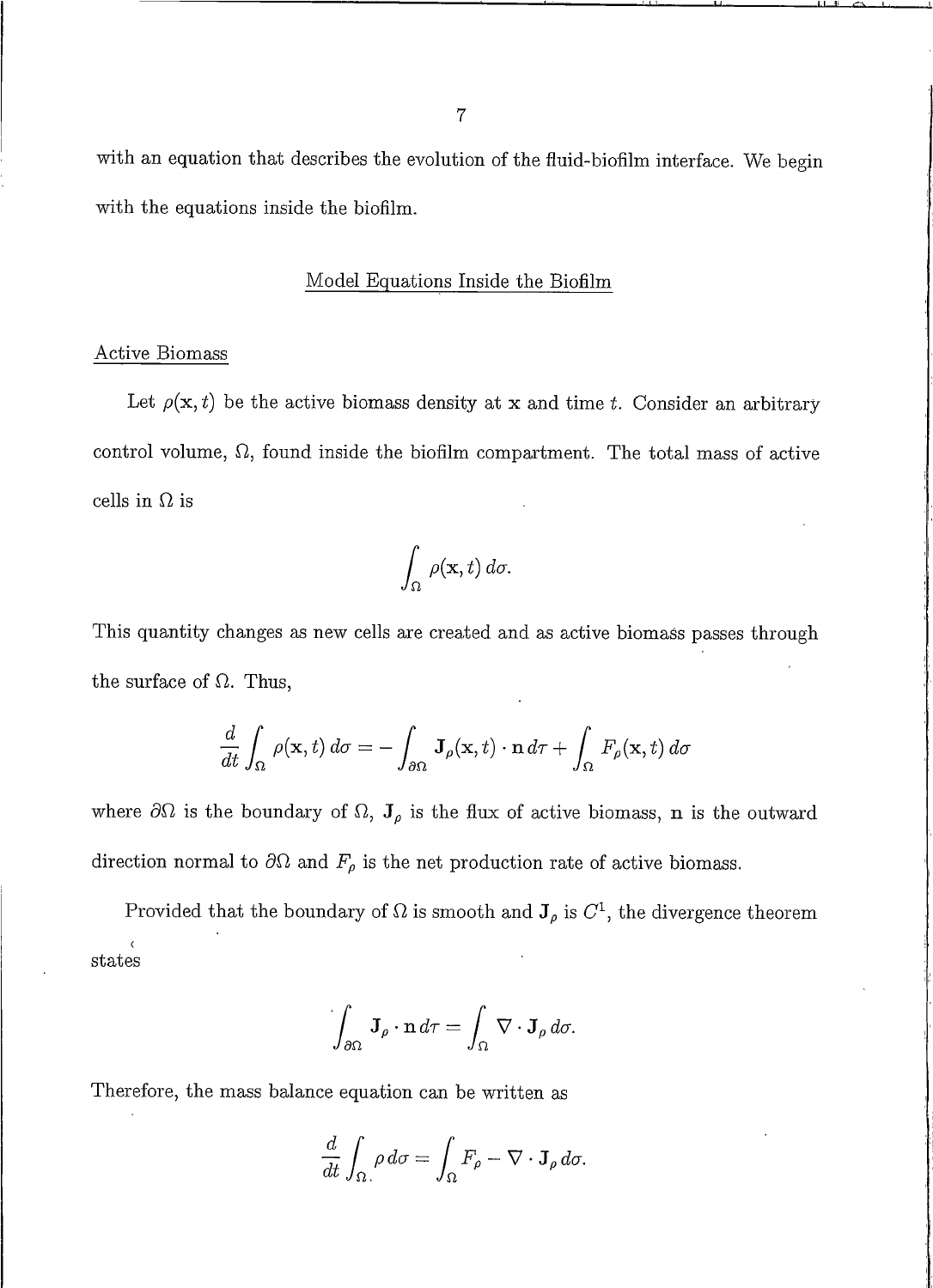with an equation that describes the evolution of the fluid-biofilm interface. We begin with the equations inside the biofilm.

#### Model Equations Inside the Biofilm

#### **Active Biomass**

Let  $\rho(\mathbf{x},t)$  be the active biomass density at x and time t. Consider an arbitrary control volume,  $\Omega$ , found inside the biofilm compartment. The total mass of active cells in  $\Omega$  is

$$
\int_{\Omega} \rho(\mathbf{x},t) d\sigma.
$$

This quantity changes as new cells are created and as active biomass passes through the surface of  $\Omega$ . Thus,

$$
\frac{d}{dt} \int_{\Omega} \rho(\mathbf{x}, t) d\sigma = - \int_{\partial \Omega} \mathbf{J}_{\rho}(\mathbf{x}, t) \cdot \mathbf{n} d\tau + \int_{\Omega} F_{\rho}(\mathbf{x}, t) d\sigma
$$

where  $\partial\Omega$  is the boundary of  $\Omega$ ,  $J_{\rho}$  is the flux of active biomass, **n** is the outward direction normal to  $\partial\Omega$  and  $F_{\rho}$  is the net production rate of active biomass.

Provided that the boundary of  $\Omega$  is smooth and  $J_{\rho}$  is  $C^1$ , the divergence theorem states

$$
\int_{\partial\Omega} \mathbf{J}_{\rho} \cdot \mathbf{n} \, d\tau = \int_{\Omega} \nabla \cdot \mathbf{J}_{\rho} \, d\sigma.
$$

Therefore, the mass balance equation can be written as

$$
\frac{d}{dt} \int_{\Omega} \rho \, d\sigma = \int_{\Omega} F_{\rho} - \nabla \cdot \mathbf{J}_{\rho} \, d\sigma.
$$

 $\boldsymbol{7}$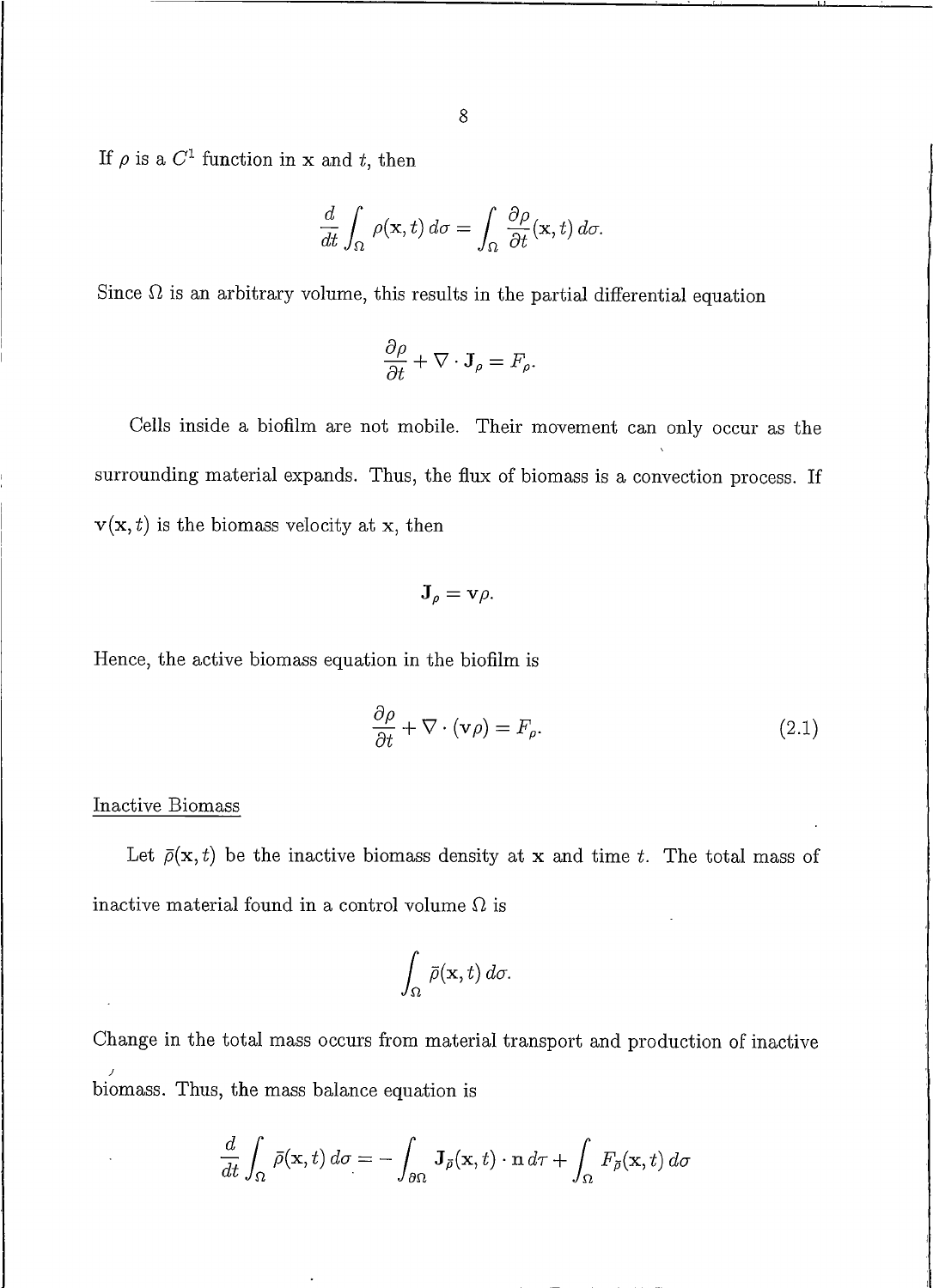If  $\rho$  is a  $C^1$  function in x and t, then

$$
\frac{d}{dt} \int_{\Omega} \rho(\mathbf{x}, t) d\sigma = \int_{\Omega} \frac{\partial \rho}{\partial t}(\mathbf{x}, t) d\sigma.
$$

Since  $\Omega$  is an arbitrary volume, this results in the partial differential equation

$$
\frac{\partial \rho}{\partial t} + \nabla \cdot \mathbf{J}_{\rho} = F_{\rho}.
$$

Cells inside a biofilm are not mobile. Their movement can only occur as the surrounding material expands. Thus, the flux of biomass is a convection process. If  $\mathbf{v}(\mathbf{x},t)$  is the biomass velocity at x, then

$$
{\bf J}_{\rho}={\bf v}\rho.
$$

Hence, the active biomass equation in the biofilm is

$$
\frac{\partial \rho}{\partial t} + \nabla \cdot (\mathbf{v}\rho) = F_{\rho}.
$$
\n(2.1)

#### Inactive Biomass

Let  $\bar{\rho}(\mathbf{x},t)$  be the inactive biomass density at x and time t. The total mass of inactive material found in a control volume  $\Omega$  is

$$
\int_{\Omega} \bar{\rho}(\mathbf{x},t) d\sigma.
$$

Change in the total mass occurs from material transport and production of inactive biomass. Thus, the mass balance equation is

$$
\frac{d}{dt} \int_{\Omega} \bar{\rho}(\mathbf{x},t) d\sigma = - \int_{\partial \Omega} \mathbf{J}_{\bar{\rho}}(\mathbf{x},t) \cdot \mathbf{n} d\tau + \int_{\Omega} F_{\bar{\rho}}(\mathbf{x},t) d\sigma
$$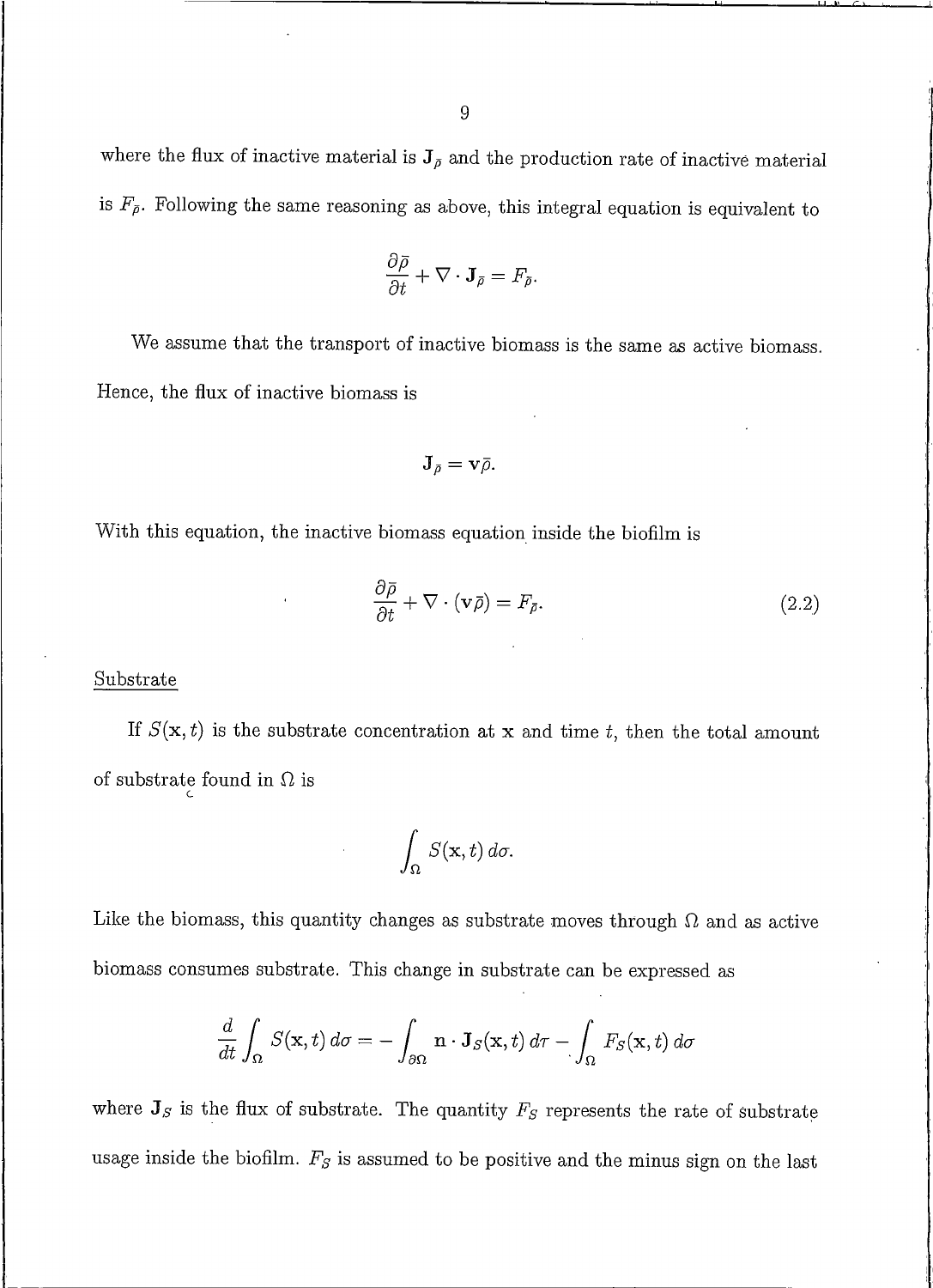where the flux of inactive material is  $J_{\bar{\rho}}$  and the production rate of inactive material is  $F_{\bar{\rho}}$ . Following the same reasoning as above, this integral equation is equivalent to

$$
\frac{\partial \bar{\rho}}{\partial t} + \nabla \cdot \mathbf{J}_{\bar{\rho}} = F_{\bar{\rho}}.
$$

We assume that the transport of inactive biomass is the same as active biomass. Hence, the flux of inactive biomass is

$$
\mathbf{J}_{\bar{\rho}}=\mathbf{v}\bar{\rho}.
$$

With this equation, the inactive biomass equation inside the biofilm is

$$
\frac{\partial \bar{\rho}}{\partial t} + \nabla \cdot (\mathbf{v}\bar{\rho}) = F_{\bar{\rho}}.\tag{2.2}
$$

#### Substrate

If  $S(\mathbf{x},t)$  is the substrate concentration at x and time t, then the total amount of substrate found in  $\Omega$  is

$$
\int_{\Omega} S(\mathbf{x},t) d\sigma.
$$

Like the biomass, this quantity changes as substrate moves through  $\Omega$  and as active biomass consumes substrate. This change in substrate can be expressed as

$$
\frac{d}{dt} \int_{\Omega} S(\mathbf{x}, t) d\sigma = - \int_{\partial \Omega} \mathbf{n} \cdot \mathbf{J}_S(\mathbf{x}, t) d\tau - \int_{\Omega} F_S(\mathbf{x}, t) d\sigma
$$

where  $J_S$  is the flux of substrate. The quantity  $F_S$  represents the rate of substrate usage inside the biofilm.  $F_S$  is assumed to be positive and the minus sign on the last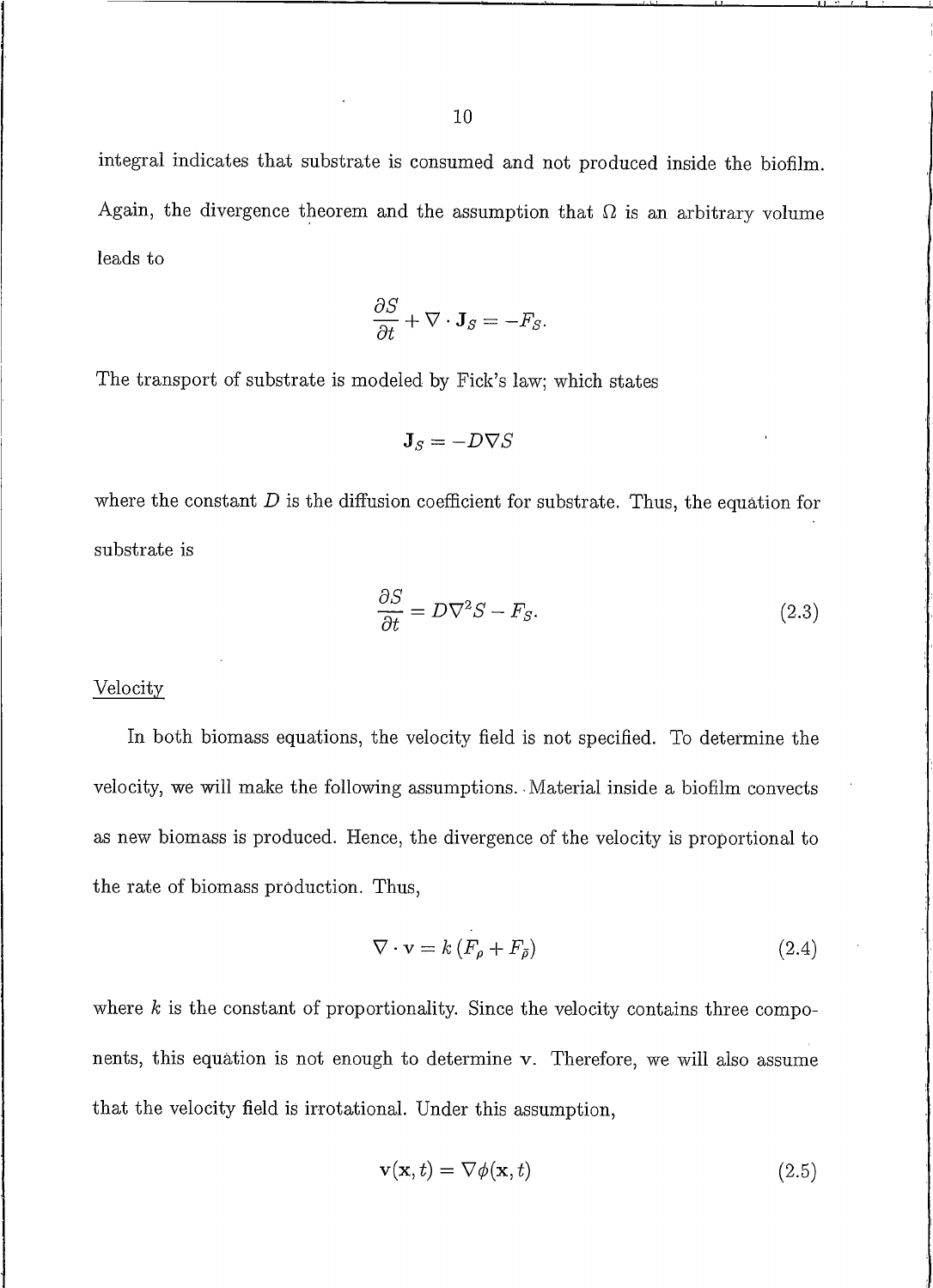integral indicates that substrate is consumed and not produced inside the biofilm. Again, the divergence theorem and the assumption that  $\Omega$  is an arbitrary volume leads to

$$
\frac{\partial S}{\partial t} + \nabla \cdot \mathbf{J}_S = -F_S.
$$

The transport of substrate is modeled by Fick's law; which states

$$
\mathbf{J}_S = -D\nabla S
$$

where the constant  $D$  is the diffusion coefficient for substrate. Thus, the equation for substrate is

$$
\frac{\partial S}{\partial t} = D\nabla^2 S - F_S. \tag{2.3}
$$

#### Velocity

In both biomass equations, the velocity field is not specified. To determine the velocity, we will make the following assumptions. Material inside a biofilm convects as new biomass is produced. Hence, the divergence of the velocity is proportional to the rate of biomass production. Thus,

$$
\nabla \cdot \mathbf{v} = k \left( F_{\rho} + F_{\bar{\rho}} \right) \tag{2.4}
$$

where  $k$  is the constant of proportionality. Since the velocity contains three components, this equation is not enough to determine v. Therefore, we will also assume that the velocity field is irrotational. Under this assumption,

$$
\mathbf{v}(\mathbf{x},t) = \nabla \phi(\mathbf{x},t) \tag{2.5}
$$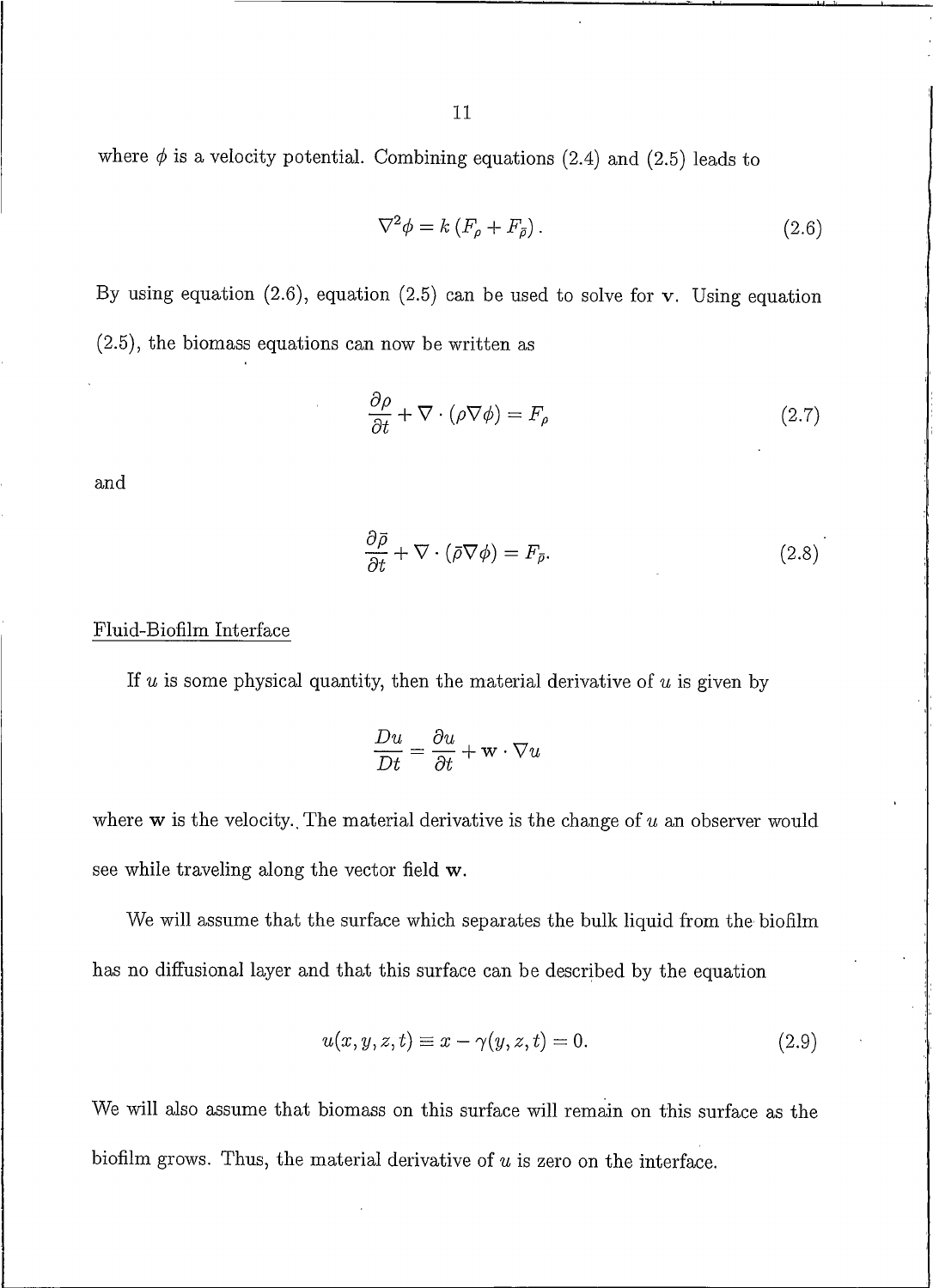11

where  $\phi$  is a velocity potential. Combining equations (2.4) and (2.5) leads to

$$
\nabla^2 \phi = k \left( F_\rho + F_{\bar{\rho}} \right). \tag{2.6}
$$

By using equation  $(2.6)$ , equation  $(2.5)$  can be used to solve for v. Using equation  $(2.5)$ , the biomass equations can now be written as

$$
\frac{\partial \rho}{\partial t} + \nabla \cdot (\rho \nabla \phi) = F_{\rho} \tag{2.7}
$$

and

$$
\frac{\partial \bar{\rho}}{\partial t} + \nabla \cdot (\bar{\rho} \nabla \phi) = F_{\bar{\rho}}.
$$
\n(2.8)

#### Fluid-Biofilm Interface

If  $u$  is some physical quantity, then the material derivative of  $u$  is given by

$$
\frac{Du}{Dt}=\frac{\partial u}{\partial t}+\mathbf{w}\cdot\nabla u
$$

where  $\bf{w}$  is the velocity. The material derivative is the change of  $u$  an observer would see while traveling along the vector field w.

We will assume that the surface which separates the bulk liquid from the biofilm has no diffusional layer and that this surface can be described by the equation

$$
u(x, y, z, t) \equiv x - \gamma(y, z, t) = 0.
$$
\n
$$
(2.9)
$$

We will also assume that biomass on this surface will remain on this surface as the biofilm grows. Thus, the material derivative of  $u$  is zero on the interface.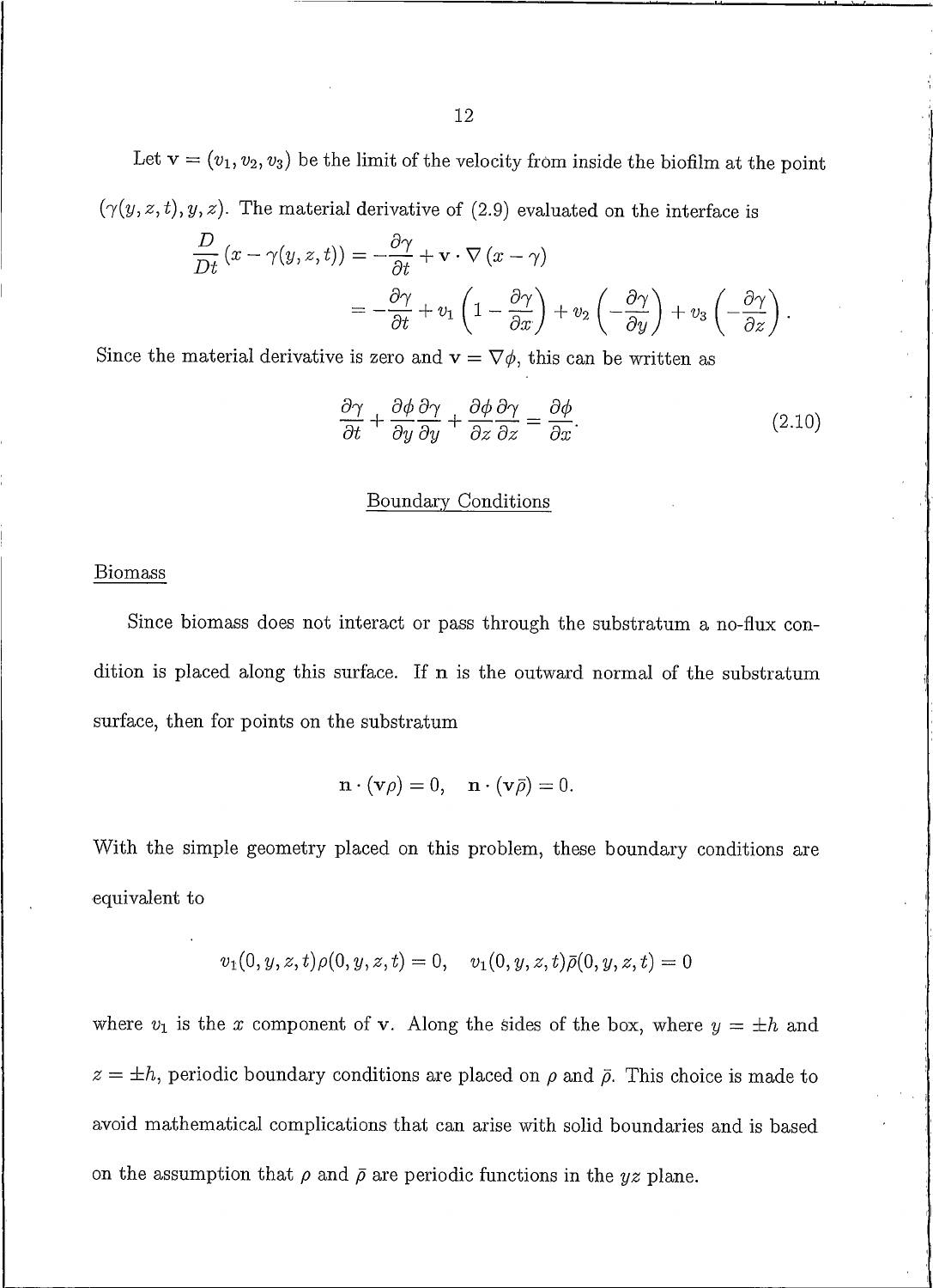Let  $\mathbf{v} = (v_1, v_2, v_3)$  be the limit of the velocity from inside the biofilm at the point  $(\gamma(y, z, t), y, z)$ . The material derivative of (2.9) evaluated on the interface is

$$
\frac{D}{Dt} (x - \gamma(y, z, t)) = -\frac{\partial \gamma}{\partial t} + \mathbf{v} \cdot \nabla (x - \gamma)
$$
  
=  $-\frac{\partial \gamma}{\partial t} + v_1 \left(1 - \frac{\partial \gamma}{\partial x}\right) + v_2 \left(-\frac{\partial \gamma}{\partial y}\right) + v_3 \left(-\frac{\partial \gamma}{\partial z}\right).$ 

Since the material derivative is zero and  $\mathbf{v} = \nabla \phi$ , this can be written as

$$
\frac{\partial \gamma}{\partial t} + \frac{\partial \phi}{\partial y} \frac{\partial \gamma}{\partial y} + \frac{\partial \phi}{\partial z} \frac{\partial \gamma}{\partial z} = \frac{\partial \phi}{\partial x}.
$$
 (2.10)

#### Boundary Conditions

#### **Biomass**

Since biomass does not interact or pass through the substratum a no-flux condition is placed along this surface. If n is the outward normal of the substratum surface, then for points on the substratum

$$
\mathbf{n} \cdot (\mathbf{v}\rho) = 0, \quad \mathbf{n} \cdot (\mathbf{v}\bar{\rho}) = 0.
$$

With the simple geometry placed on this problem, these boundary conditions are equivalent to

$$
v_1(0, y, z, t)\rho(0, y, z, t) = 0, \quad v_1(0, y, z, t)\bar{\rho}(0, y, z, t) = 0
$$

where  $v_1$  is the x component of v. Along the sides of the box, where  $y = \pm h$  and  $z = \pm h$ , periodic boundary conditions are placed on  $\rho$  and  $\bar{\rho}$ . This choice is made to avoid mathematical complications that can arise with solid boundaries and is based on the assumption that  $\rho$  and  $\bar{\rho}$  are periodic functions in the yz plane.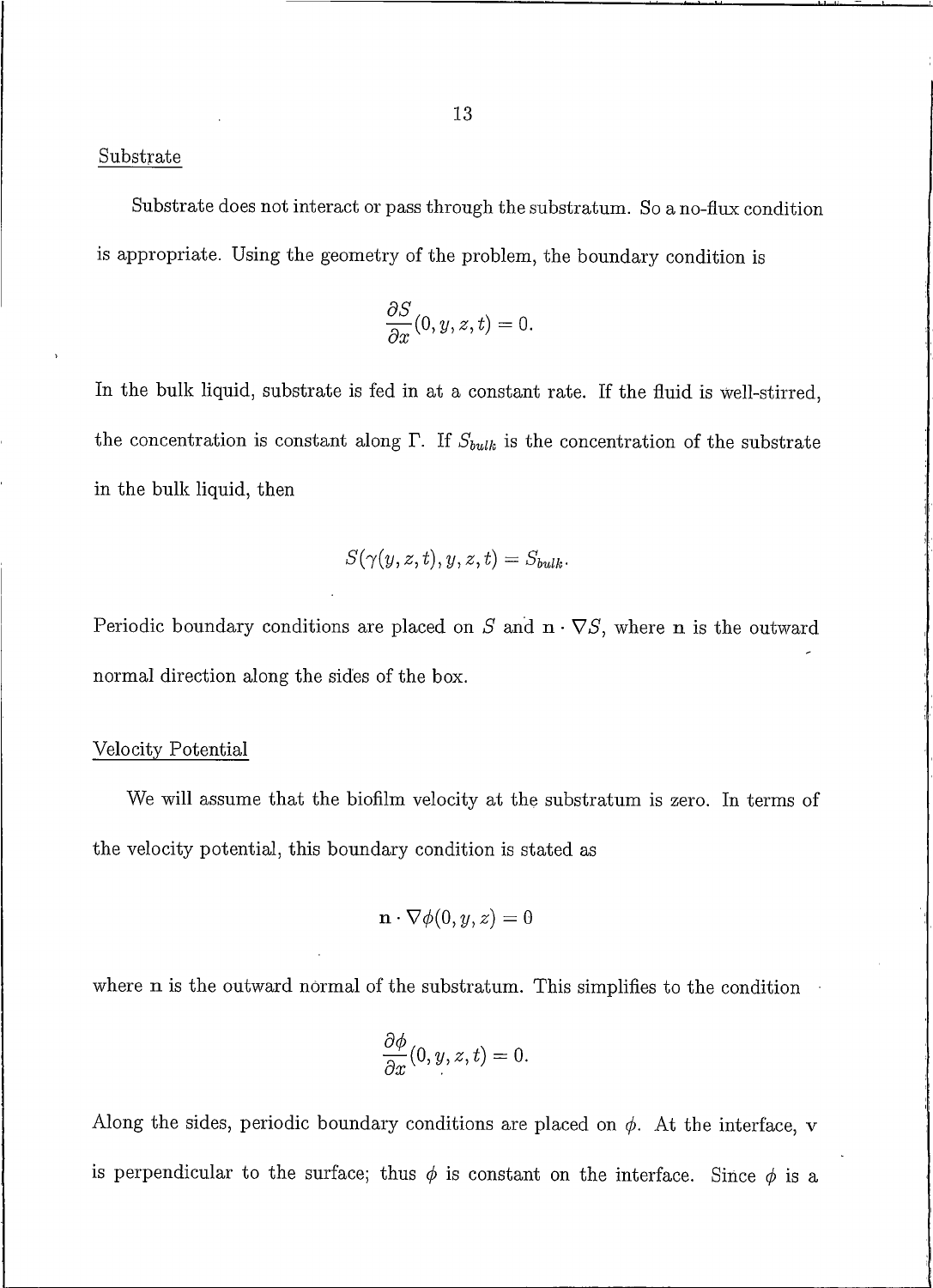#### Substrate

Substrate does not interact or pass through the substratum. So a no-flux condition is appropriate. Using the geometry of the problem, the boundary condition is

$$
\frac{\partial S}{\partial x}(0,y,z,t)=0.
$$

In the bulk liquid, substrate is fed in at a constant rate. If the fluid is well-stirred, the concentration is constant along  $\Gamma$ . If  $S_{bulk}$  is the concentration of the substrate in the bulk liquid, then

$$
S(\gamma(y,z,t),y,z,t)=S_{bulk}.
$$

Periodic boundary conditions are placed on  $S$  and  $\mathbf{n} \cdot \nabla S$ , where  $\mathbf{n}$  is the outward normal direction along the sides of the box.

#### Velocity Potential

We will assume that the biofilm velocity at the substratum is zero. In terms of the velocity potential, this boundary condition is stated as

$$
\mathbf{n} \cdot \nabla \phi(0, y, z) = 0
$$

where **n** is the outward normal of the substratum. This simplifies to the condition

$$
\frac{\partial \phi}{\partial x}(0, y, z, t) = 0.
$$

Along the sides, periodic boundary conditions are placed on  $\phi$ . At the interface, v is perpendicular to the surface; thus  $\phi$  is constant on the interface. Since  $\phi$  is a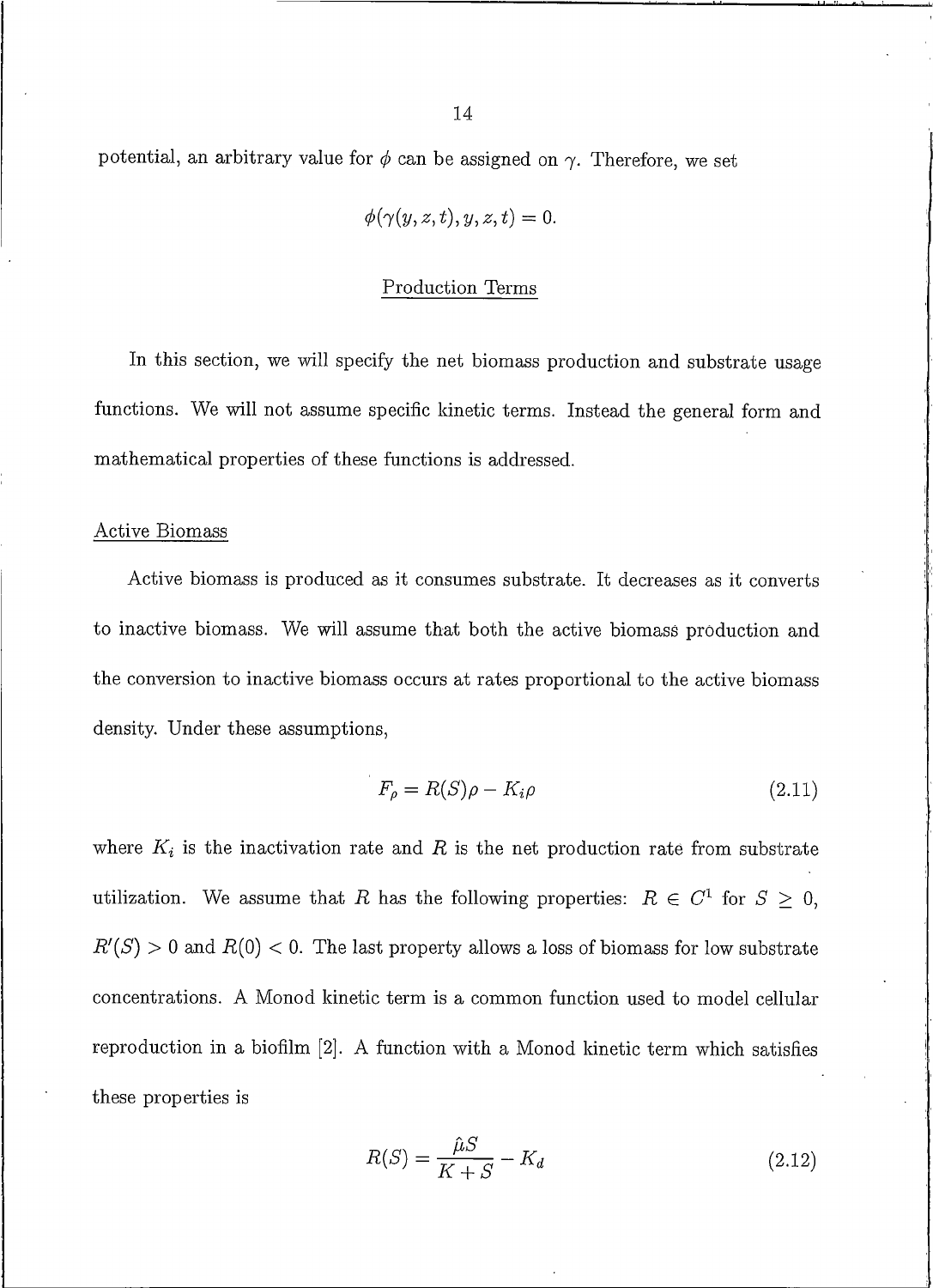potential, an arbitrary value for  $\phi$  can be assigned on  $\gamma$ . Therefore, we set

$$
\phi(\gamma(y,z,t),y,z,t)=0.
$$

### Production Terms

In this section, we will specify the net biomass production and substrate usage functions. We will not assume specific kinetic terms. Instead the general form and mathematical properties of these functions is addressed.

#### Active Biomass

Active biomass is produced as it consumes substrate. It decreases as it converts to inactive biomass. We will assume that both the active biomass production and the conversion to inactive biomass occurs at rates proportional to the active biomass density. Under these assumptions,

$$
F_{\rho} = R(S)\rho - K_i \rho \tag{2.11}
$$

where  $K_i$  is the inactivation rate and R is the net production rate from substrate utilization. We assume that R has the following properties:  $R \in C^1$  for  $S \geq 0$ ,  $R'(S) > 0$  and  $R(0) < 0$ . The last property allows a loss of biomass for low substrate concentrations. A Monod kinetic term is a common function used to model cellular reproduction in a biofilm [2]. A function with a Monod kinetic term which satisfies these properties is

$$
R(S) = \frac{\hat{\mu}S}{K+S} - K_d \tag{2.12}
$$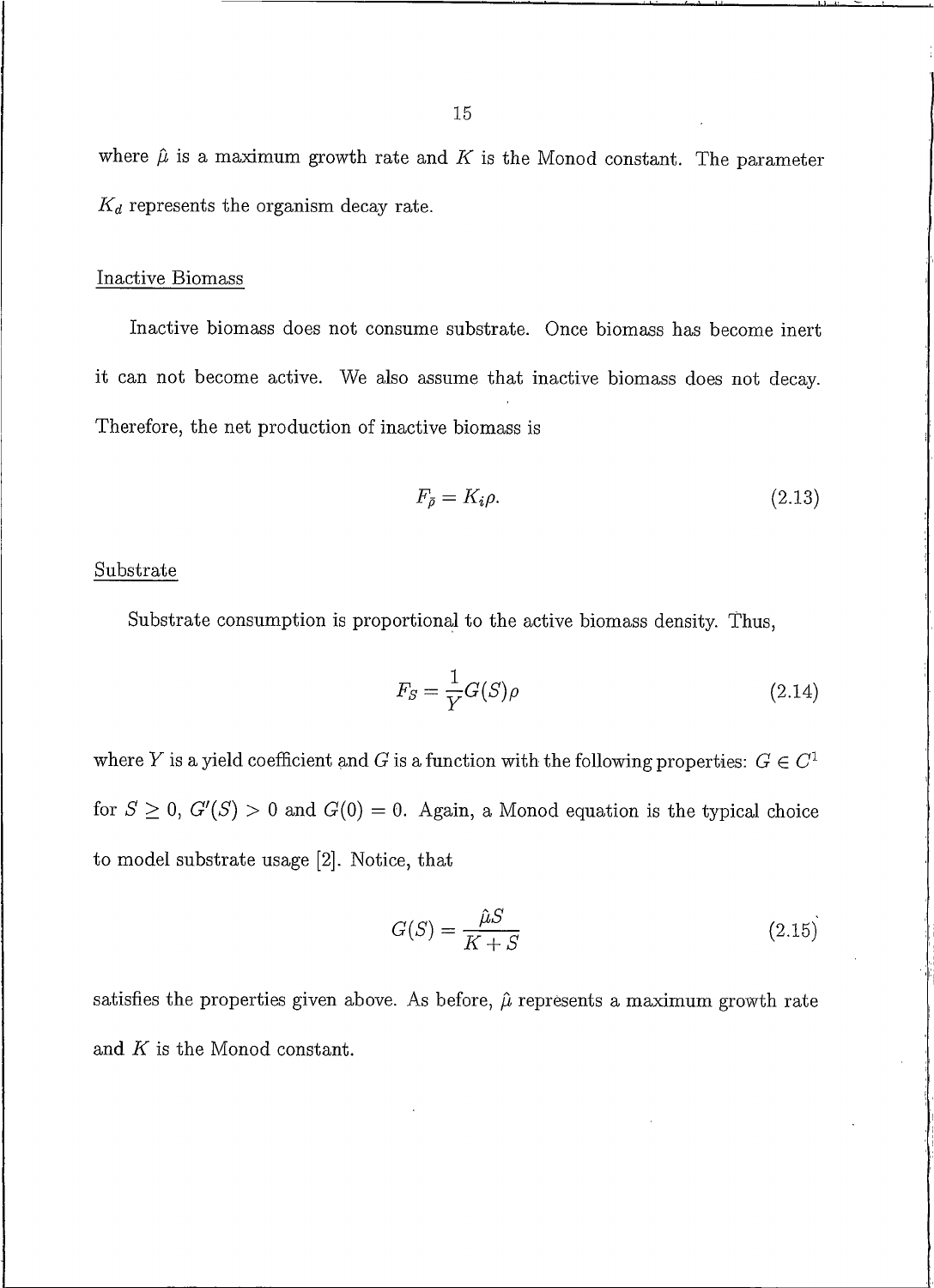where  $\hat{\mu}$  is a maximum growth rate and K is the Monod constant. The parameter  $K_d$  represents the organism decay rate.

#### Inactive Biomass

Inactive biomass does not consume substrate. Once biomass has become inert it can not become active. We also assume that inactive biomass does not decay. Therefore, the net production of inactive biomass is

$$
F_{\bar{\rho}} = K_i \rho. \tag{2.13}
$$

#### Substrate

Substrate consumption is proportional to the active biomass density. Thus,

$$
F_S = \frac{1}{Y} G(S) \rho \tag{2.14}
$$

where Y is a yield coefficient and G is a function with the following properties:  $G \in C^1$ for  $S \geq 0$ ,  $G'(S) > 0$  and  $G(0) = 0$ . Again, a Monod equation is the typical choice to model substrate usage [2]. Notice, that

$$
G(S) = \frac{\hat{\mu}S}{K+S} \tag{2.15}
$$

satisfies the properties given above. As before,  $\hat{\mu}$  represents a maximum growth rate and  $K$  is the Monod constant.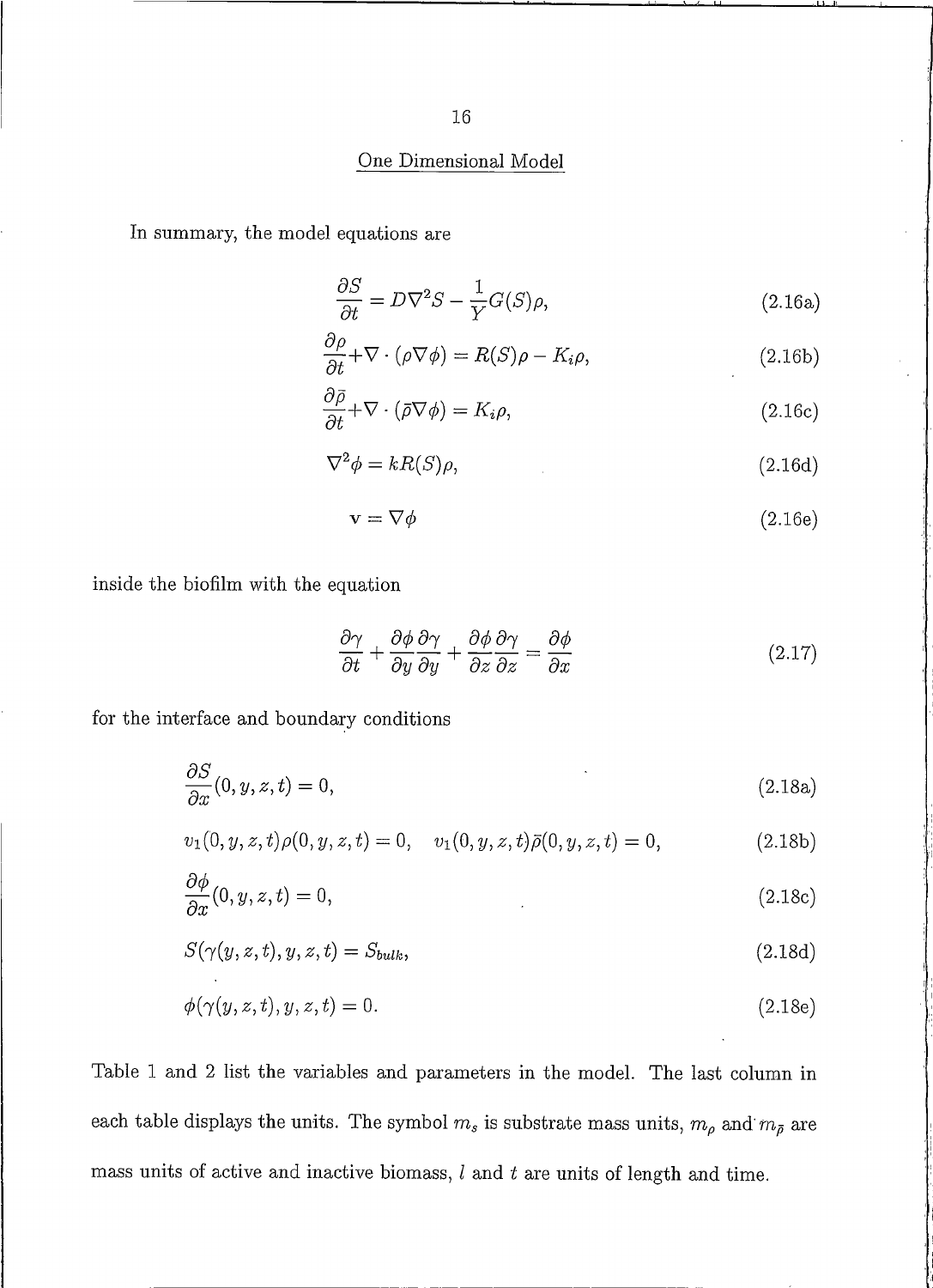## One Dimensional Model

In summary, the model equations are

$$
\frac{\partial S}{\partial t} = D\nabla^2 S - \frac{1}{Y}G(S)\rho,
$$
\n(2.16a)

$$
\frac{\partial \rho}{\partial t} + \nabla \cdot (\rho \nabla \phi) = R(S)\rho - K_i \rho, \qquad (2.16b)
$$

$$
\frac{\partial \bar{\rho}}{\partial t} + \nabla \cdot (\bar{\rho} \nabla \phi) = K_i \rho,
$$
\n(2.16c)

$$
\nabla^2 \phi = kR(S)\rho,\tag{2.16d}
$$

$$
\mathbf{v} = \nabla \phi \tag{2.16e}
$$

inside the biofilm with the equation

$$
\frac{\partial \gamma}{\partial t} + \frac{\partial \phi}{\partial y} \frac{\partial \gamma}{\partial y} + \frac{\partial \phi}{\partial z} \frac{\partial \gamma}{\partial z} = \frac{\partial \phi}{\partial x}
$$
(2.17)

for the interface and boundary conditions

$$
\frac{\partial S}{\partial x}(0, y, z, t) = 0,\tag{2.18a}
$$

$$
v_1(0, y, z, t)\rho(0, y, z, t) = 0, \quad v_1(0, y, z, t)\bar{\rho}(0, y, z, t) = 0,
$$
\n(2.18b)

$$
\frac{\partial \phi}{\partial x}(0, y, z, t) = 0,\tag{2.18c}
$$

$$
S(\gamma(y, z, t), y, z, t) = S_{bulk},\tag{2.18d}
$$

$$
\phi(\gamma(y,z,t),y,z,t) = 0.\tag{2.18e}
$$

Table 1 and 2 list the variables and parameters in the model. The last column in each table displays the units. The symbol  $m_s$  is substrate mass units,  $m_\rho$  and  $m_{\bar\rho}$  are mass units of active and inactive biomass,  $l$  and  $t$  are units of length and time.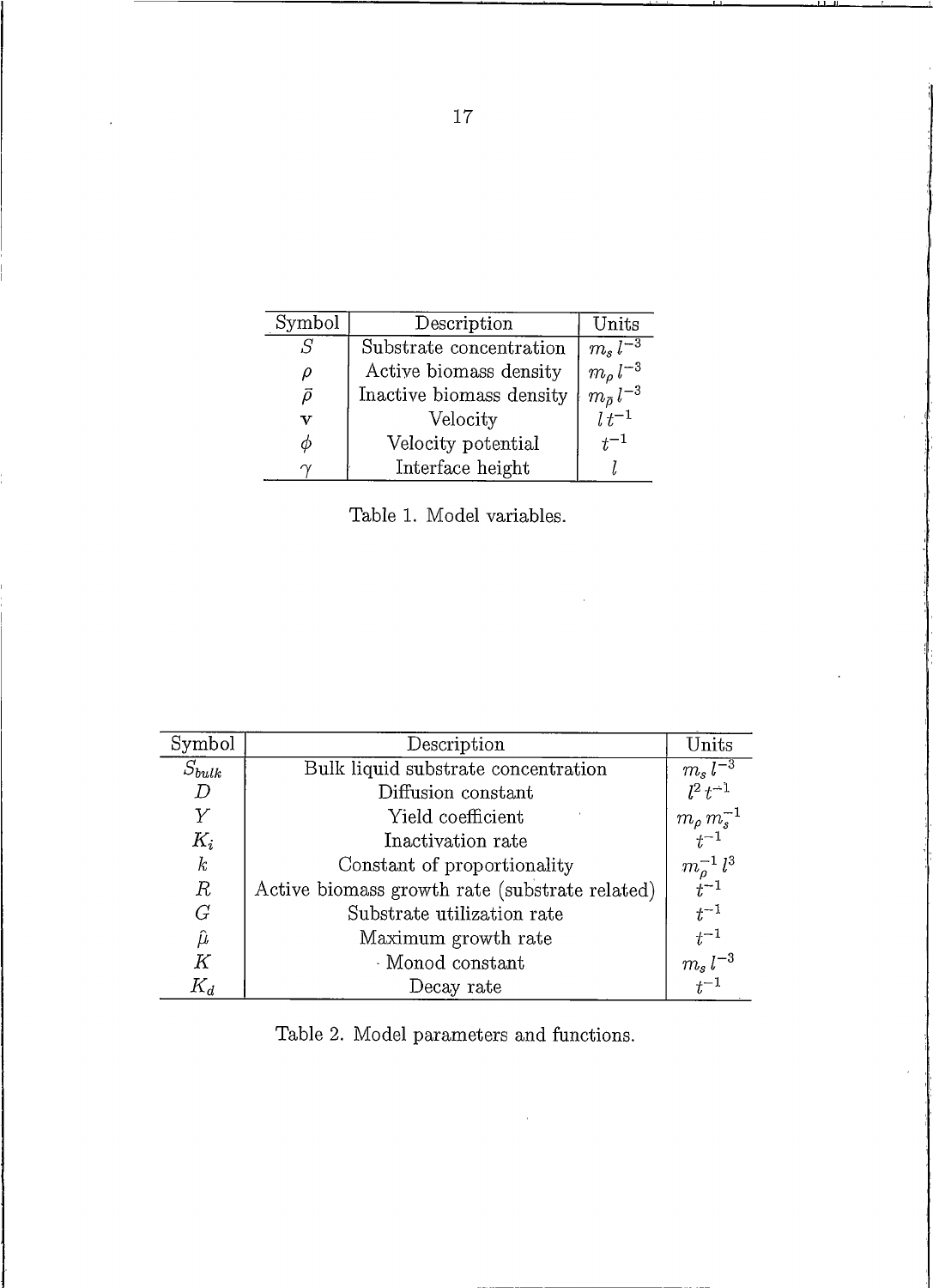| Symbol      | Description              | $_{\rm Units}$                                  |
|-------------|--------------------------|-------------------------------------------------|
| .S          | Substrate concentration  | $m_s\,l^{-3}$                                   |
| ρ           | Active biomass density   |                                                 |
| ō           | Inactive biomass density | $\sum_{m_{\tilde{\rho}}}^{\tilde{\rho}} l^{-3}$ |
| $\mathbf v$ | Velocity                 | $\dot{l} t^{-1}$                                |
| Ф           | Velocity potential       | $t^{-1}$                                        |
|             | Interface height         |                                                 |

Table 1. Model variables.

 $\hat{\boldsymbol{\beta}}$ 

| Symbol           | Description                                    | Units                                                            |
|------------------|------------------------------------------------|------------------------------------------------------------------|
| $S_{bulk}$       | Bulk liquid substrate concentration            | $\overline{\frac{m_s\,l^{-3}}{l^2\,t^{-1}}}$                     |
| $D \$            | Diffusion constant                             |                                                                  |
| $\overline{Y}$   | Yield coefficient                              |                                                                  |
| $K_i$            | Inactivation rate                              | $\frac{1}{m_\rho}\frac{m_s^{-1}}{m_s^{-1}}$                      |
| $\boldsymbol{k}$ | Constant of proportionality                    | $\begin{array}{c} m_\rho^{-1}\,l^3\\ t^{-1} \end{array}$         |
| $\mathbb R$      | Active biomass growth rate (substrate related) |                                                                  |
| G                | Substrate utilization rate                     | $t^{-1}$                                                         |
| $\hat{\mu}$      | Maximum growth rate                            |                                                                  |
| K                | Monod constant                                 | $\begin{array}{c} t^{-1} \\ m_s \, l^{-3} \\ t^{-1} \end{array}$ |
| $K_d$            | Decay rate                                     |                                                                  |

Table 2. Model parameters and functions.

 $\hat{\boldsymbol{\theta}}$ 

 $17$ 

 $\ddot{\phantom{a}}$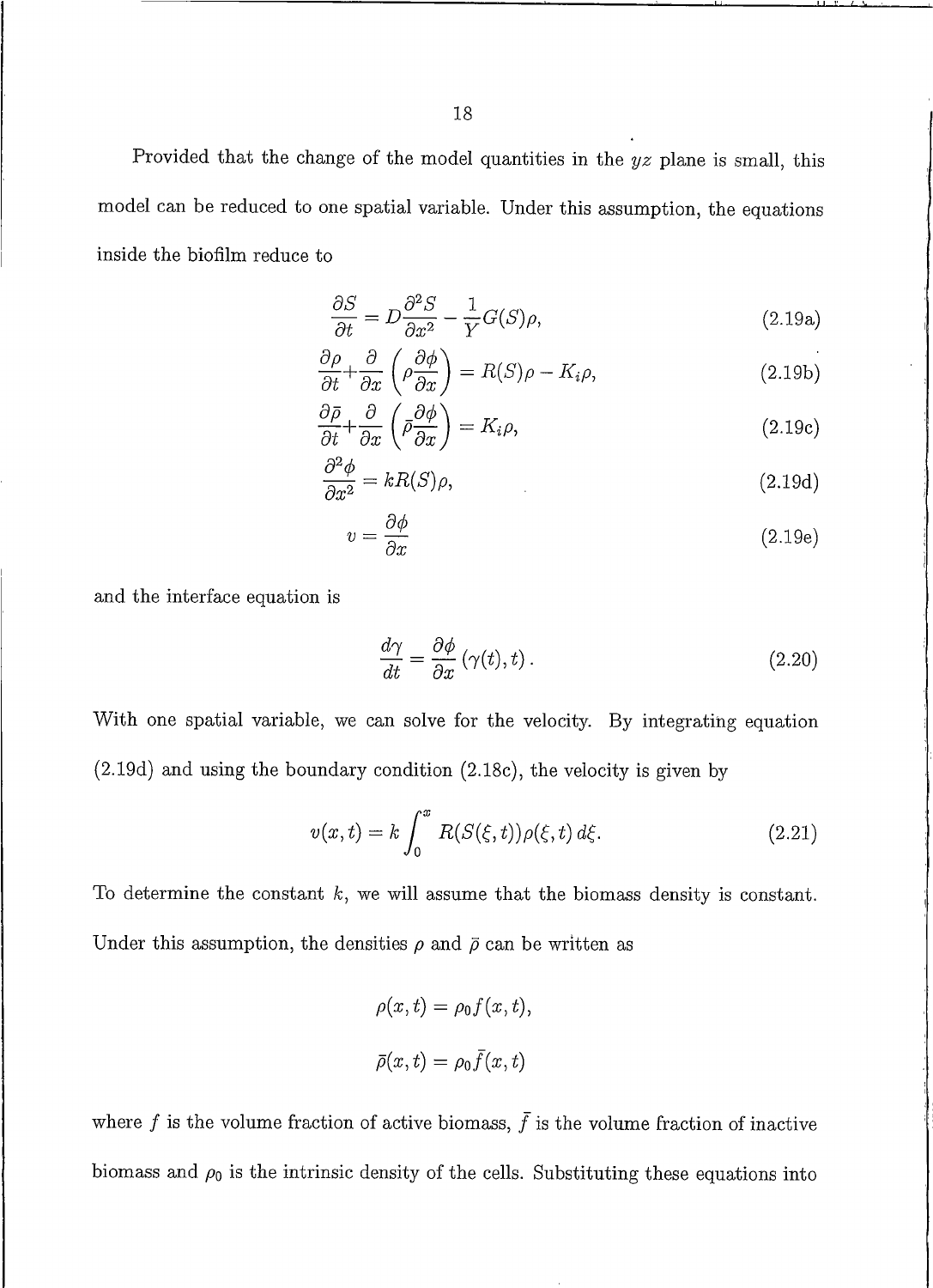Provided that the change of the model quantities in the  $yz$  plane is small, this model can be reduced to one spatial variable. Under this assumption, the equations inside the biofilm reduce to

$$
\frac{\partial S}{\partial t} = D \frac{\partial^2 S}{\partial x^2} - \frac{1}{Y} G(S) \rho,
$$
\n(2.19a)

$$
\frac{\partial \rho}{\partial t} + \frac{\partial}{\partial x} \left( \rho \frac{\partial \phi}{\partial x} \right) = R(S)\rho - K_i \rho, \qquad (2.19b)
$$

$$
\frac{\partial \bar{\rho}}{\partial t} + \frac{\partial}{\partial x} \left( \bar{\rho} \frac{\partial \phi}{\partial x} \right) = K_i \rho,
$$
\n(2.19c)

$$
\frac{\partial^2 \phi}{\partial x^2} = kR(S)\rho, \tag{2.19d}
$$

$$
v = \frac{\partial \phi}{\partial x} \tag{2.19e}
$$

and the interface equation is

$$
\frac{d\gamma}{dt} = \frac{\partial\phi}{\partial x} \left( \gamma(t), t \right). \tag{2.20}
$$

With one spatial variable, we can solve for the velocity. By integrating equation  $(2.19d)$  and using the boundary condition  $(2.18c)$ , the velocity is given by

$$
v(x,t) = k \int_0^x R(S(\xi, t)) \rho(\xi, t) d\xi.
$$
 (2.21)

To determine the constant  $k$ , we will assume that the biomass density is constant. Under this assumption, the densities  $\rho$  and  $\bar{\rho}$  can be written as

$$
\rho(x,t) = \rho_0 f(x,t),
$$
  

$$
\bar{\rho}(x,t) = \rho_0 \bar{f}(x,t)
$$

where f is the volume fraction of active biomass,  $\bar{f}$  is the volume fraction of inactive biomass and  $\rho_0$  is the intrinsic density of the cells. Substituting these equations into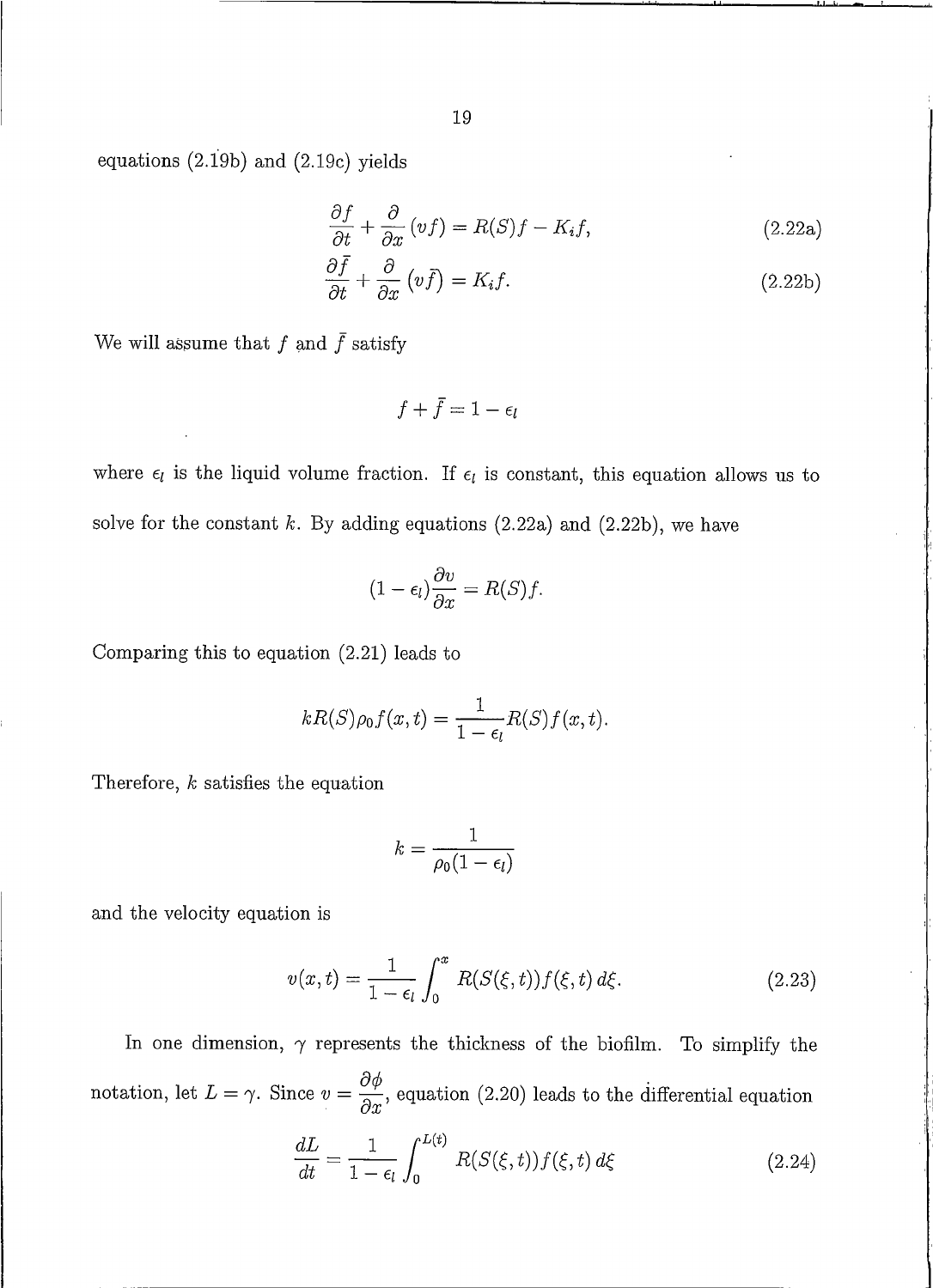equations  $(2.19b)$  and  $(2.19c)$  yields

$$
\frac{\partial f}{\partial t} + \frac{\partial}{\partial x} (vf) = R(S)f - K_i f,
$$
\n(2.22a)

$$
\frac{\partial f}{\partial t} + \frac{\partial}{\partial x} \left( v \bar{f} \right) = K_i f. \tag{2.22b}
$$

We will assume that  $f$  and  $\bar{f}$  satisfy

 $f + \overline{f} = 1 - \epsilon_I$ 

where  $\epsilon_l$  is the liquid volume fraction. If  $\epsilon_l$  is constant, this equation allows us to solve for the constant  $k$ . By adding equations (2.22a) and (2.22b), we have

$$
(1 - \epsilon_l) \frac{\partial v}{\partial x} = R(S) f.
$$

Comparing this to equation  $(2.21)$  leads to

$$
kR(S)\rho_0 f(x,t) = \frac{1}{1-\epsilon_l}R(S)f(x,t).
$$

Therefore,  $k$  satisfies the equation

$$
k=\frac{1}{\rho_0(1-\epsilon_l)}
$$

and the velocity equation is

$$
v(x,t) = \frac{1}{1 - \epsilon_l} \int_0^x R(S(\xi, t)) f(\xi, t) d\xi.
$$
 (2.23)

In one dimension,  $\gamma$  represents the thickness of the biofilm. To simplify the notation, let  $L = \gamma$ . Since  $v = \frac{\partial \phi}{\partial x}$ , equation (2.20) leads to the differential equation

$$
\frac{dL}{dt} = \frac{1}{1 - \epsilon_l} \int_0^{L(t)} R(S(\xi, t)) f(\xi, t) d\xi
$$
 (2.24)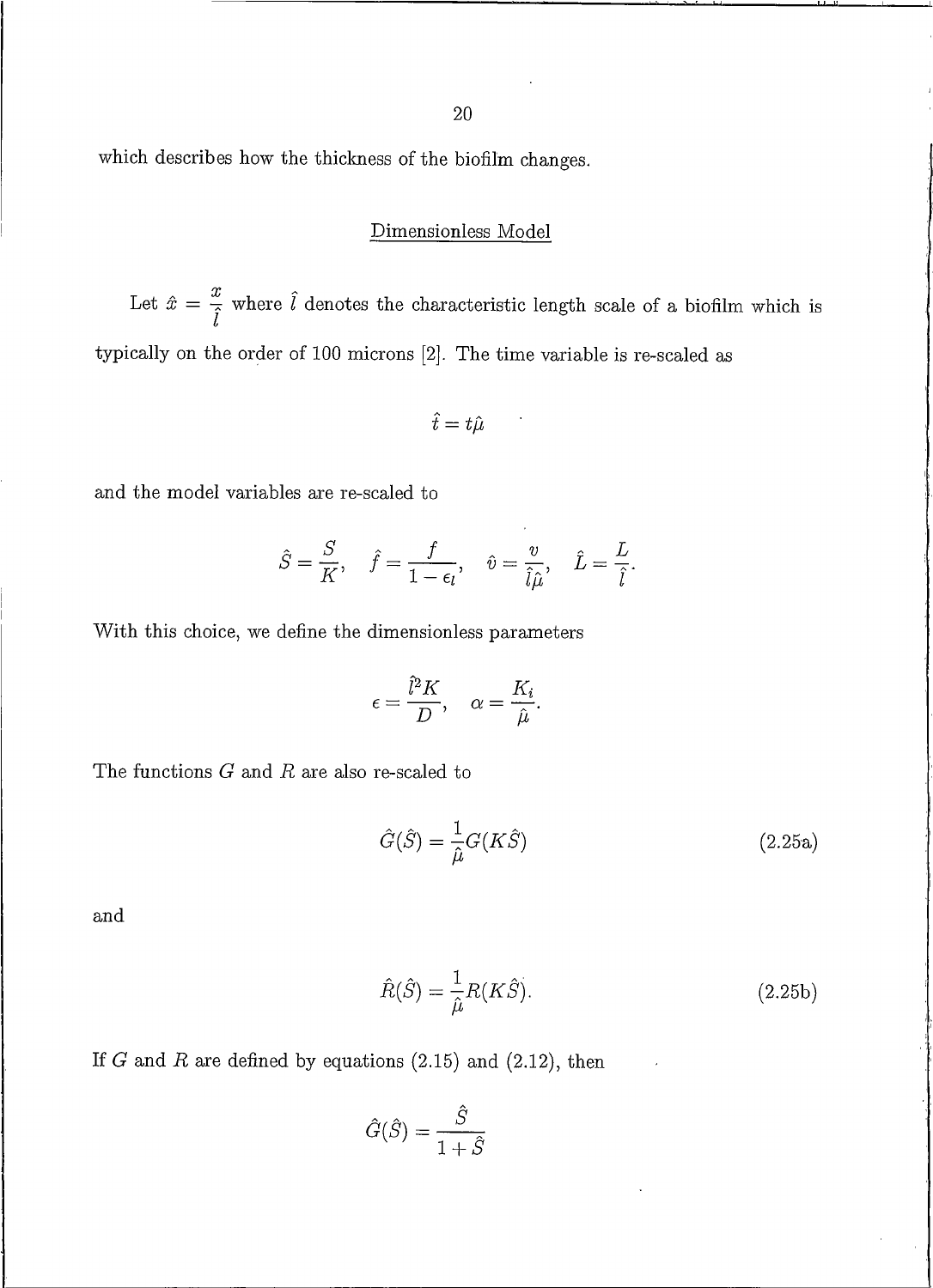20

which describes how the thickness of the biofilm changes.

### Dimensionless Model

Let  $\hat{x} = \frac{x}{\hat{l}}$  where  $\hat{l}$  denotes the characteristic length scale of a biofilm which is typically on the order of 100 microns [2]. The time variable is re-scaled as

$$
\hat{t}=t\hat{\mu}
$$

and the model variables are re-scaled to

$$
\hat{S} = \frac{S}{K}, \quad \hat{f} = \frac{f}{1 - \epsilon_l}, \quad \hat{v} = \frac{v}{\hat{l}\hat{\mu}}, \quad \hat{L} = \frac{L}{\hat{l}}.
$$

With this choice, we define the dimensionless parameters

$$
\epsilon = \frac{\hat{l}^2 K}{D}, \quad \alpha = \frac{K_i}{\hat{\mu}}.
$$

The functions  $G$  and  $R$  are also re-scaled to

$$
\hat{G}(\hat{S}) = \frac{1}{\hat{\mu}} G(K\hat{S})
$$
\n(2.25a)

and

$$
\hat{R}(\hat{S}) = \frac{1}{\hat{\mu}} R(K\hat{S}).
$$
\n(2.25b)

If G and R are defined by equations  $(2.15)$  and  $(2.12)$ , then

$$
\hat{G}(\hat{S}) = \frac{\hat{S}}{1 + \hat{S}}
$$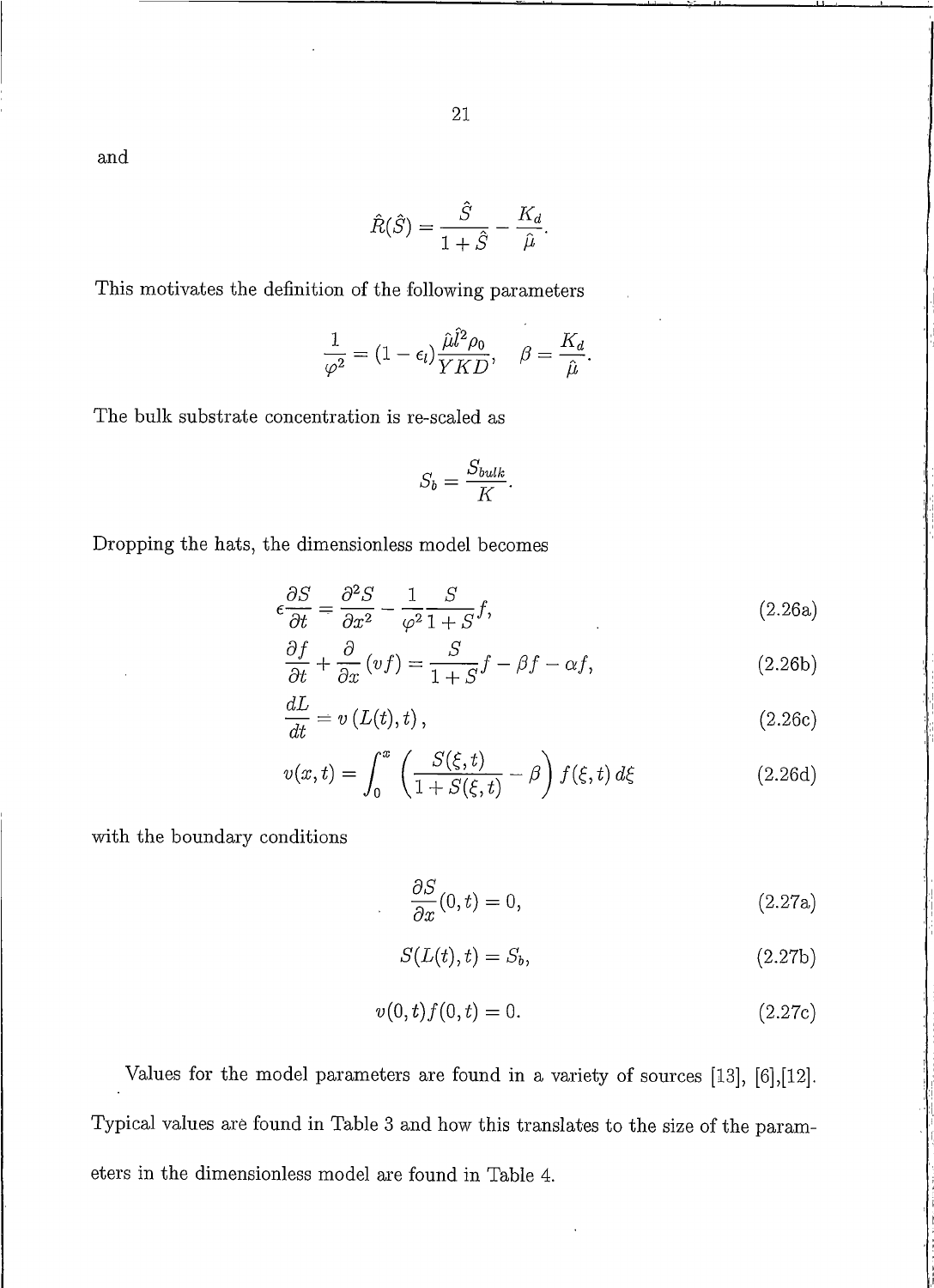and

$$
\hat{R}(\hat{S}) = \frac{\hat{S}}{1 + \hat{S}} - \frac{K_d}{\hat{\mu}}.
$$

This motivates the definition of the following parameters

$$
\frac{1}{\varphi^2} = (1-\epsilon_l) \frac{\hat{\mu} \hat{l}^2 \rho_0}{YKD}, \quad \beta = \frac{K_d}{\hat{\mu}}.
$$

The bulk substrate concentration is re-scaled as

$$
S_b = \frac{S_{bulk}}{K}.
$$

Dropping the hats, the dimensionless model becomes

$$
\epsilon \frac{\partial S}{\partial t} = \frac{\partial^2 S}{\partial x^2} - \frac{1}{\varphi^2} \frac{S}{1+S} f,\tag{2.26a}
$$

$$
\frac{\partial f}{\partial t} + \frac{\partial}{\partial x} (vf) = \frac{S}{1+S}f - \beta f - \alpha f,\tag{2.26b}
$$

$$
\frac{dL}{dt} = v\left(L(t), t\right),\tag{2.26c}
$$

$$
v(x,t) = \int_0^x \left( \frac{S(\xi, t)}{1 + S(\xi, t)} - \beta \right) f(\xi, t) d\xi
$$
 (2.26d)

with the boundary conditions

$$
\frac{\partial S}{\partial x}(0,t) = 0,\t\t(2.27a)
$$

$$
S(L(t), t) = S_b,
$$
\n
$$
(2.27b)
$$

$$
v(0,t)f(0,t) = 0.\t\t(2.27c)
$$

Values for the model parameters are found in a variety of sources  $[13]$ ,  $[6]$ ,  $[12]$ . Typical values are found in Table 3 and how this translates to the size of the parameters in the dimensionless model are found in Table 4.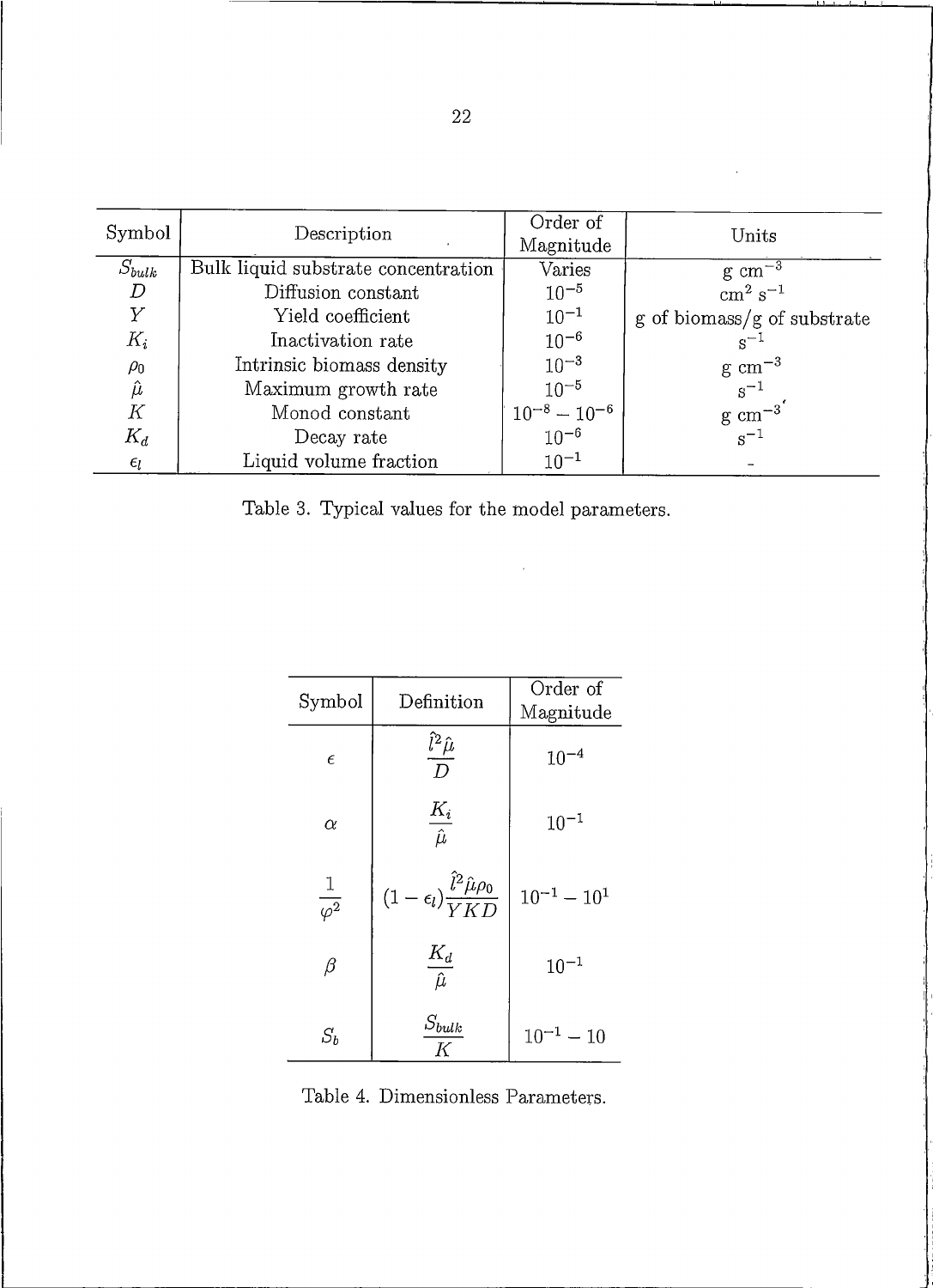| Symbol           | Description                         | Order of<br>Magnitude             | Units                                                 |
|------------------|-------------------------------------|-----------------------------------|-------------------------------------------------------|
| $S_{bulk}$       | Bulk liquid substrate concentration | Varies                            | $\frac{\text{g cm}^{-3}}{\text{cm}^2 \text{ s}^{-1}}$ |
| $\boldsymbol{D}$ | Diffusion constant                  | $10^{-5}$                         |                                                       |
| $\overline{Y}$   | Yield coefficient                   | $10^{-1}$                         | $g \text{ of biomass/g of substrate}$                 |
| $K_i$            | Inactivation rate                   | $10^{-6}$                         | $s^{-1}$                                              |
| $\rho_0$         | Intrinsic biomass density           | $10^{-3}$                         | $\rm g\ cm^{-3}$                                      |
| $\hat{\mu}$      | Maximum growth rate                 | $10^{-5}$                         | $s^{-1}$                                              |
| К                | Monod constant                      | $\frac{10^{-8}-10^{-6}}{10^{-6}}$ | $\mathrm{g}\ \mathrm{cm}^{-3}$<br>$\mathrm{s}^{-1}$   |
| $K_d$            | Decay rate                          |                                   |                                                       |
| $\epsilon_l$     | Liquid volume fraction              | $10^{-1}$                         |                                                       |

Table 3. Typical values for the model parameters.

| Symbol              | Definition                                                     | Order of<br>Magnitude |
|---------------------|----------------------------------------------------------------|-----------------------|
| $\epsilon$          | $\frac{\hat{l}^2 \hat{\mu}}{D}$                                | $10^{-4}$             |
| $\alpha$            | $\frac{K_i}{\hat{\mu}}$                                        | $10^{-1}$             |
| $rac{1}{\varphi^2}$ | $(1-\epsilon_l)\frac{\hat{l}^2\hat{\mu}\rho_0}{V\,K\varOmega}$ | $10^{-1} - 10^{1}$    |
| $\beta$             | $\frac{K_d}{\hat{\mu}}$                                        | $10^{-1}$             |
| $S_b$               | $S_{bulk}$<br>K                                                | $10^{-1} - 10$        |

Table 4. Dimensionless Parameters.

L.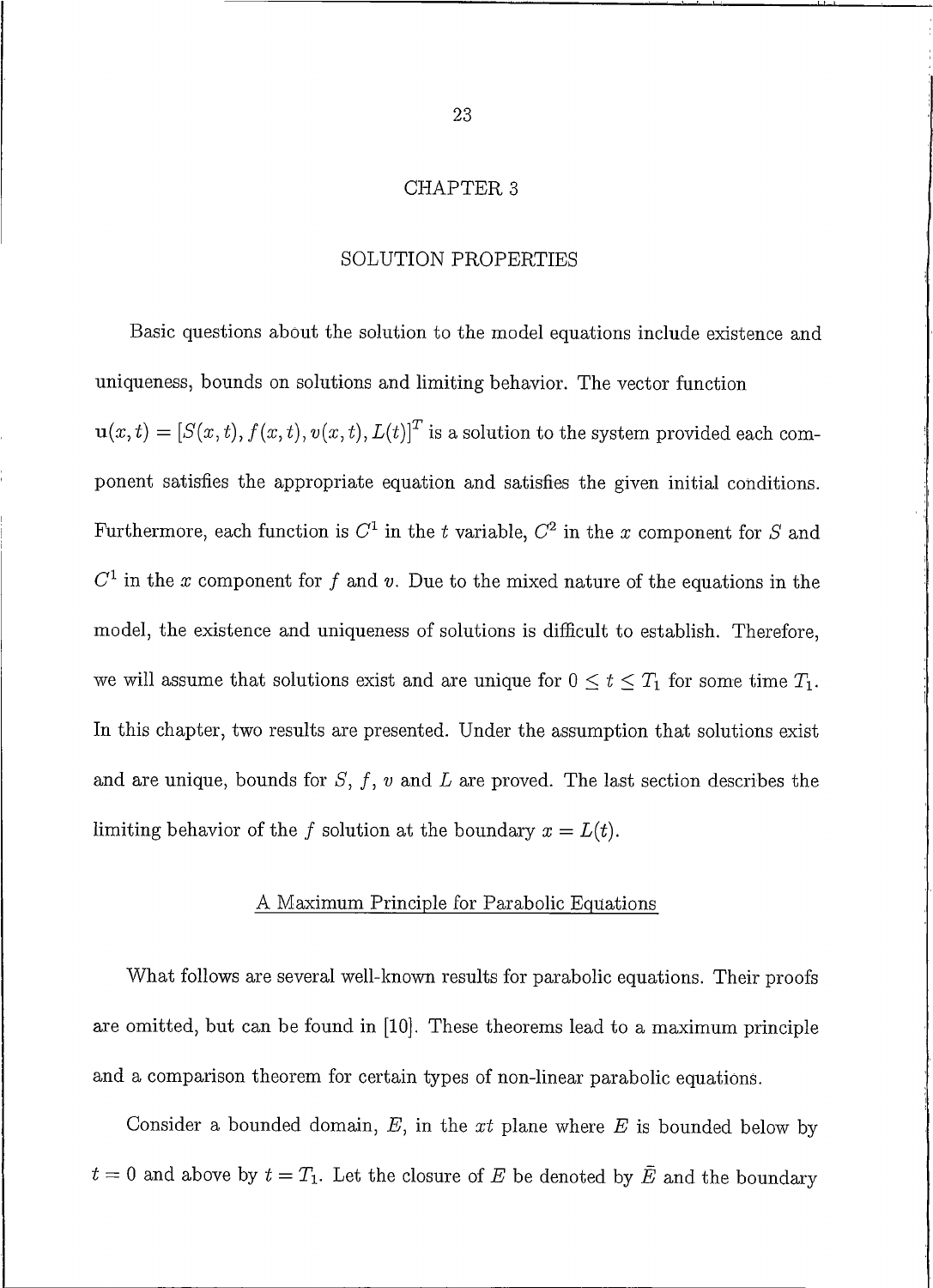#### **CHAPTER 3**

#### SOLUTION PROPERTIES

Basic questions about the solution to the model equations include existence and uniqueness, bounds on solutions and limiting behavior. The vector function  $\mathbf{u}(x,t) = [S(x,t), f(x,t), v(x,t), L(t)]^T$  is a solution to the system provided each component satisfies the appropriate equation and satisfies the given initial conditions. Furthermore, each function is  $C^1$  in the t variable,  $C^2$  in the x component for S and  $C<sup>1</sup>$  in the x component for f and v. Due to the mixed nature of the equations in the model, the existence and uniqueness of solutions is difficult to establish. Therefore, we will assume that solutions exist and are unique for  $0 \le t \le T_1$  for some time  $T_1$ . In this chapter, two results are presented. Under the assumption that solutions exist and are unique, bounds for  $S, f, v$  and  $L$  are proved. The last section describes the limiting behavior of the f solution at the boundary  $x = L(t)$ .

#### A Maximum Principle for Parabolic Equations

What follows are several well-known results for parabolic equations. Their proofs are omitted, but can be found in [10]. These theorems lead to a maximum principle and a comparison theorem for certain types of non-linear parabolic equations.

Consider a bounded domain,  $E$ , in the xt plane where  $E$  is bounded below by  $t=0$  and above by  $t=T_1$ . Let the closure of E be denoted by  $\overline{E}$  and the boundary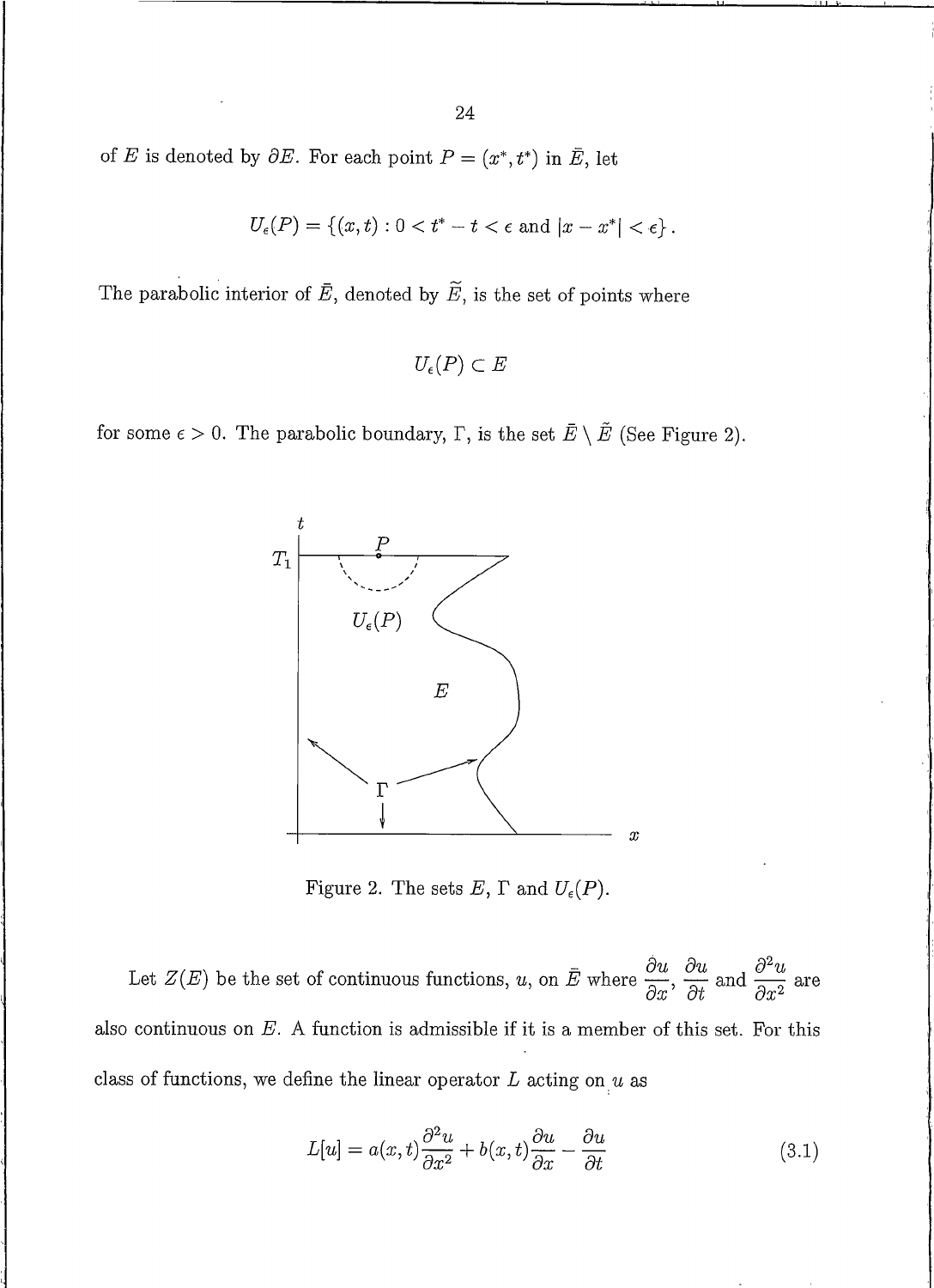of E is denoted by  $\partial E$ . For each point  $P = (x^*, t^*)$  in  $\overline{E}$ , let

$$
U_{\epsilon}(P) = \{(x, t) : 0 < t^* - t < \epsilon \text{ and } |x - x^*| < \epsilon\}.
$$

The parabolic interior of  $\overline{E}$ , denoted by  $\widetilde{E}$ , is the set of points where

$$
U_{\epsilon}(P) \subset E
$$

for some  $\epsilon > 0$ . The parabolic boundary,  $\Gamma$ , is the set  $\overline{E} \setminus \overline{E}$  (See Figure 2).



Figure 2. The sets  $E$ ,  $\Gamma$  and  $U_{\epsilon}(P)$ .

Let  $Z(E)$  be the set of continuous functions, u, on  $\bar{E}$  where  $\frac{\partial u}{\partial x}$ ,  $\frac{\partial u}{\partial t}$  and  $\frac{\partial^2 u}{\partial x^2}$  are also continuous on  $E$ . A function is admissible if it is a member of this set. For this class of functions, we define the linear operator  $L$  acting on  $u$  as

$$
L[u] = a(x,t)\frac{\partial^2 u}{\partial x^2} + b(x,t)\frac{\partial u}{\partial x} - \frac{\partial u}{\partial t}
$$
\n(3.1)

24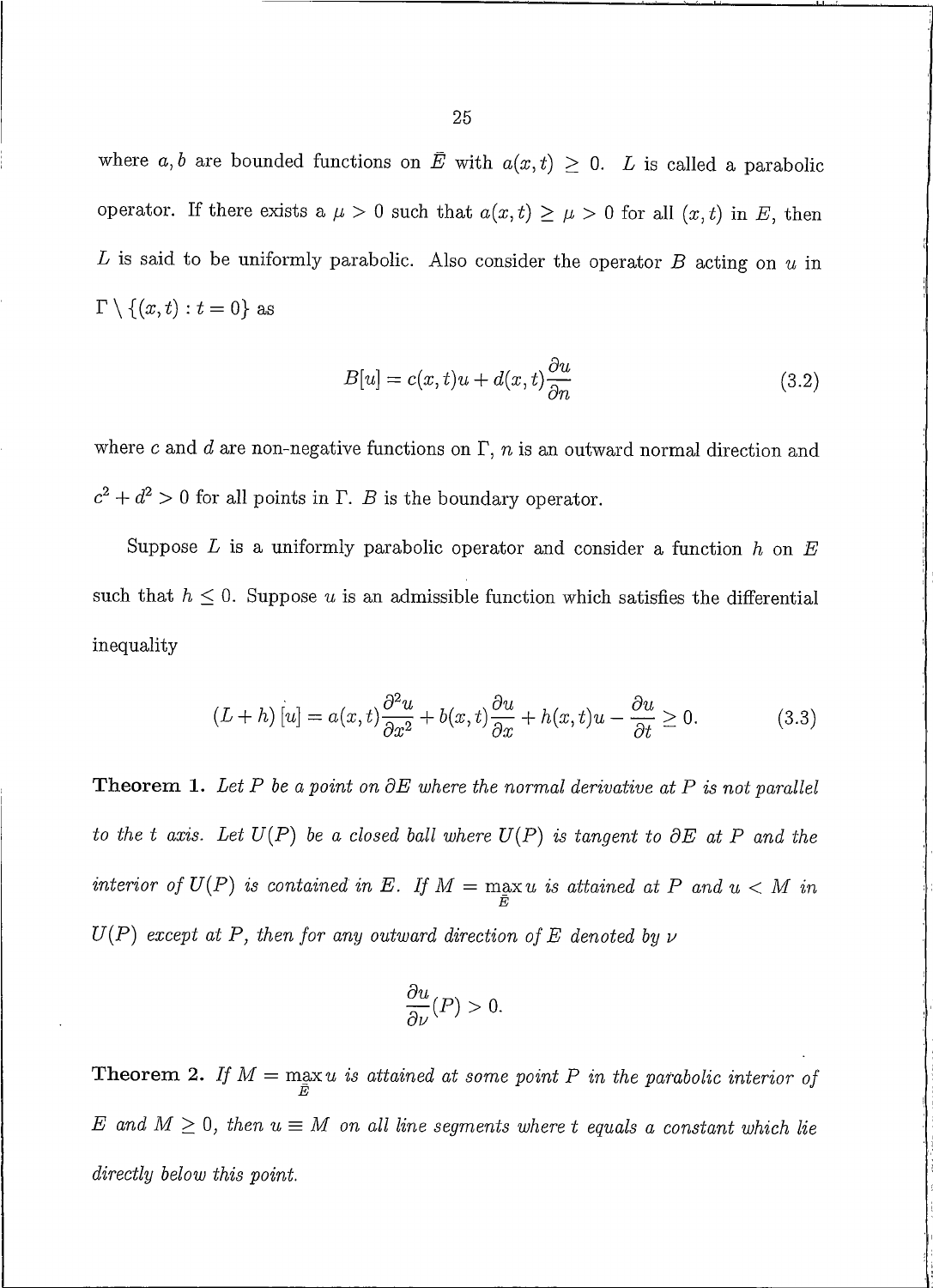where a, b are bounded functions on  $\bar{E}$  with  $a(x,t) \geq 0$ . L is called a parabolic operator. If there exists a  $\mu > 0$  such that  $a(x, t) \ge \mu > 0$  for all  $(x, t)$  in E, then  $L$  is said to be uniformly parabolic. Also consider the operator  $B$  acting on  $u$  in  $\Gamma \setminus \{(x, t) : t = 0\}$  as

$$
B[u] = c(x, t)u + d(x, t)\frac{\partial u}{\partial n}
$$
\n(3.2)

where  $c$  and  $d$  are non-negative functions on  $\Gamma$ ,  $n$  is an outward normal direction and  $c^2 + d^2 > 0$  for all points in  $\Gamma$ . B is the boundary operator.

Suppose  $L$  is a uniformly parabolic operator and consider a function  $h$  on  $E$ such that  $h \leq 0$ . Suppose u is an admissible function which satisfies the differential inequality

$$
(L+h)[u] = a(x,t)\frac{\partial^2 u}{\partial x^2} + b(x,t)\frac{\partial u}{\partial x} + h(x,t)u - \frac{\partial u}{\partial t} \ge 0.
$$
 (3.3)

**Theorem 1.** Let P be a point on  $\partial E$  where the normal derivative at P is not parallel to the t axis. Let  $U(P)$  be a closed ball where  $U(P)$  is tangent to  $\partial E$  at P and the interior of  $U(P)$  is contained in E. If  $M = \max_{\overline{E}} u$  is attained at P and  $u < M$  in  $U(P)$  except at P, then for any outward direction of E denoted by  $\nu$ 

$$
\frac{\partial u}{\partial \nu}(P) > 0.
$$

**Theorem 2.** If  $M = \max_{\overline{E}} u$  is attained at some point P in the parabolic interior of E and  $M \geq 0$ , then  $u \equiv M$  on all line segments where t equals a constant which lie directly below this point.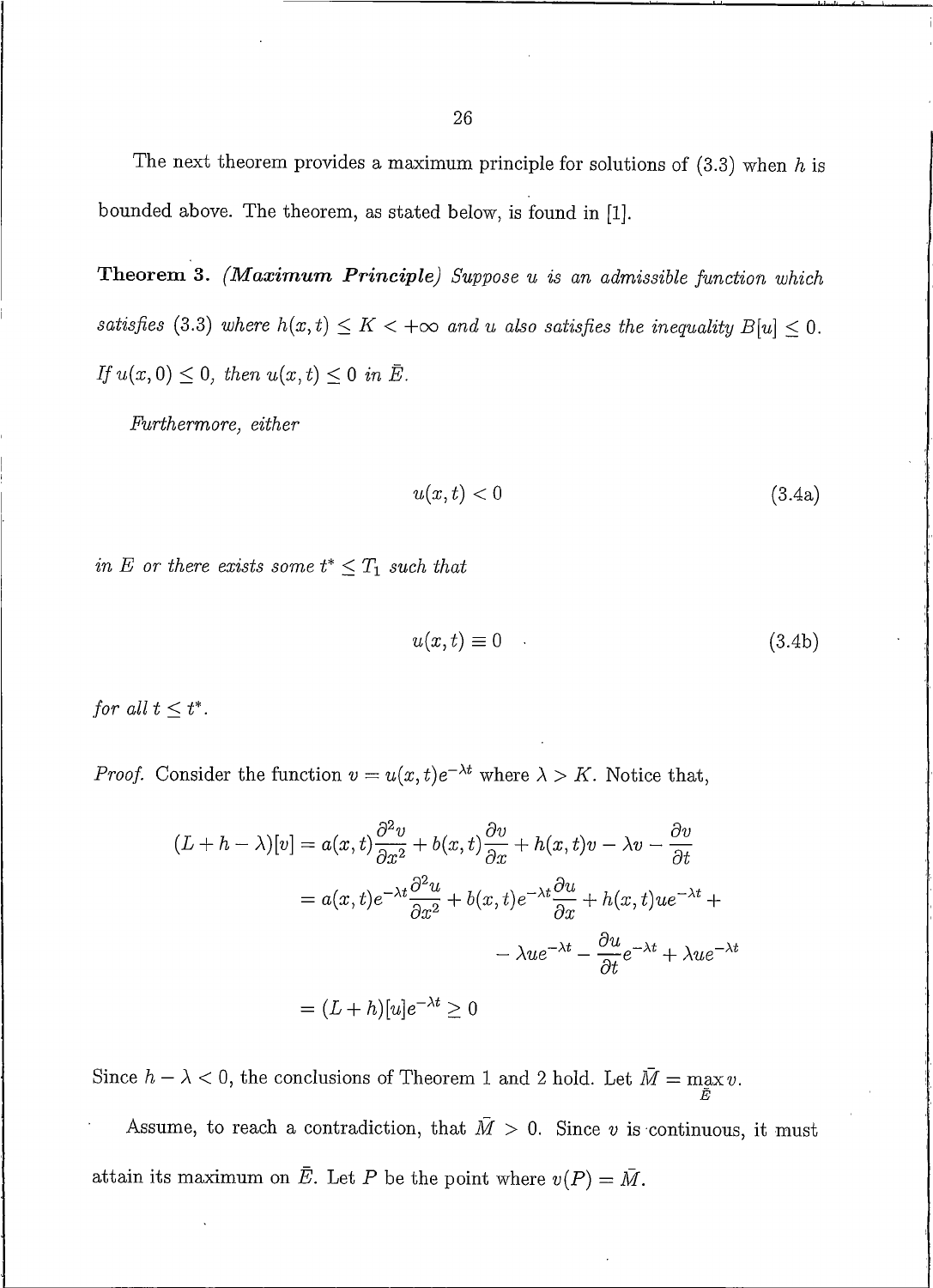The next theorem provides a maximum principle for solutions of  $(3.3)$  when h is bounded above. The theorem, as stated below, is found in [1].

Theorem 3. (Maximum Principle) Suppose u is an admissible function which satisfies (3.3) where  $h(x,t) \leq K < +\infty$  and u also satisfies the inequality  $B[u] \leq 0$ . If  $u(x, 0) \leq 0$ , then  $u(x, t) \leq 0$  in  $\overline{E}$ .

Furthermore, either

$$
u(x,t) < 0 \tag{3.4a}
$$

in E or there exists some  $t^* \leq T_1$  such that

$$
u(x,t) \equiv 0 \tag{3.4b}
$$

for all  $t \leq t^*$ .

*Proof.* Consider the function  $v = u(x, t)e^{-\lambda t}$  where  $\lambda > K$ . Notice that,

$$
(L+h - \lambda)[v] = a(x,t)\frac{\partial^2 v}{\partial x^2} + b(x,t)\frac{\partial v}{\partial x} + h(x,t)v - \lambda v - \frac{\partial v}{\partial t}
$$

$$
= a(x,t)e^{-\lambda t}\frac{\partial^2 u}{\partial x^2} + b(x,t)e^{-\lambda t}\frac{\partial u}{\partial x} + h(x,t)ue^{-\lambda t} +
$$

$$
- \lambda ue^{-\lambda t} - \frac{\partial u}{\partial t}e^{-\lambda t} + \lambda ue^{-\lambda t}
$$

$$
= (L+h)[u]e^{-\lambda t} \ge 0
$$

Since  $h - \lambda < 0$ , the conclusions of Theorem 1 and 2 hold. Let  $\overline{M} = \max_{\overline{E}} v$ .

Assume, to reach a contradiction, that  $\overline{M} > 0$ . Since v is continuous, it must attain its maximum on  $\overline{E}$ . Let P be the point where  $v(P) = \overline{M}$ .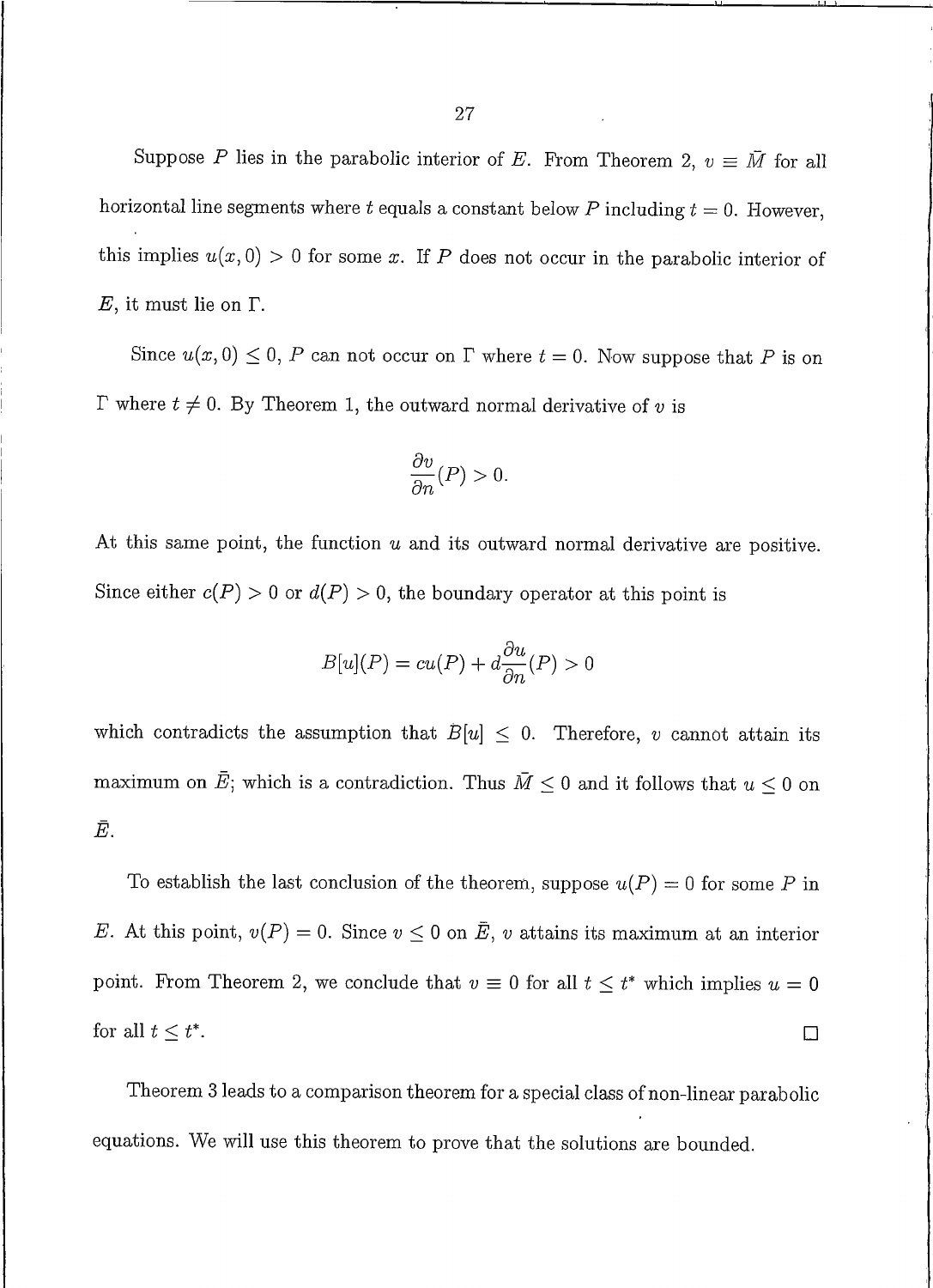Suppose P lies in the parabolic interior of E. From Theorem 2,  $v \equiv \overline{M}$  for all horizontal line segments where t equals a constant below P including  $t = 0$ . However, this implies  $u(x, 0) > 0$  for some x. If P does not occur in the parabolic interior of  $E$ , it must lie on  $\Gamma$ .

Since  $u(x, 0) \le 0$ , P can not occur on  $\Gamma$  where  $t = 0$ . Now suppose that P is on  $\Gamma$  where  $t \neq 0$ . By Theorem 1, the outward normal derivative of v is

$$
\frac{\partial v}{\partial n}(P) > 0.
$$

At this same point, the function  $u$  and its outward normal derivative are positive. Since either  $c(P) > 0$  or  $d(P) > 0$ , the boundary operator at this point is

$$
B[u](P) = cu(P) + d\frac{\partial u}{\partial n}(P) > 0
$$

which contradicts the assumption that  $B[u] \leq 0$ . Therefore, v cannot attain its maximum on  $\bar{E}$ ; which is a contradiction. Thus  $\bar{M} \leq 0$  and it follows that  $u \leq 0$  on Ē.

To establish the last conclusion of the theorem, suppose  $u(P) = 0$  for some P in E. At this point,  $v(P) = 0$ . Since  $v \le 0$  on  $\overline{E}$ , v attains its maximum at an interior point. From Theorem 2, we conclude that  $v \equiv 0$  for all  $t \leq t^*$  which implies  $u = 0$ for all  $t \leq t^*$ .  $\Box$ 

Theorem 3 leads to a comparison theorem for a special class of non-linear parabolic equations. We will use this theorem to prove that the solutions are bounded.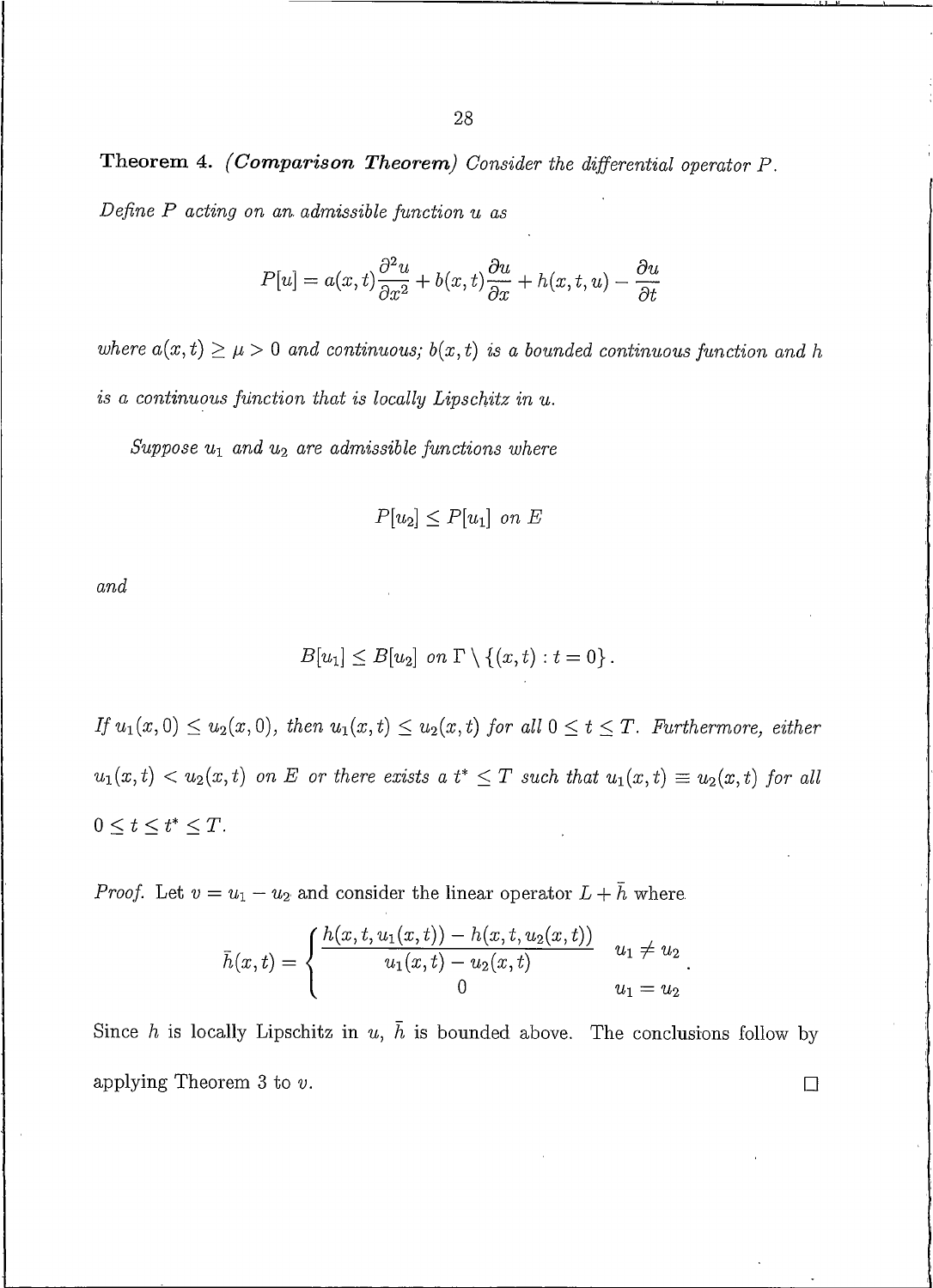Theorem 4. (Comparison Theorem) Consider the differential operator P. Define  $P$  acting on an admissible function  $u$  as

$$
P[u] = a(x,t)\frac{\partial^2 u}{\partial x^2} + b(x,t)\frac{\partial u}{\partial x} + h(x,t,u) - \frac{\partial u}{\partial t}
$$

where  $a(x,t) \geq \mu > 0$  and continuous;  $b(x,t)$  is a bounded continuous function and h is a continuous function that is locally Lipschitz in u.

Suppose  $u_1$  and  $u_2$  are admissible functions where

$$
P[u_2] \le P[u_1] \text{ on } E
$$

and

$$
B[u_1] \leq B[u_2] \text{ on } \Gamma \setminus \{(x,t) : t = 0\}.
$$

If  $u_1(x, 0) \le u_2(x, 0)$ , then  $u_1(x,t) \le u_2(x,t)$  for all  $0 \le t \le T$ . Furthermore, either  $u_1(x,t) < u_2(x,t)$  on E or there exists a  $t^* \leq T$  such that  $u_1(x,t) \equiv u_2(x,t)$  for all  $0 \leq t \leq t^* \leq T$ .

*Proof.* Let  $v = u_1 - u_2$  and consider the linear operator  $L + \bar{h}$  where

$$
\bar{h}(x,t) = \begin{cases} \frac{h(x,t,u_1(x,t)) - h(x,t,u_2(x,t))}{u_1(x,t) - u_2(x,t)} & u_1 \neq u_2 \\ 0 & u_1 = u_2 \end{cases}
$$

Since h is locally Lipschitz in u,  $\bar{h}$  is bounded above. The conclusions follow by applying Theorem 3 to  $v$ .  $\Box$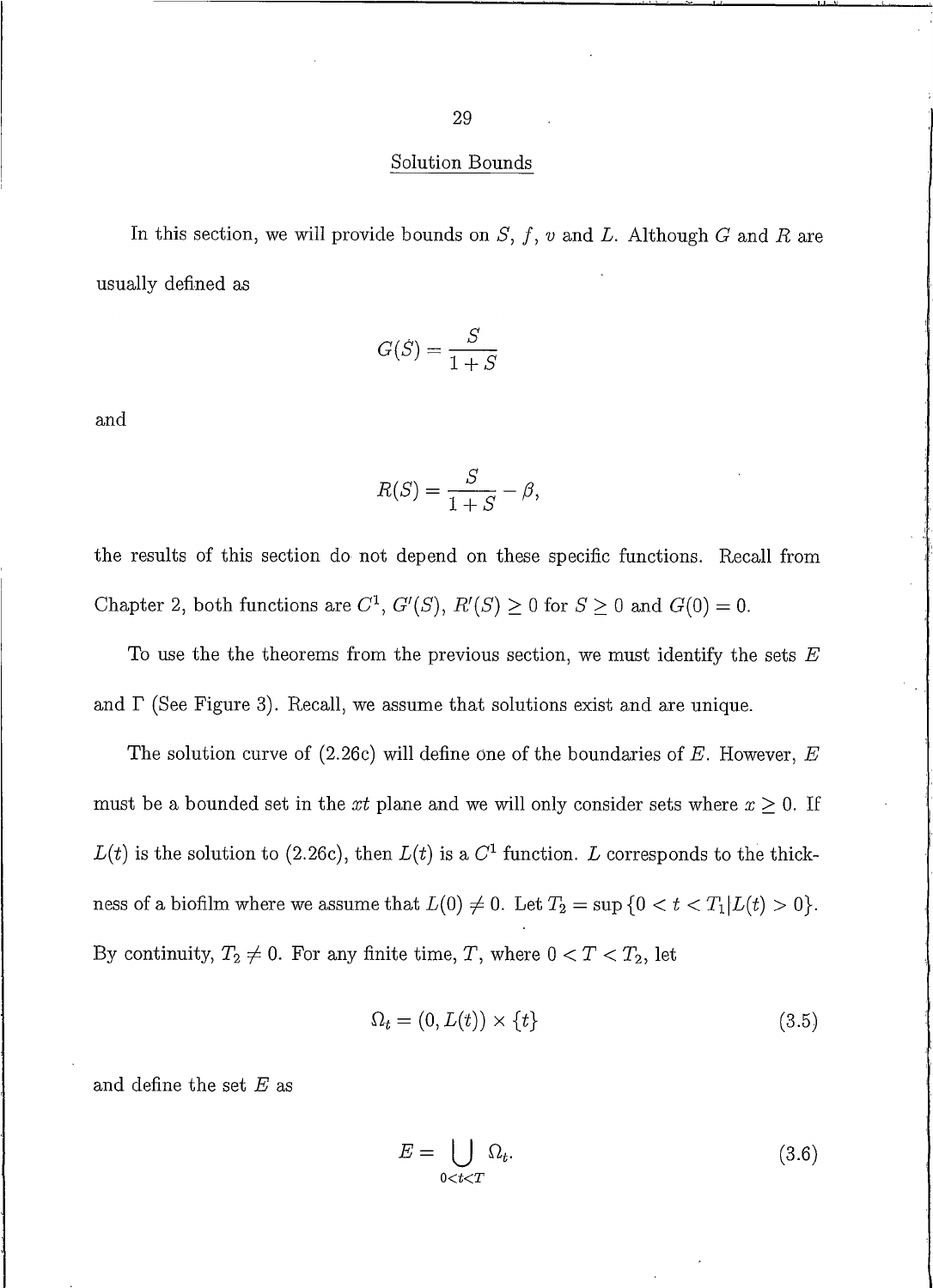29

#### Solution Bounds

In this section, we will provide bounds on  $S, f, v$  and L. Although G and R are usually defined as

$$
G(S) = \frac{S}{1+S}
$$

and

$$
R(S) = \frac{S}{1+S} - \beta,
$$

the results of this section do not depend on these specific functions. Recall from Chapter 2, both functions are  $C^1$ ,  $G'(S)$ ,  $R'(S) \ge 0$  for  $S \ge 0$  and  $G(0) = 0$ .

To use the the theorems from the previous section, we must identify the sets  $E$ and  $\Gamma$  (See Figure 3). Recall, we assume that solutions exist and are unique.

The solution curve of (2.26c) will define one of the boundaries of E. However,  $E$ must be a bounded set in the xt plane and we will only consider sets where  $x \geq 0$ . If  $L(t)$  is the solution to (2.26c), then  $L(t)$  is a  $C<sup>1</sup>$  function. L corresponds to the thickness of a biofilm where we assume that  $L(0) \neq 0$ . Let  $T_2 = \sup \{0 < t < T_1 | L(t) > 0\}$ . By continuity,  $T_2 \neq 0$ . For any finite time, T, where  $0 < T < T_2$ , let

$$
\Omega_t = (0, L(t)) \times \{t\} \tag{3.5}
$$

and define the set  $E$  as

$$
E = \bigcup_{0 < t < T} \Omega_t. \tag{3.6}
$$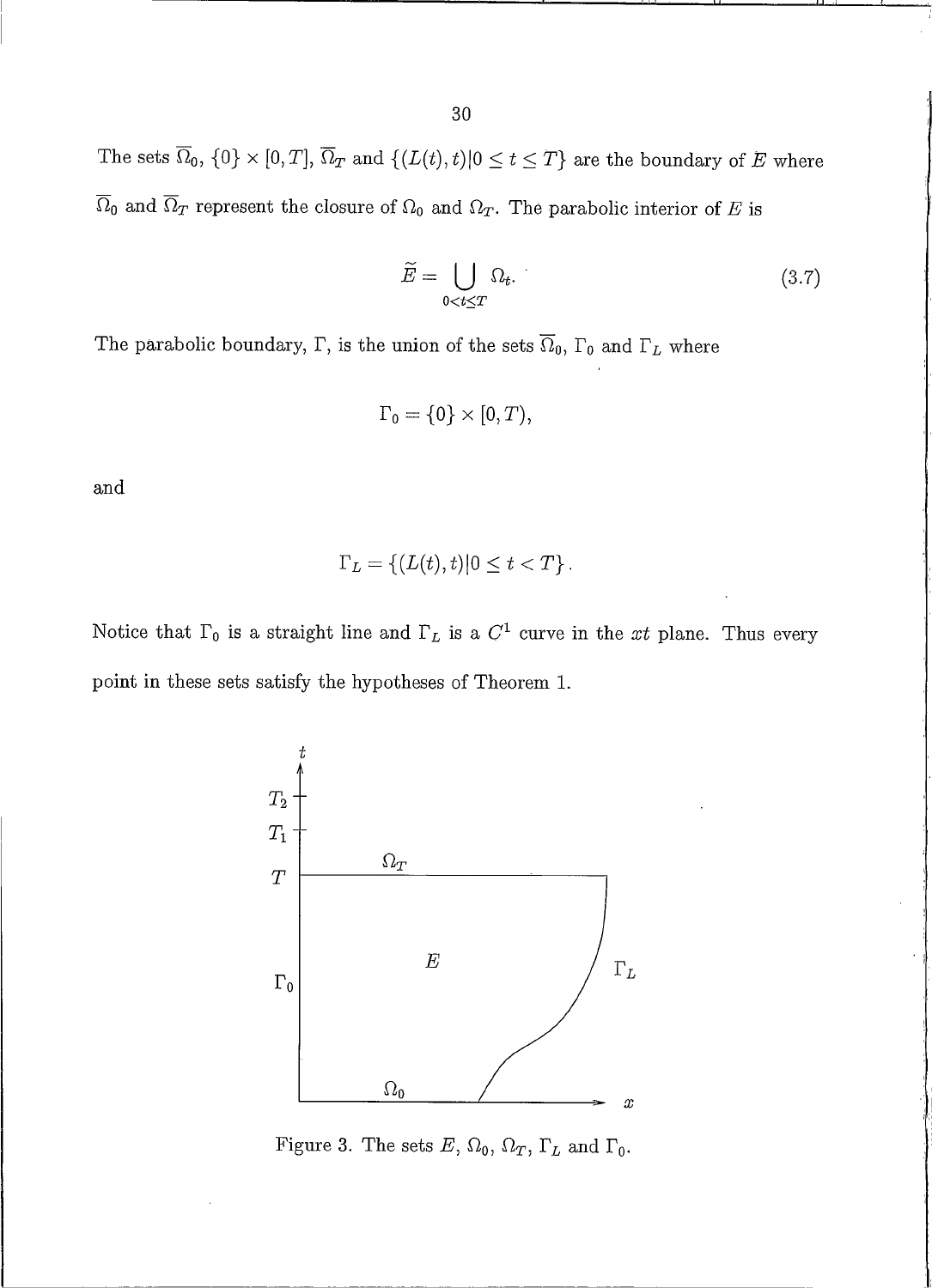The sets  $\overline{\Omega}_0$ ,  $\{0\} \times [0,T]$ ,  $\overline{\Omega}_T$  and  $\{(L(t), t)|0 \le t \le T\}$  are the boundary of E where  $\overline{\Omega}_0$  and  $\overline{\Omega}_T$  represent the closure of  $\Omega_0$  and  $\Omega_T$ . The parabolic interior of E is

$$
\widetilde{E} = \bigcup_{0 < t \le T} \Omega_t. \tag{3.7}
$$

The parabolic boundary,  $\Gamma$ , is the union of the sets  $\overline{\Omega}_0$ ,  $\Gamma_0$  and  $\Gamma_L$  where

$$
\Gamma_0 = \{0\} \times [0, T),
$$

and

$$
\Gamma_L = \left\{ (L(t), t) | 0 \le t < T \right\}.
$$

Notice that  $\Gamma_0$  is a straight line and  $\Gamma_L$  is a  $C^1$  curve in the xt plane. Thus every point in these sets satisfy the hypotheses of Theorem 1.



Figure 3. The sets E,  $\Omega_0$ ,  $\Omega_T$ ,  $\Gamma_L$  and  $\Gamma_0$ .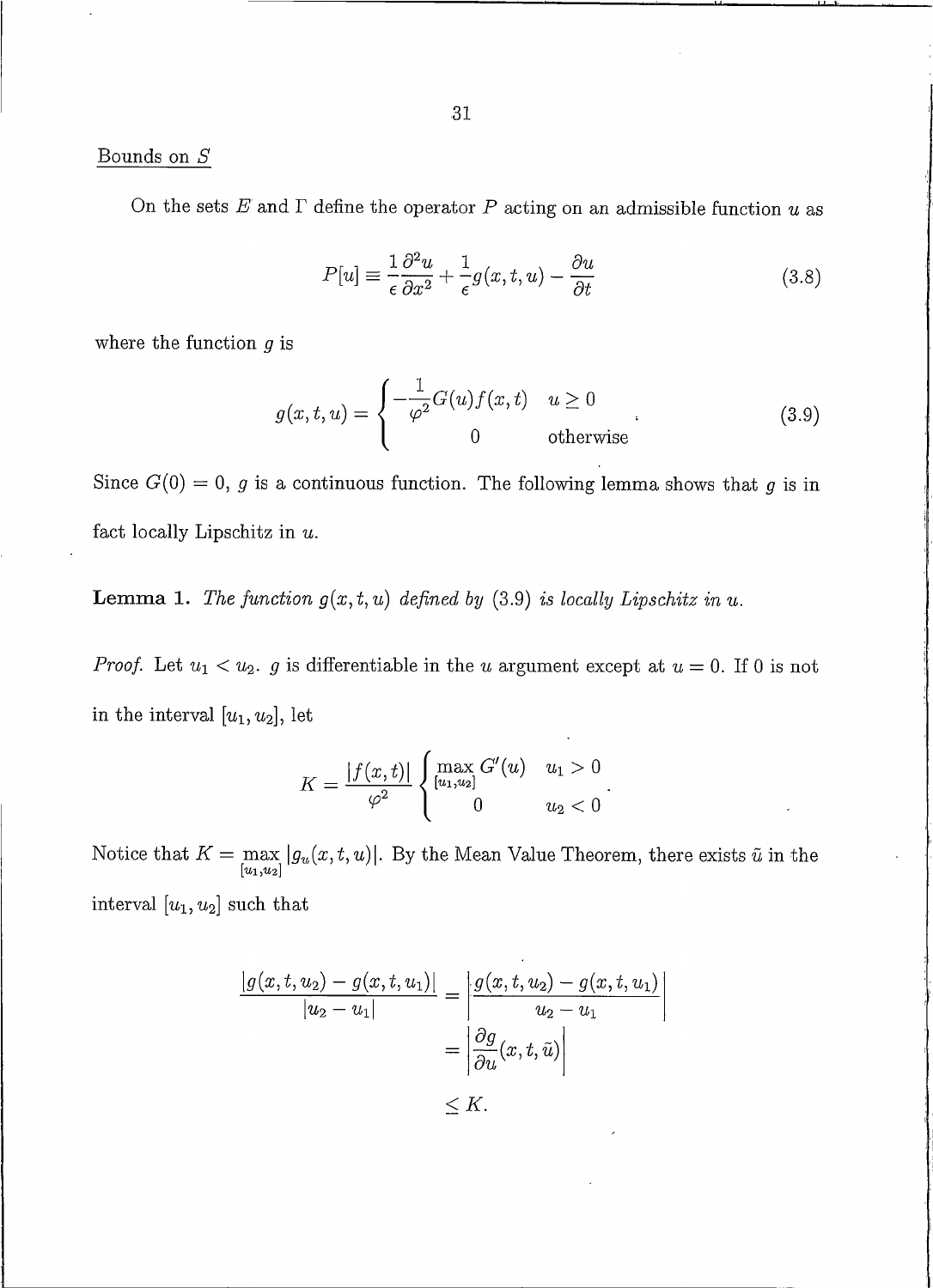## Bounds on  ${\cal S}$

On the sets  $E$  and  $\Gamma$  define the operator  $P$  acting on an admissible function  $u$  as

$$
P[u] \equiv \frac{1}{\epsilon} \frac{\partial^2 u}{\partial x^2} + \frac{1}{\epsilon} g(x, t, u) - \frac{\partial u}{\partial t}
$$
(3.8)

where the function  $g$  is

$$
g(x,t,u) = \begin{cases} -\frac{1}{\varphi^2} G(u)f(x,t) & u \ge 0\\ 0 & \text{otherwise} \end{cases}
$$
 (3.9)

Since  $G(0) = 0$ , g is a continuous function. The following lemma shows that g is in fact locally Lipschitz in  $u$ .

**Lemma 1.** The function  $g(x, t, u)$  defined by (3.9) is locally Lipschitz in u.

*Proof.* Let  $u_1 < u_2$ . g is differentiable in the u argument except at  $u = 0$ . If 0 is not in the interval  $[u_1, u_2]$ , let

$$
K = \frac{|f(x,t)|}{\varphi^2} \begin{cases} \max_{[u_1,u_2]} G'(u) & u_1 > 0 \\ 0 & u_2 < 0 \end{cases}.
$$

Notice that  $K = \max_{[u_1, u_2]} |g_u(x, t, u)|$ . By the Mean Value Theorem, there exists  $\tilde{u}$  in the interval  $[u_1, u_2]$  such that

$$
\frac{|g(x,t,u_2)-g(x,t,u_1)|}{|u_2-u_1|} = \left|\frac{g(x,t,u_2)-g(x,t,u_1)}{u_2-u_1}\right|
$$

$$
= \left|\frac{\partial g}{\partial u}(x,t,\tilde{u})\right|
$$

$$
< K.
$$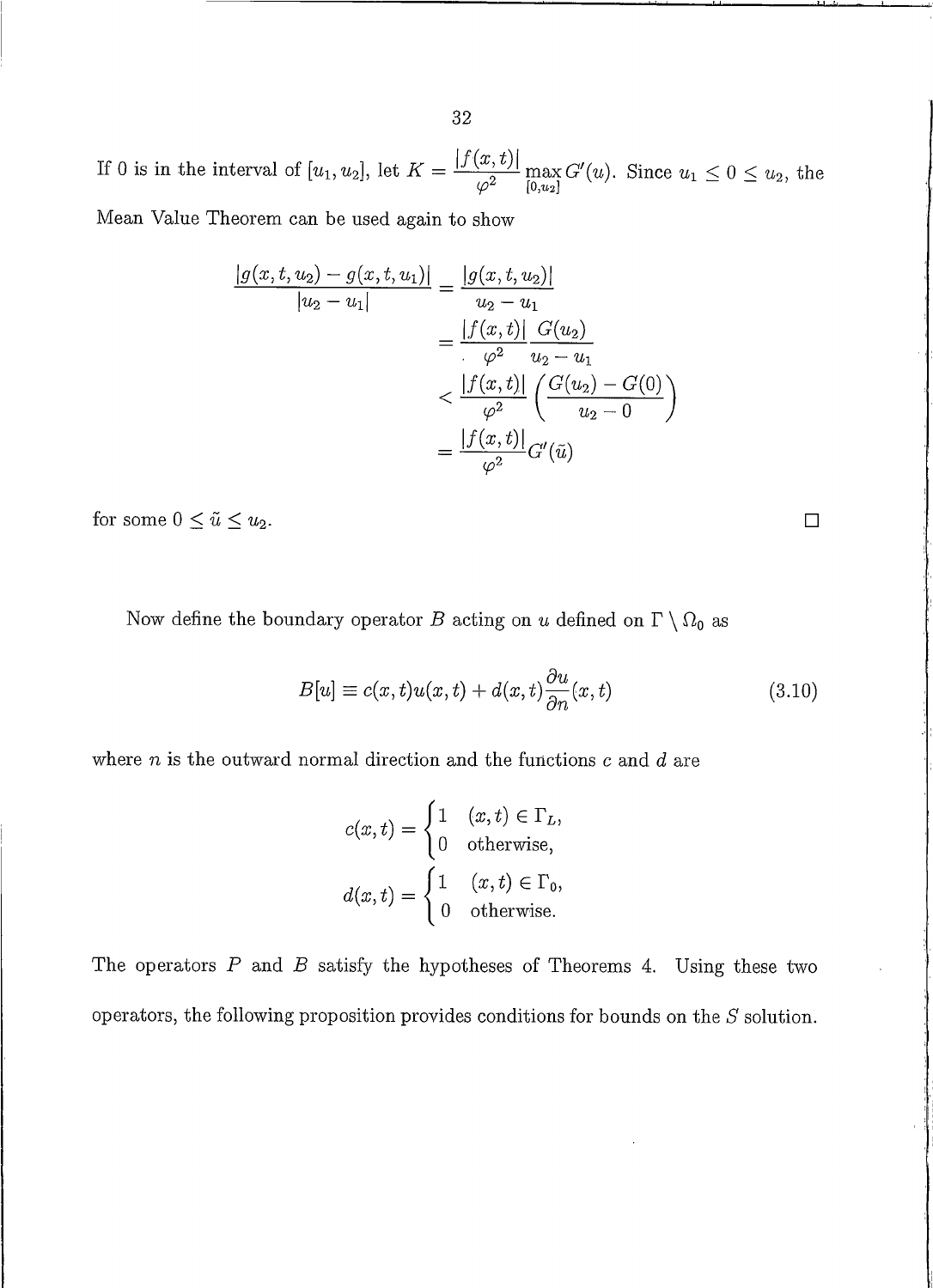32

If 0 is in the interval of  $[u_1, u_2]$ , let  $K = \frac{|f(x, t)|}{\varphi^2} \max_{[0, u_2]} G'(u)$ . Since  $u_1 \leq 0 \leq u_2$ , the

Mean Value Theorem can be used again to show

$$
\frac{|g(x, t, u_2) - g(x, t, u_1)|}{|u_2 - u_1|} = \frac{|g(x, t, u_2)|}{u_2 - u_1}
$$

$$
= \frac{|f(x, t)|}{\varphi^2} \frac{G(u_2)}{u_2 - u_1}
$$

$$
< \frac{|f(x, t)|}{\varphi^2} \left(\frac{G(u_2) - G(0)}{u_2 - 0}\right)
$$

$$
= \frac{|f(x, t)|}{\varphi^2} G'(\tilde{u})
$$

for some  $0 \leq \tilde{u} \leq u_2$ .

Now define the boundary operator  $B$  acting on  $u$  defined on  $\Gamma \setminus \Omega_0$  as

$$
B[u] \equiv c(x,t)u(x,t) + d(x,t)\frac{\partial u}{\partial n}(x,t)
$$
\n(3.10)

 $\Box$ 

where  $n$  is the outward normal direction and the functions  $c$  and  $d$  are

$$
c(x,t) = \begin{cases} 1 & (x,t) \in \Gamma_L, \\ 0 & \text{otherwise,} \end{cases}
$$

$$
d(x,t) = \begin{cases} 1 & (x,t) \in \Gamma_0, \\ 0 & \text{otherwise.} \end{cases}
$$

The operators  $P$  and  $B$  satisfy the hypotheses of Theorems 4. Using these two operators, the following proposition provides conditions for bounds on the  $S$  solution.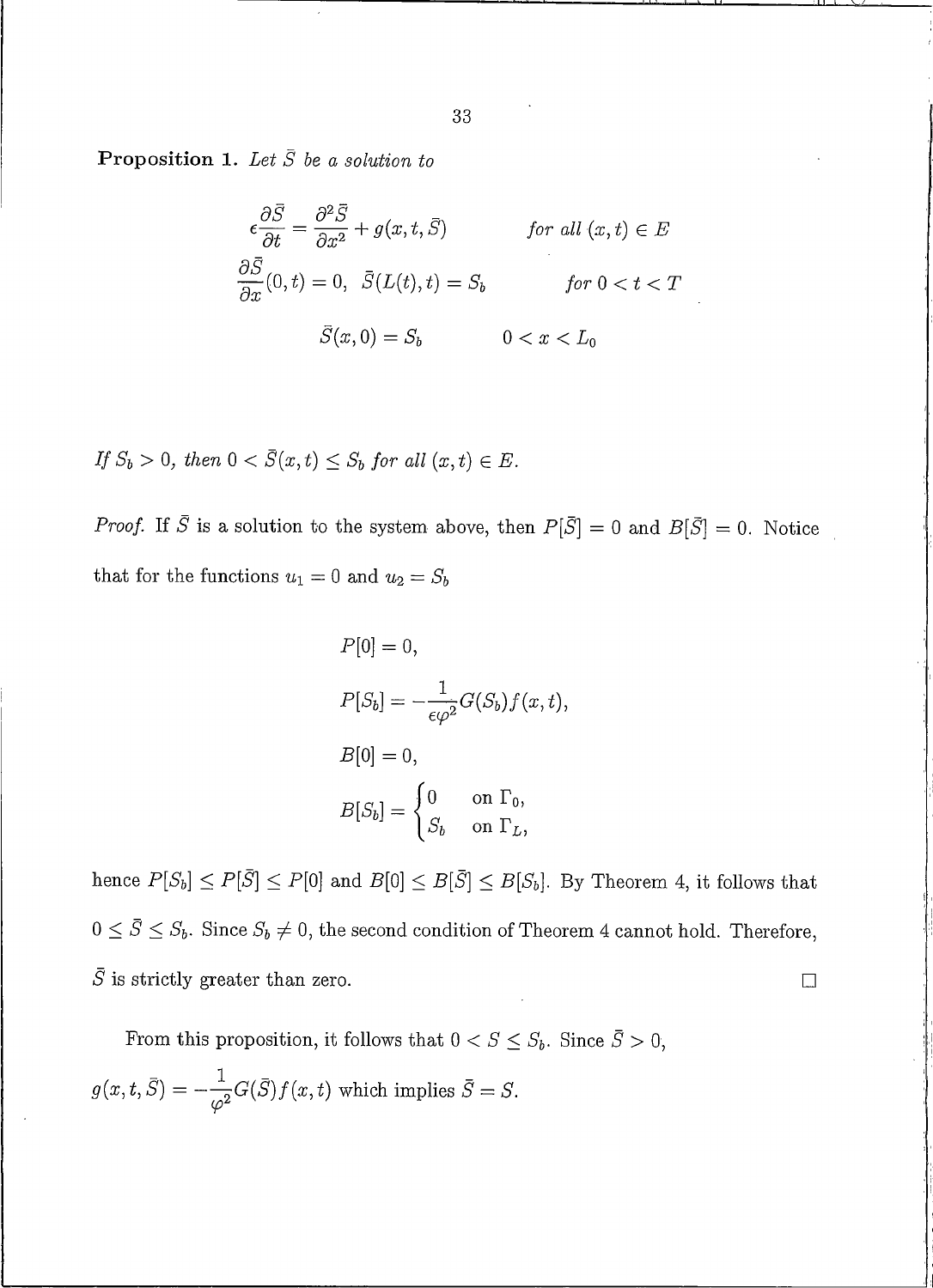**Proposition 1.** Let  $\overline{S}$  be a solution to

$$
\epsilon \frac{\partial \bar{S}}{\partial t} = \frac{\partial^2 \bar{S}}{\partial x^2} + g(x, t, \bar{S}) \qquad \text{for all } (x, t) \in E
$$
  

$$
\frac{\partial \bar{S}}{\partial x}(0, t) = 0, \quad \bar{S}(L(t), t) = S_b \qquad \text{for } 0 < t < T
$$
  

$$
\bar{S}(x, 0) = S_b \qquad 0 < x < L_0
$$

If  $S_b > 0$ , then  $0 < \overline{S}(x, t) \leq S_b$  for all  $(x, t) \in E$ .

*Proof.* If  $\overline{S}$  is a solution to the system above, then  $P[\overline{S}] = 0$  and  $B[\overline{S}] = 0$ . Notice that for the functions  $u_1 = 0$  and  $u_2 = S_b$ 

$$
P[0] = 0,
$$
  
\n
$$
P[S_b] = -\frac{1}{\epsilon \varphi^2} G(S_b) f(x, t),
$$
  
\n
$$
B[0] = 0,
$$
  
\n
$$
B[S_b] = \begin{cases} 0 & \text{on } \Gamma_0, \\ S_b & \text{on } \Gamma_L, \end{cases}
$$

hence  $P[S_b] \le P[\bar{S}] \le P[0]$  and  $B[0] \le B[\bar{S}] \le B[S_b]$ . By Theorem 4, it follows that  $0 \leq \overline{S} \leq S_b$ . Since  $S_b \neq 0$ , the second condition of Theorem 4 cannot hold. Therefore,  $\bar{S}$  is strictly greater than zero.  $\Box$ 

From this proposition, it follows that  $0 < S \leq S_b$ . Since  $\overline{S} > 0$ ,  $g(x, t, \overline{S}) = -\frac{1}{\omega^2} G(\overline{S}) f(x, t)$  which implies  $\overline{S} = S$ .

33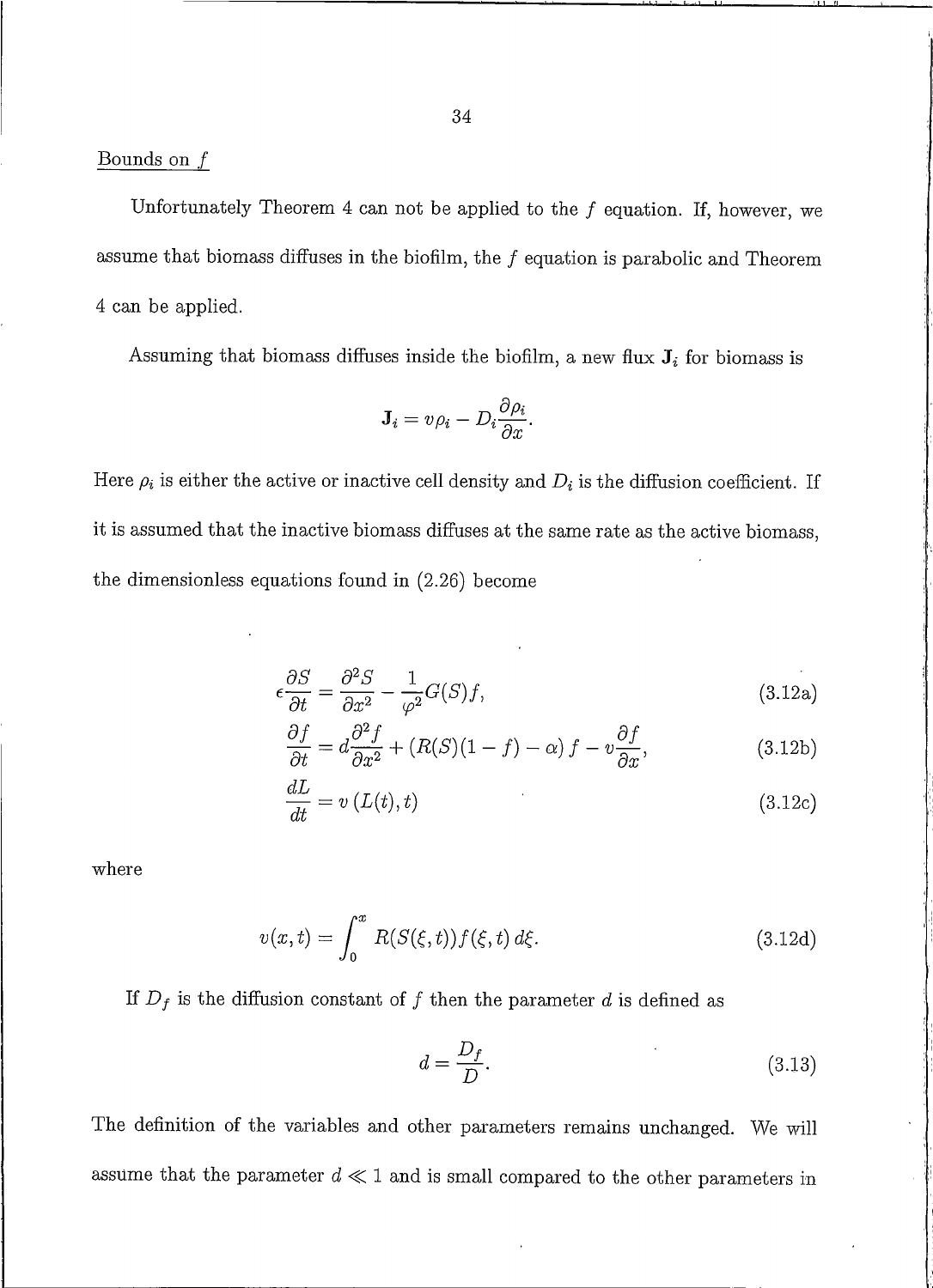# Bounds on  $f$

Unfortunately Theorem 4 can not be applied to the  $f$  equation. If, however, we assume that biomass diffuses in the biofilm, the  $f$  equation is parabolic and Theorem 4 can be applied.

Assuming that biomass diffuses inside the biofilm, a new flux  $J_i$  for biomass is

$$
\mathbf{J}_i = v\rho_i - D_i \frac{\partial \rho_i}{\partial x}.
$$

Here  $\rho_i$  is either the active or inactive cell density and  $D_i$  is the diffusion coefficient. If it is assumed that the inactive biomass diffuses at the same rate as the active biomass, the dimensionless equations found in  $(2.26)$  become

$$
\epsilon \frac{\partial S}{\partial t} = \frac{\partial^2 S}{\partial x^2} - \frac{1}{\varphi^2} G(S)f,\tag{3.12a}
$$

$$
\frac{\partial f}{\partial t} = d \frac{\partial^2 f}{\partial x^2} + (R(S)(1 - f) - \alpha) f - v \frac{\partial f}{\partial x},
$$
\n(3.12b)

$$
\frac{dL}{dt} = v\left(L(t), t\right) \tag{3.12c}
$$

where

$$
v(x,t) = \int_0^x R(S(\xi, t)) f(\xi, t) d\xi.
$$
 (3.12d)

If  $D_f$  is the diffusion constant of f then the parameter d is defined as

$$
d = \frac{D_f}{D}.\tag{3.13}
$$

The definition of the variables and other parameters remains unchanged. We will assume that the parameter  $d \ll 1$  and is small compared to the other parameters in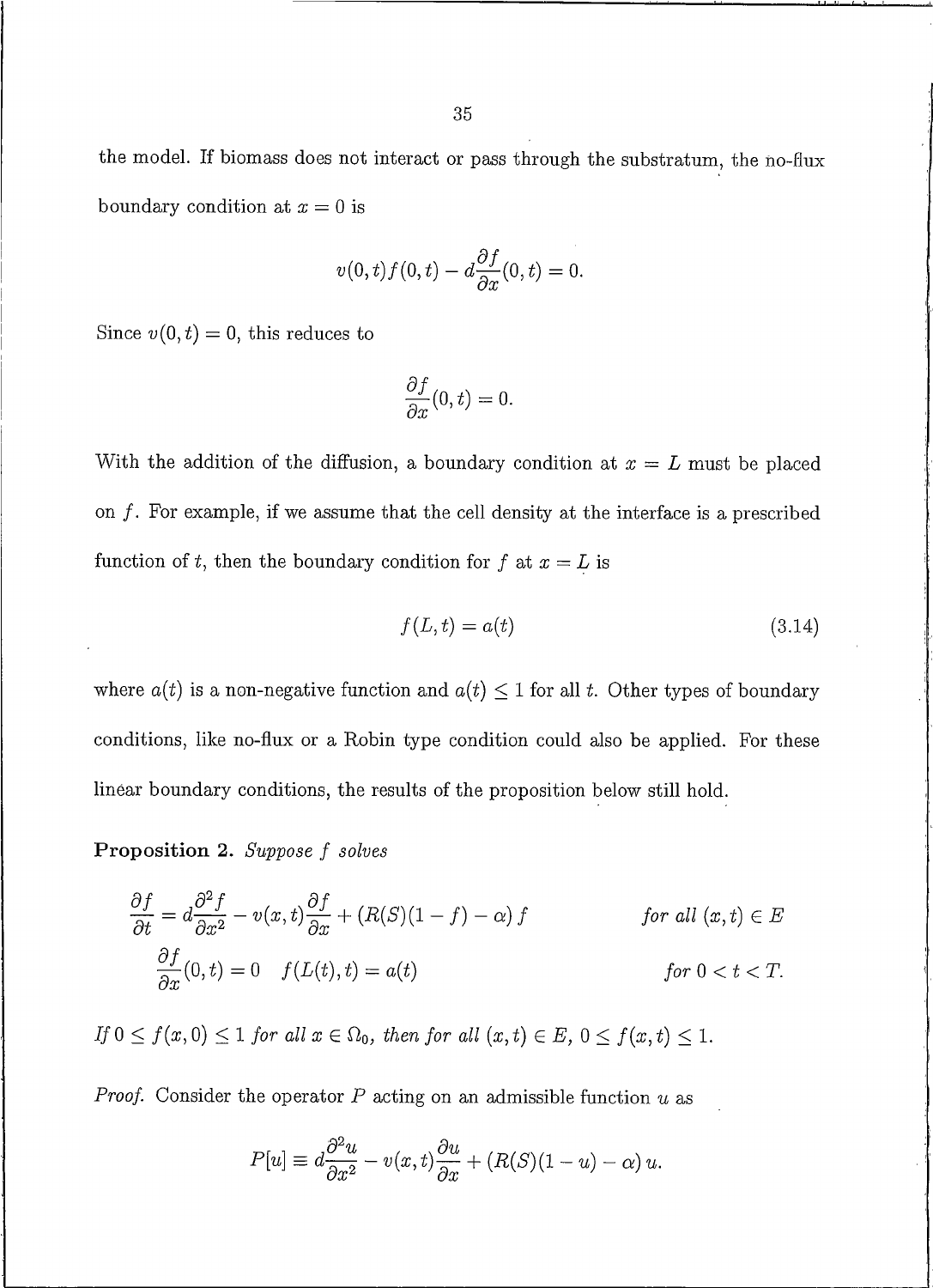$$
v(0, t)f(0, t) - d\frac{\partial f}{\partial x}(0, t) = 0.
$$

Since  $v(0, t) = 0$ , this reduces to

$$
\frac{\partial f}{\partial x}(0,t)=0.
$$

With the addition of the diffusion, a boundary condition at  $x = L$  must be placed on  $f$ . For example, if we assume that the cell density at the interface is a prescribed function of t, then the boundary condition for f at  $x = L$  is

$$
f(L,t) = a(t) \tag{3.14}
$$

where  $a(t)$  is a non-negative function and  $a(t) \leq 1$  for all t. Other types of boundary conditions, like no-flux or a Robin type condition could also be applied. For these linear boundary conditions, the results of the proposition below still hold.

Proposition 2. Suppose f solves

$$
\frac{\partial f}{\partial t} = d \frac{\partial^2 f}{\partial x^2} - v(x, t) \frac{\partial f}{\partial x} + (R(S)(1 - f) - \alpha) f \qquad \text{for all } (x, t) \in E
$$
  

$$
\frac{\partial f}{\partial x}(0, t) = 0 \quad f(L(t), t) = a(t) \qquad \text{for } 0 < t < T.
$$

If  $0 \le f(x, 0) \le 1$  for all  $x \in \Omega_0$ , then for all  $(x, t) \in E$ ,  $0 \le f(x, t) \le 1$ .

*Proof.* Consider the operator  $P$  acting on an admissible function  $u$  as

$$
P[u] \equiv d \frac{\partial^2 u}{\partial x^2} - v(x, t) \frac{\partial u}{\partial x} + (R(S)(1 - u) - \alpha) u.
$$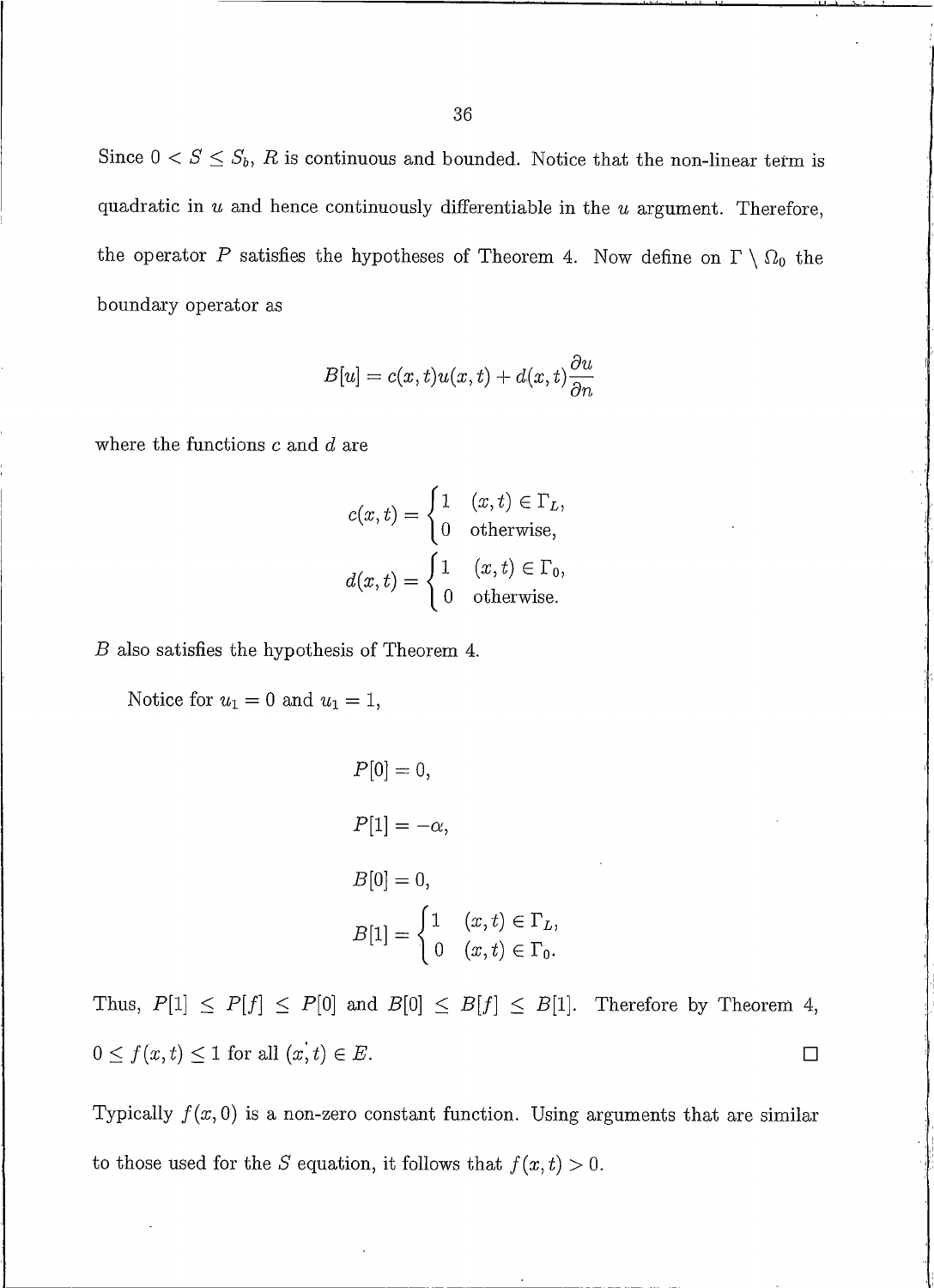Since  $0 < S \leq S_b$ , R is continuous and bounded. Notice that the non-linear term is quadratic in  $u$  and hence continuously differentiable in the  $u$  argument. Therefore, the operator P satisfies the hypotheses of Theorem 4. Now define on  $\Gamma \setminus \Omega_0$  the boundary operator as

$$
B[u] = c(x, t)u(x, t) + d(x, t)\frac{\partial u}{\partial n}
$$

where the functions  $c$  and  $d$  are

$$
c(x,t) = \begin{cases} 1 & (x,t) \in \Gamma_L, \\ 0 & \text{otherwise,} \end{cases}
$$

$$
d(x,t) = \begin{cases} 1 & (x,t) \in \Gamma_0, \\ 0 & \text{otherwise.} \end{cases}
$$

 $B$  also satisfies the hypothesis of Theorem 4.

Notice for  $u_1 = 0$  and  $u_1 = 1$ ,

$$
P[0] = 0,
$$
  
\n
$$
P[1] = -\alpha,
$$
  
\n
$$
B[0] = 0,
$$
  
\n
$$
B[1] = \begin{cases} 1 & (x, t) \in \Gamma_L, \\ 0 & (x, t) \in \Gamma_0. \end{cases}
$$

Thus,  $P[1] \leq P[f] \leq P[0]$  and  $B[0] \leq B[f] \leq B[1]$ . Therefore by Theorem 4,  $0 \le f(x,t) \le 1$  for all  $(x,t) \in E$ .  $\Box$ 

Typically  $f(x, 0)$  is a non-zero constant function. Using arguments that are similar to those used for the S equation, it follows that  $f(x,t) > 0$ .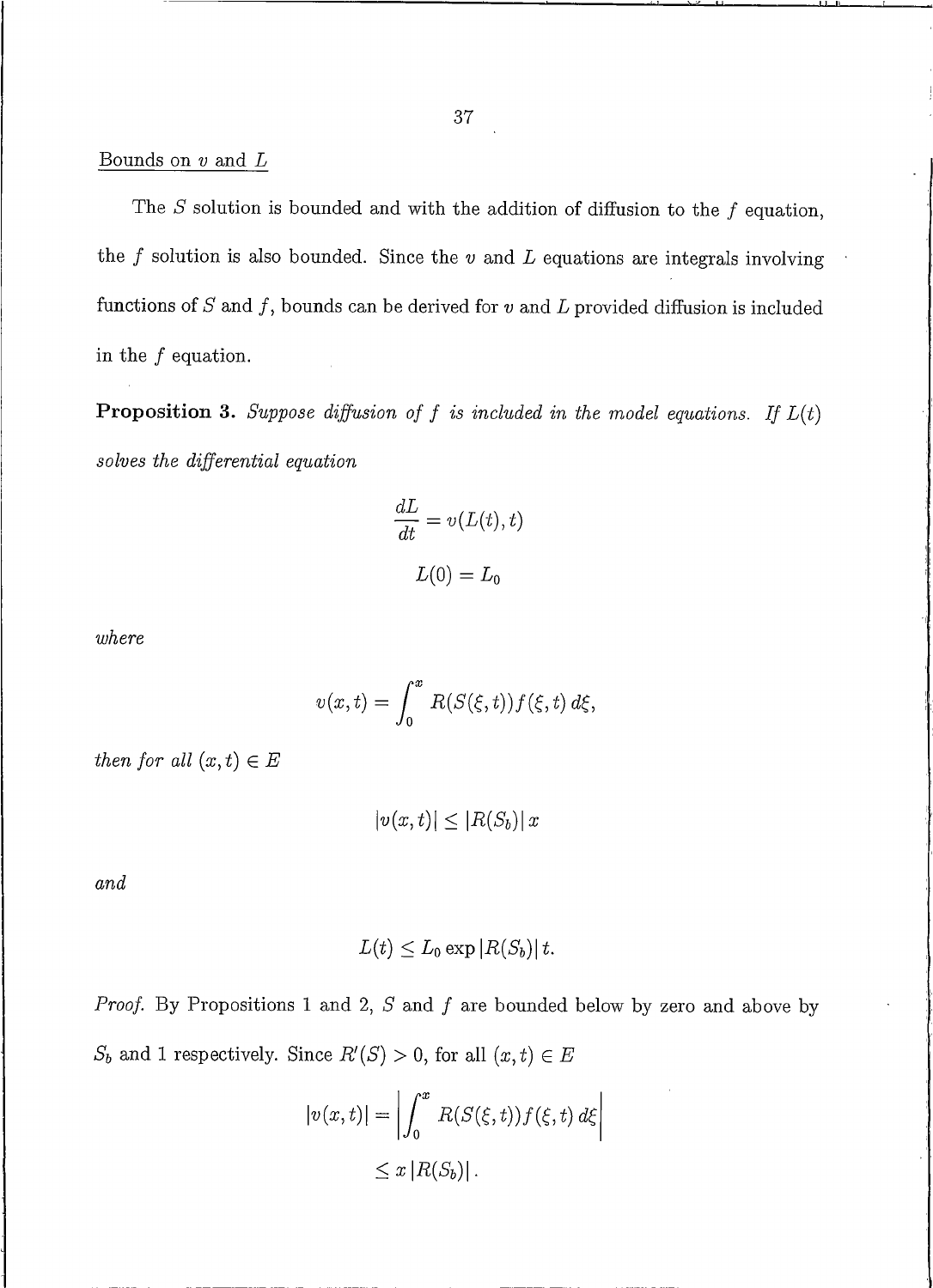#### Bounds on  $v$  and  $L$

The  $S$  solution is bounded and with the addition of diffusion to the  $f$  equation, the  $f$  solution is also bounded. Since the  $v$  and  $L$  equations are integrals involving functions of  $S$  and  $f$ , bounds can be derived for  $v$  and  $L$  provided diffusion is included in the  $f$  equation.

**Proposition 3.** Suppose diffusion of f is included in the model equations. If  $L(t)$ solves the differential equation

$$
\frac{dL}{dt} = v(L(t), t)
$$

$$
L(0) = L_0
$$

where

$$
v(x,t) = \int_0^x R(S(\xi,t))f(\xi,t) d\xi,
$$

then for all  $(x,t) \in E$ 

 $|v(x,t)| \leq |R(S_b)| x$ 

and

$$
L(t) \leq L_0 \exp |R(S_b)| t.
$$

*Proof.* By Propositions 1 and 2,  $S$  and  $f$  are bounded below by zero and above by  $S_b$  and 1 respectively. Since  $R'(S) > 0$ , for all  $(x, t) \in E$ 

$$
|v(x,t)| = \left| \int_0^x R(S(\xi,t)) f(\xi,t) d\xi \right|
$$
  

$$
\leq x |R(S_b)|.
$$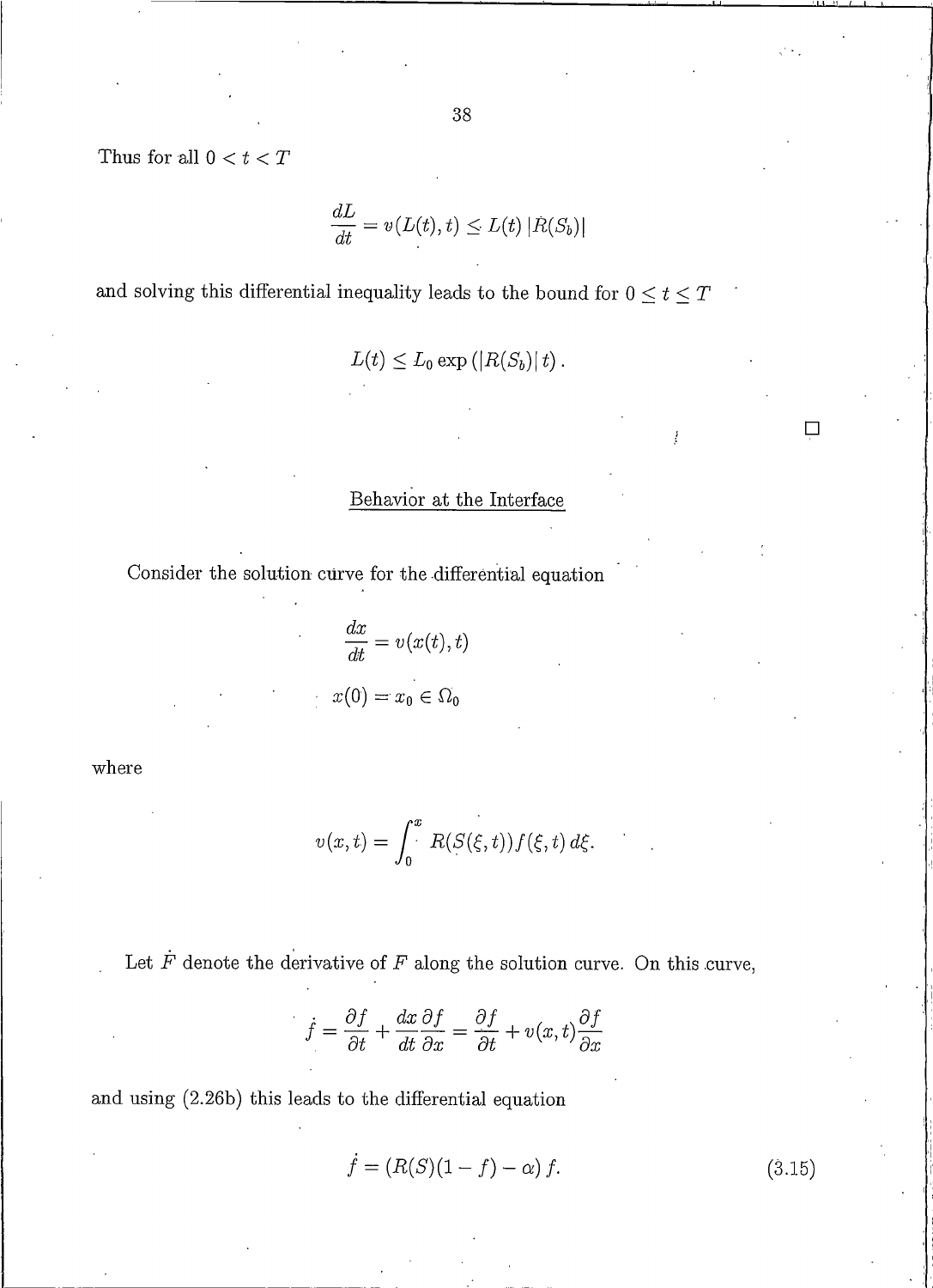Thus for all  $0 < t < T$ 

$$
\frac{dL}{dt} = v(L(t), t) \le L(t) |R(S_b)|
$$

and solving this differential inequality leads to the bound for  $0\leq t\leq T$ 

$$
L(t) \leq L_0 \exp\left(|R(S_b)|t\right).
$$

# Behavior at the Interface

Consider the solution curve for the differential equation

$$
\frac{dx}{dt} = v(x(t), t)
$$

$$
x(0) = x_0 \in \Omega_0
$$

where

$$
v(x,t) = \int_0^x R(S(\xi,t))f(\xi,t) d\xi.
$$

Let  $\dot{F}$  denote the derivative of  $F$  along the solution curve. On this curve,

$$
\dot{f} = \frac{\partial f}{\partial t} + \frac{dx}{dt} \frac{\partial f}{\partial x} = \frac{\partial f}{\partial t} + v(x, t) \frac{\partial f}{\partial x}
$$

and using (2.26b) this leads to the differential equation

$$
f = (R(S)(1 - f) - \alpha) f.
$$
 (3.15)

$$
\Box
$$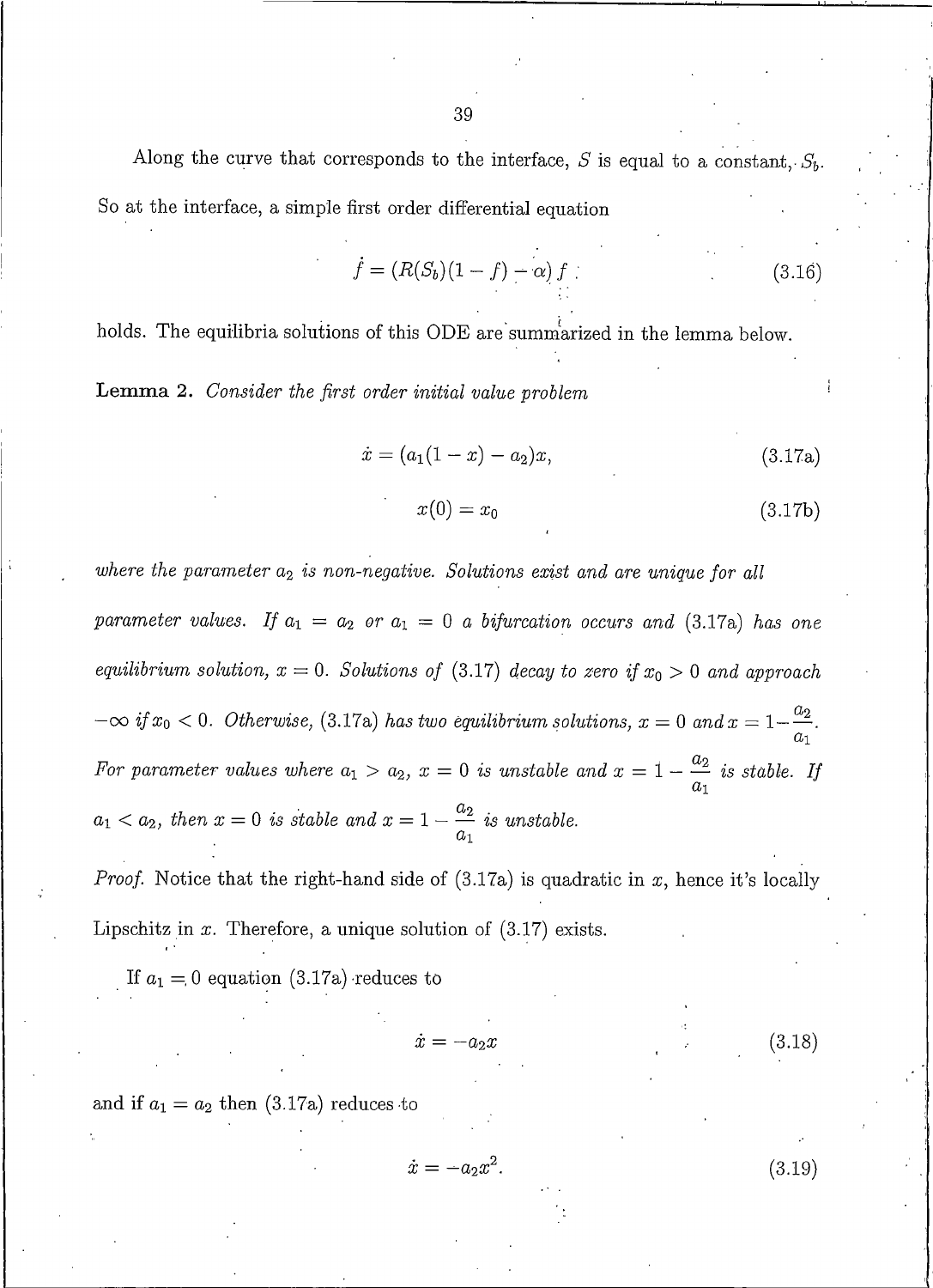Along the curve that corresponds to the interface, S is equal to a constant,  $S_b$ . So at the interface, a simple first order differential equation

$$
\dot{f} = (R(S_b)(1 - f) - \alpha) f
$$
\n(3.16)

holds. The equilibria solutions of this ODE are summarized in the lemma below.

**Lemma 2.** Consider the first order initial value problem

$$
\dot{x} = (a_1(1-x) - a_2)x,\tag{3.17a}
$$

$$
x(0) = x_0 \tag{3.17b}
$$

where the parameter  $a_2$  is non-negative. Solutions exist and are unique for all parameter values. If  $a_1 = a_2$  or  $a_1 = 0$  a bifurcation occurs and (3.17a) has one equilibrium solution,  $x = 0$ . Solutions of (3.17) decay to zero if  $x_0 > 0$  and approach  $-\infty$  if  $x_0 < 0$ . Otherwise, (3.17a) has two equilibrium solutions,  $x = 0$  and  $x = 1 - \frac{u_2}{a_1}$ . For parameter values where  $a_1 > a_2$ ,  $x = 0$  is unstable and  $x = 1 - \frac{a_2}{a_1}$  is stable. If  $a_1 < a_2$ , then  $x = 0$  is stable and  $x = 1 - \frac{a_2}{a_1}$  is unstable.

*Proof.* Notice that the right-hand side of  $(3.17a)$  is quadratic in x, hence it's locally Lipschitz in  $x$ . Therefore, a unique solution of  $(3.17)$  exists.

If  $a_1 = 0$  equation (3.17a) reduces to

$$
\dot{z} = -a_2 x \tag{3.18}
$$

and if  $a_1 = a_2$  then (3.17a) reduces to

$$
\dot{x} = -a_2 x^2. \tag{3.19}
$$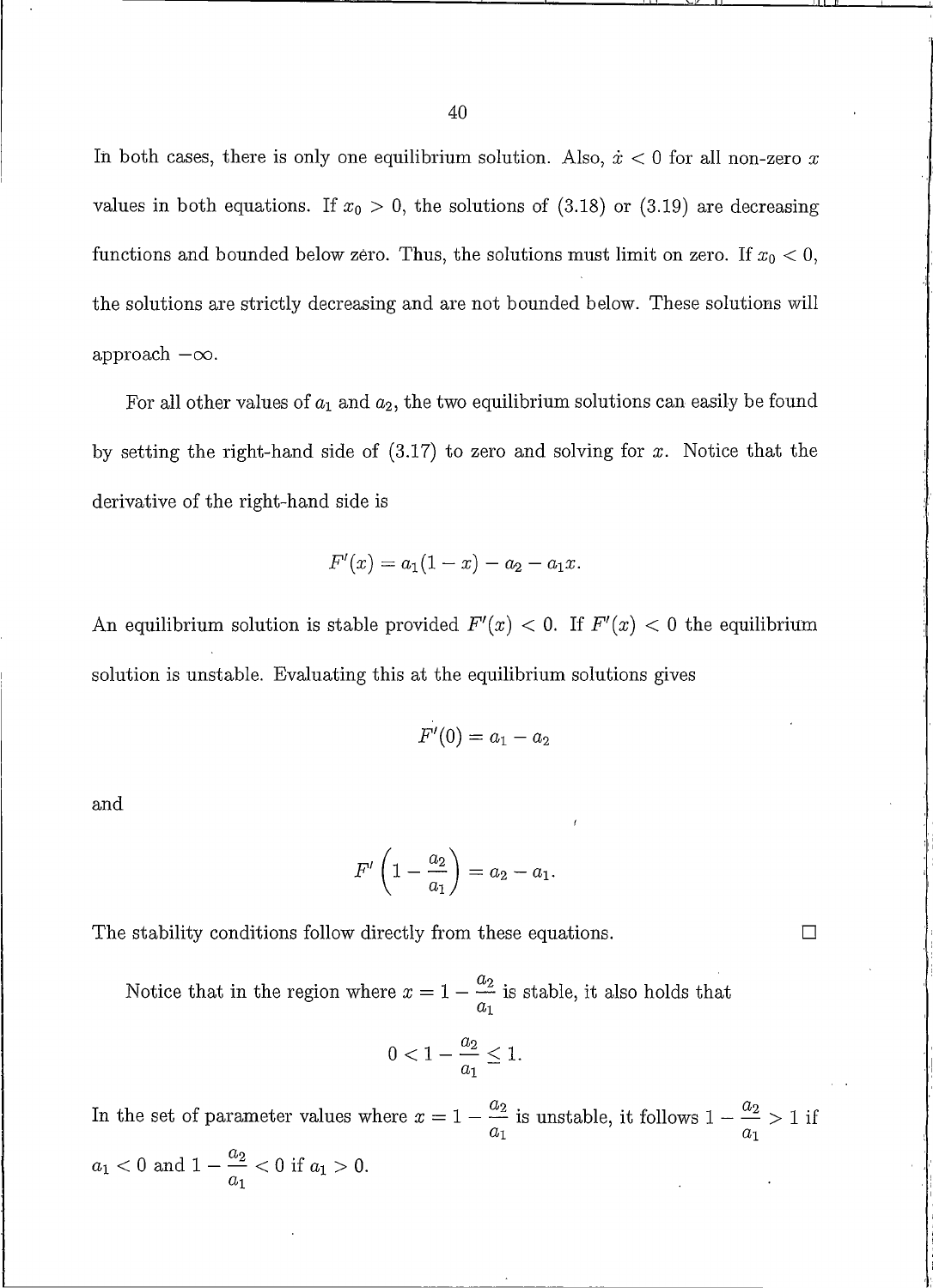In both cases, there is only one equilibrium solution. Also,  $\dot{x}$  < 0 for all non-zero x values in both equations. If  $x_0 > 0$ , the solutions of (3.18) or (3.19) are decreasing functions and bounded below zero. Thus, the solutions must limit on zero. If  $x_0 < 0$ , the solutions are strictly decreasing and are not bounded below. These solutions will approach  $-\infty$ .

For all other values of  $a_1$  and  $a_2$ , the two equilibrium solutions can easily be found by setting the right-hand side of  $(3.17)$  to zero and solving for x. Notice that the derivative of the right-hand side is

$$
F'(x) = a_1(1-x) - a_2 - a_1x.
$$

An equilibrium solution is stable provided  $F'(x) < 0$ . If  $F'(x) < 0$  the equilibrium solution is unstable. Evaluating this at the equilibrium solutions gives

$$
F'(0)=a_1-a_2
$$

and

$$
F'\left(1-\frac{a_2}{a_1}\right)=a_2-a_1.
$$

 $\Box$ 

The stability conditions follow directly from these equations.

Notice that in the region where  $x = 1 - \frac{a_2}{a_1}$  is stable, it also holds that

$$
0<1-\frac{a_2}{a_1}\leq 1.
$$

In the set of parameter values where  $x = 1 - \frac{a_2}{a_1}$  is unstable, it follows  $1 - \frac{a_2}{a_1} > 1$  if  $a_1 < 0$  and  $1 - \frac{a_2}{a_1} < 0$  if  $a_1 > 0$ .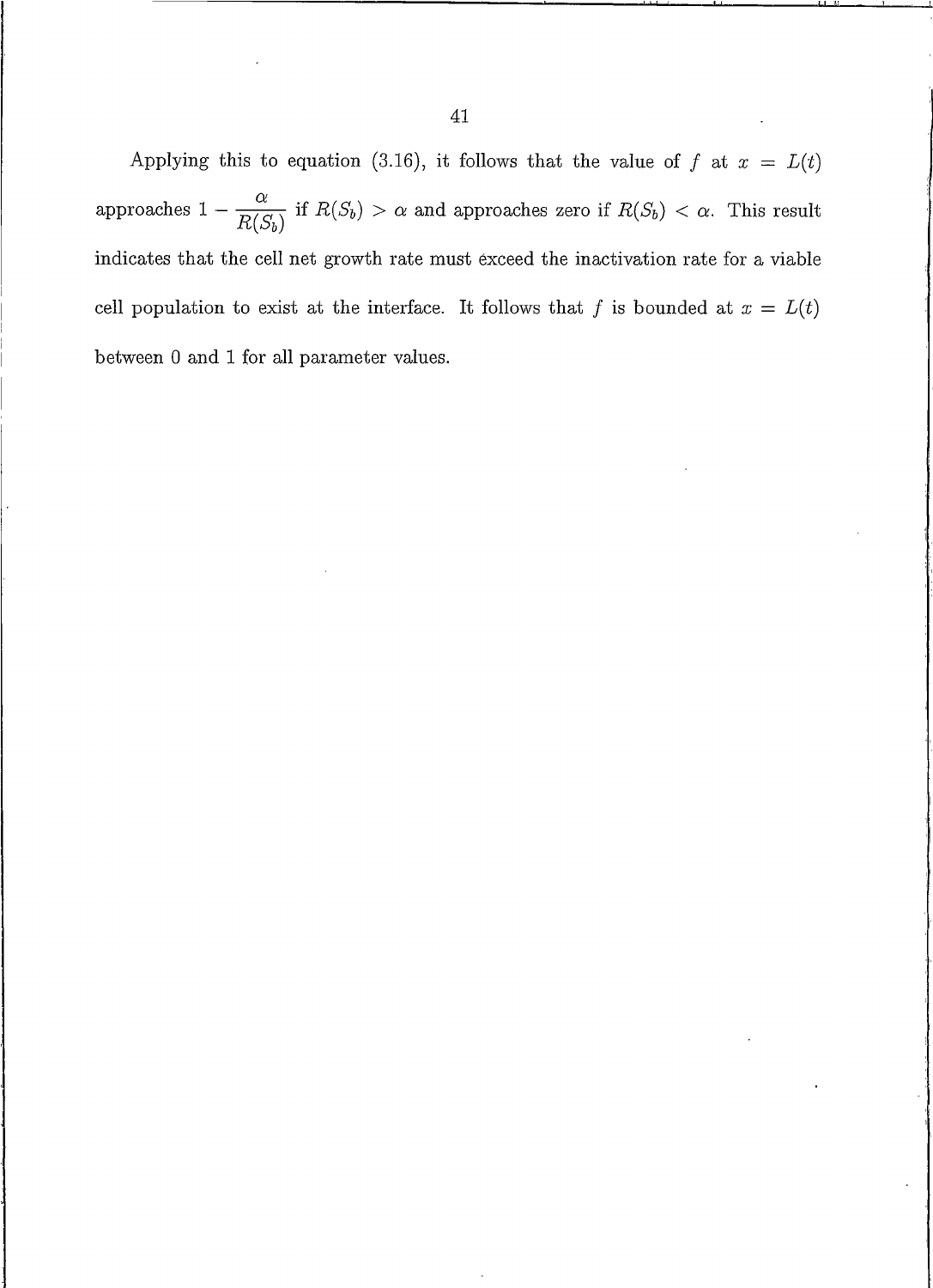Applying this to equation (3.16), it follows that the value of f at  $x = L(t)$ approaches  $1 - \frac{\alpha}{R(S_b)}$  if  $R(S_b) > \alpha$  and approaches zero if  $R(S_b) < \alpha$ . This result indicates that the cell net growth rate must exceed the inactivation rate for a viable cell population to exist at the interface. It follows that f is bounded at  $x = L(t)$ between 0 and 1 for all parameter values.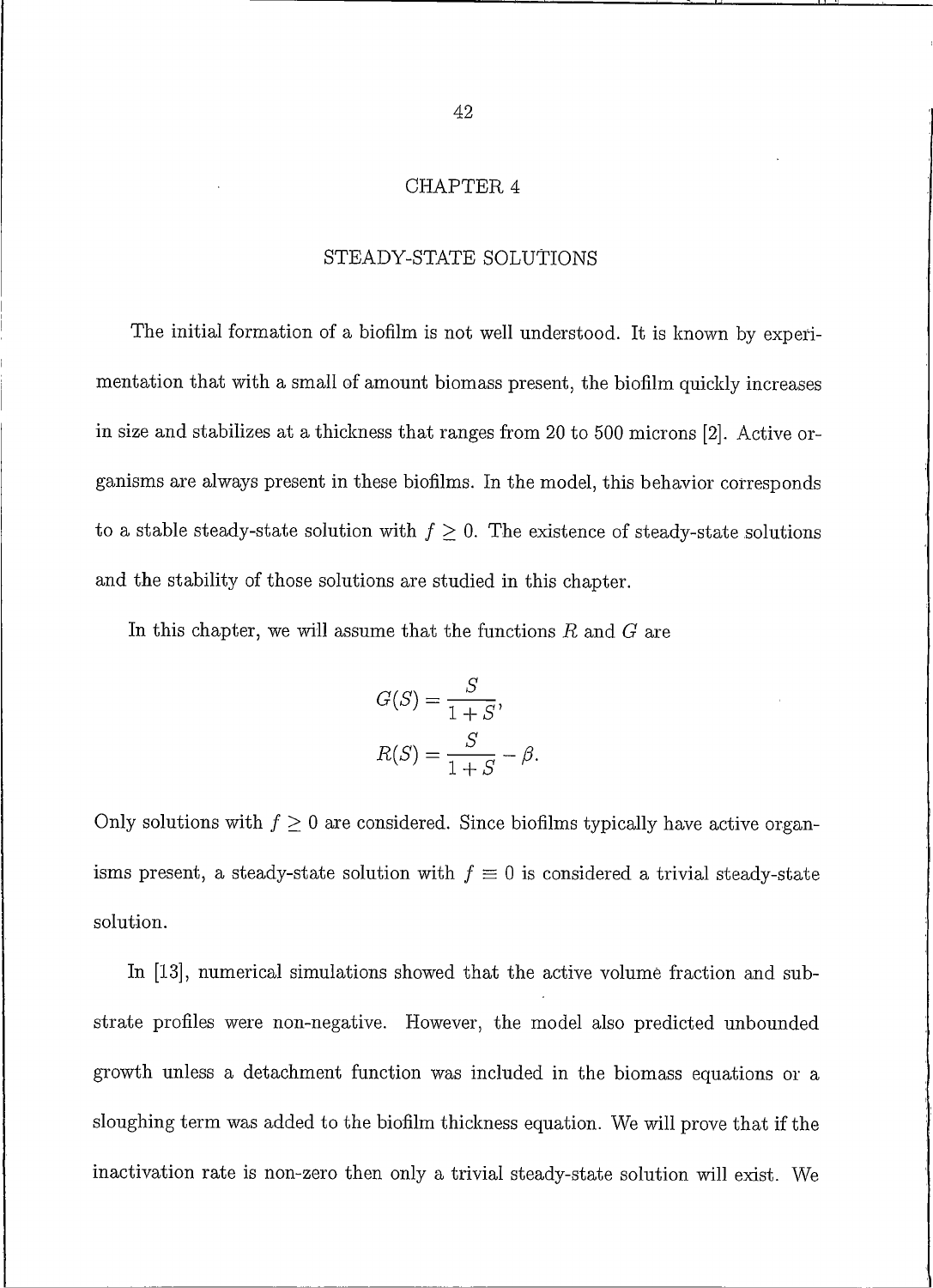#### CHAPTER 4

## STEADY-STATE SOLUTIONS

The initial formation of a biofilm is not well understood. It is known by experimentation that with a small of amount biomass present, the biofilm quickly increases in size and stabilizes at a thickness that ranges from 20 to 500 microns [2]. Active organisms are always present in these biofilms. In the model, this behavior corresponds to a stable steady-state solution with  $f \geq 0$ . The existence of steady-state solutions and the stability of those solutions are studied in this chapter.

In this chapter, we will assume that the functions  $R$  and  $G$  are

$$
G(S) = \frac{S}{1+S},
$$
  

$$
R(S) = \frac{S}{1+S} - \beta.
$$

Only solutions with  $f \geq 0$  are considered. Since biofilms typically have active organisms present, a steady-state solution with  $f \equiv 0$  is considered a trivial steady-state solution.

In [13], numerical simulations showed that the active volume fraction and substrate profiles were non-negative. However, the model also predicted unbounded growth unless a detachment function was included in the biomass equations or a sloughing term was added to the biofilm thickness equation. We will prove that if the inactivation rate is non-zero then only a trivial steady-state solution will exist. We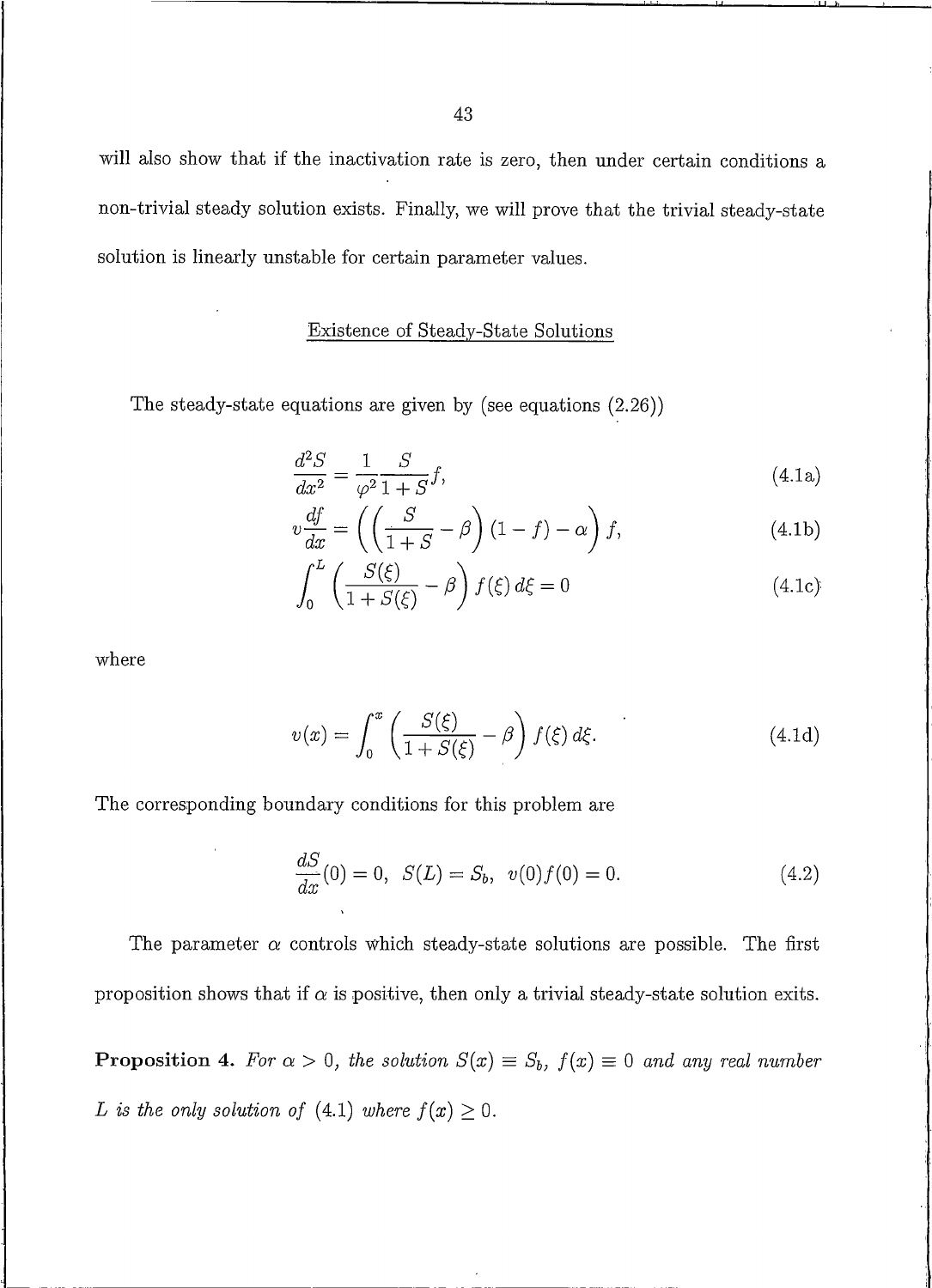will also show that if the inactivation rate is zero, then under certain conditions a non-trivial steady solution exists. Finally, we will prove that the trivial steady-state solution is linearly unstable for certain parameter values.

## Existence of Steady-State Solutions

The steady-state equations are given by (see equations  $(2.26)$ )

$$
\frac{d^2S}{dx^2} = \frac{1}{\varphi^2} \frac{S}{1+S} f,\tag{4.1a}
$$

$$
v\frac{df}{dx} = \left(\left(\frac{S}{1+S} - \beta\right)(1-f) - \alpha\right)f,
$$
\n(4.1b)

$$
\int_0^L \left( \frac{S(\xi)}{1 + S(\xi)} - \beta \right) f(\xi) d\xi = 0 \tag{4.1c}
$$

where

$$
v(x) = \int_0^x \left(\frac{S(\xi)}{1 + S(\xi)} - \beta\right) f(\xi) d\xi.
$$
 (4.1d)

The corresponding boundary conditions for this problem are

$$
\frac{dS}{dx}(0) = 0, \ S(L) = S_b, \ v(0)f(0) = 0.
$$
\n(4.2)

The parameter  $\alpha$  controls which steady-state solutions are possible. The first proposition shows that if  $\alpha$  is positive, then only a trivial steady-state solution exits.

**Proposition 4.** For  $\alpha > 0$ , the solution  $S(x) \equiv S_b$ ,  $f(x) \equiv 0$  and any real number L is the only solution of (4.1) where  $f(x) \geq 0$ .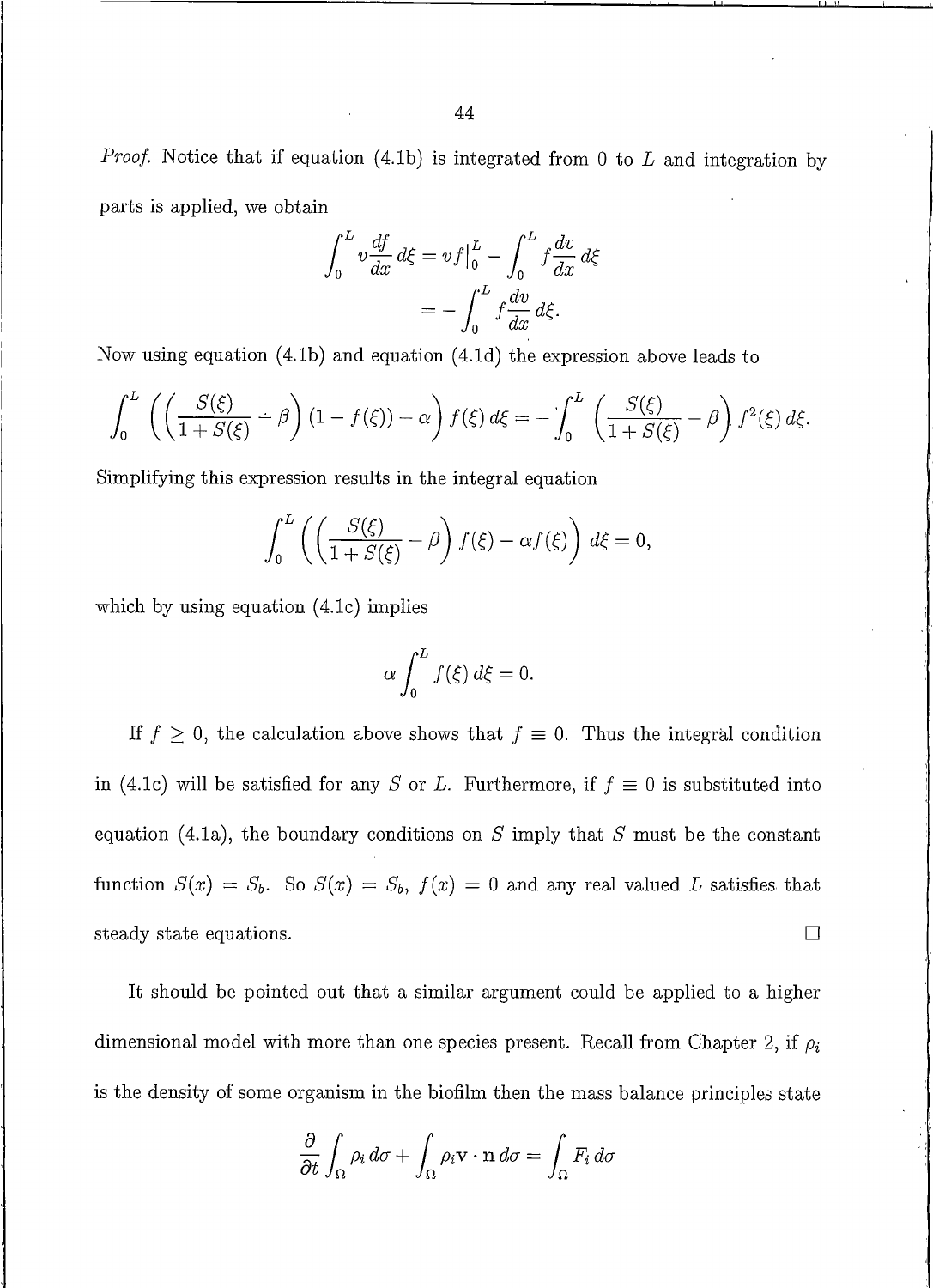*Proof.* Notice that if equation (4.1b) is integrated from 0 to  $L$  and integration by parts is applied, we obtain

$$
\int_0^L v \frac{df}{dx} d\xi = v f \Big|_0^L - \int_0^L f \frac{dv}{dx} d\xi
$$

$$
= - \int_0^L f \frac{dv}{dx} d\xi.
$$

Now using equation  $(4.1b)$  and equation  $(4.1d)$  the expression above leads to

$$
\int_0^L \left( \left( \frac{S(\xi)}{1+S(\xi)} - \beta \right) (1-f(\xi)) - \alpha \right) f(\xi) d\xi = - \int_0^L \left( \frac{S(\xi)}{1+S(\xi)} - \beta \right) f^2(\xi) d\xi.
$$

Simplifying this expression results in the integral equation

$$
\int_0^L \left( \left( \frac{S(\xi)}{1+S(\xi)} - \beta \right) f(\xi) - \alpha f(\xi) \right) d\xi = 0,
$$

which by using equation  $(4.1c)$  implies

$$
\alpha \int_0^L f(\xi) \, d\xi = 0.
$$

If  $f \geq 0$ , the calculation above shows that  $f \equiv 0$ . Thus the integral condition in (4.1c) will be satisfied for any S or L. Furthermore, if  $f \equiv 0$  is substituted into equation (4.1a), the boundary conditions on  $S$  imply that  $S$  must be the constant function  $S(x) = S_b$ . So  $S(x) = S_b$ ,  $f(x) = 0$  and any real valued L satisfies that steady state equations.  $\Box$ 

It should be pointed out that a similar argument could be applied to a higher dimensional model with more than one species present. Recall from Chapter 2, if  $\rho_i$ is the density of some organism in the biofilm then the mass balance principles state

$$
\frac{\partial}{\partial t} \int_{\Omega} \rho_i \, d\sigma + \int_{\Omega} \rho_i \mathbf{v} \cdot \mathbf{n} \, d\sigma = \int_{\Omega} F_i \, d\sigma
$$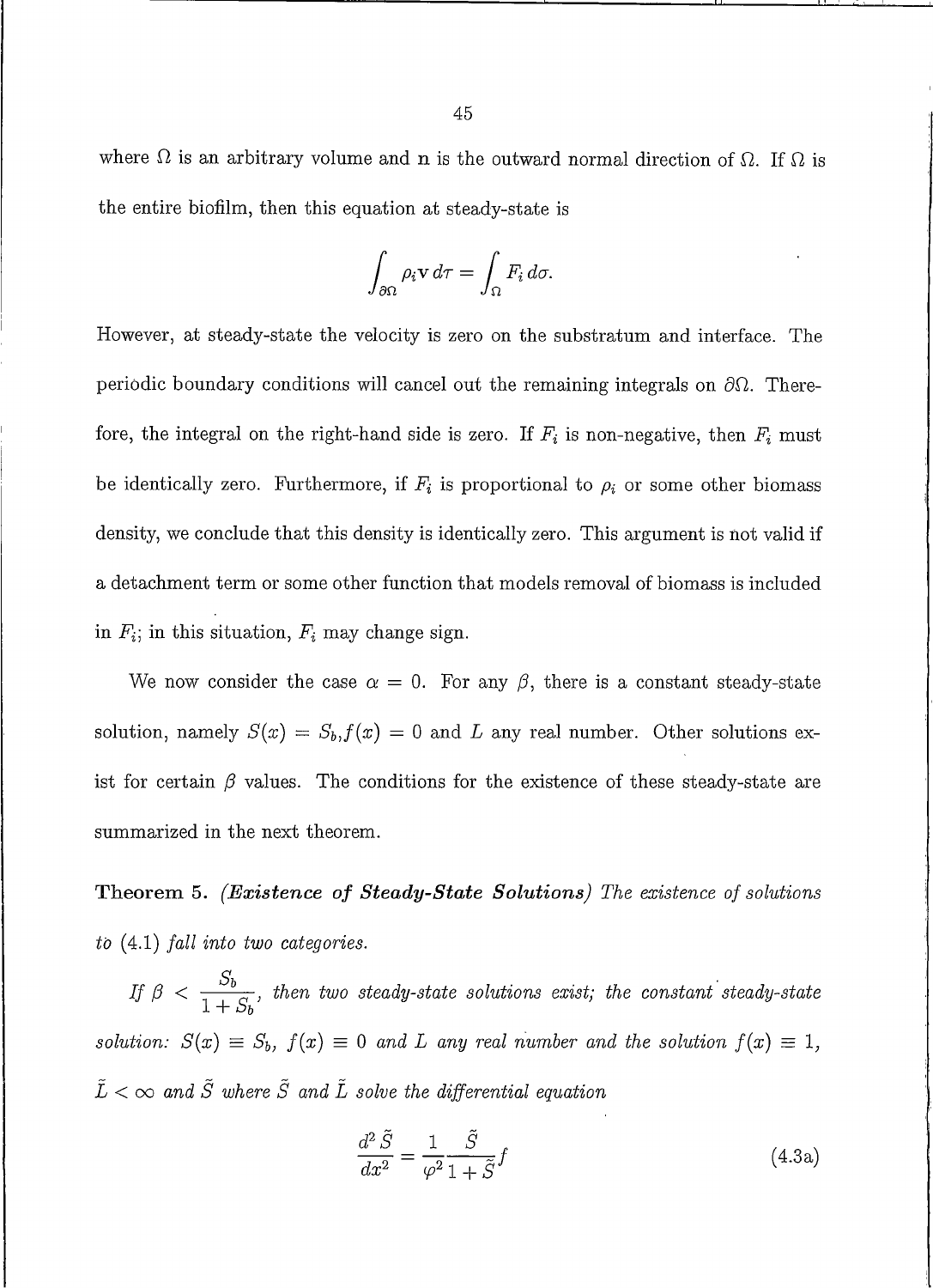where  $\Omega$  is an arbitrary volume and n is the outward normal direction of  $\Omega$ . If  $\Omega$  is the entire biofilm, then this equation at steady-state is

$$
\int_{\partial\Omega} \rho_i \mathbf{v} \, d\tau = \int_{\Omega} F_i \, d\sigma.
$$

However, at steady-state the velocity is zero on the substratum and interface. The periodic boundary conditions will cancel out the remaining integrals on  $\partial\Omega$ . Therefore, the integral on the right-hand side is zero. If  $F_i$  is non-negative, then  $F_i$  must be identically zero. Furthermore, if  $F_i$  is proportional to  $\rho_i$  or some other biomass density, we conclude that this density is identically zero. This argument is not valid if a detachment term or some other function that models removal of biomass is included in  $F_i$ ; in this situation,  $F_i$  may change sign.

We now consider the case  $\alpha = 0$ . For any  $\beta$ , there is a constant steady-state solution, namely  $S(x) = S_b$ ,  $f(x) = 0$  and L any real number. Other solutions exist for certain  $\beta$  values. The conditions for the existence of these steady-state are summarized in the next theorem.

**Theorem 5.** (Existence of Steady-State Solutions) The existence of solutions to  $(4.1)$  fall into two categories.

If  $\beta < \frac{S_b}{1+S_b}$ , then two steady-state solutions exist; the constant steady-state solution:  $S(x) \equiv S_b$ ,  $f(x) \equiv 0$  and L any real number and the solution  $f(x) \equiv 1$ ,  $\tilde{L} < \infty$  and  $\tilde{S}$  where  $\tilde{S}$  and  $\tilde{L}$  solve the differential equation

$$
\frac{d^2\tilde{S}}{dx^2} = \frac{1}{\varphi^2} \frac{\tilde{S}}{1 + \tilde{S}} f \tag{4.3a}
$$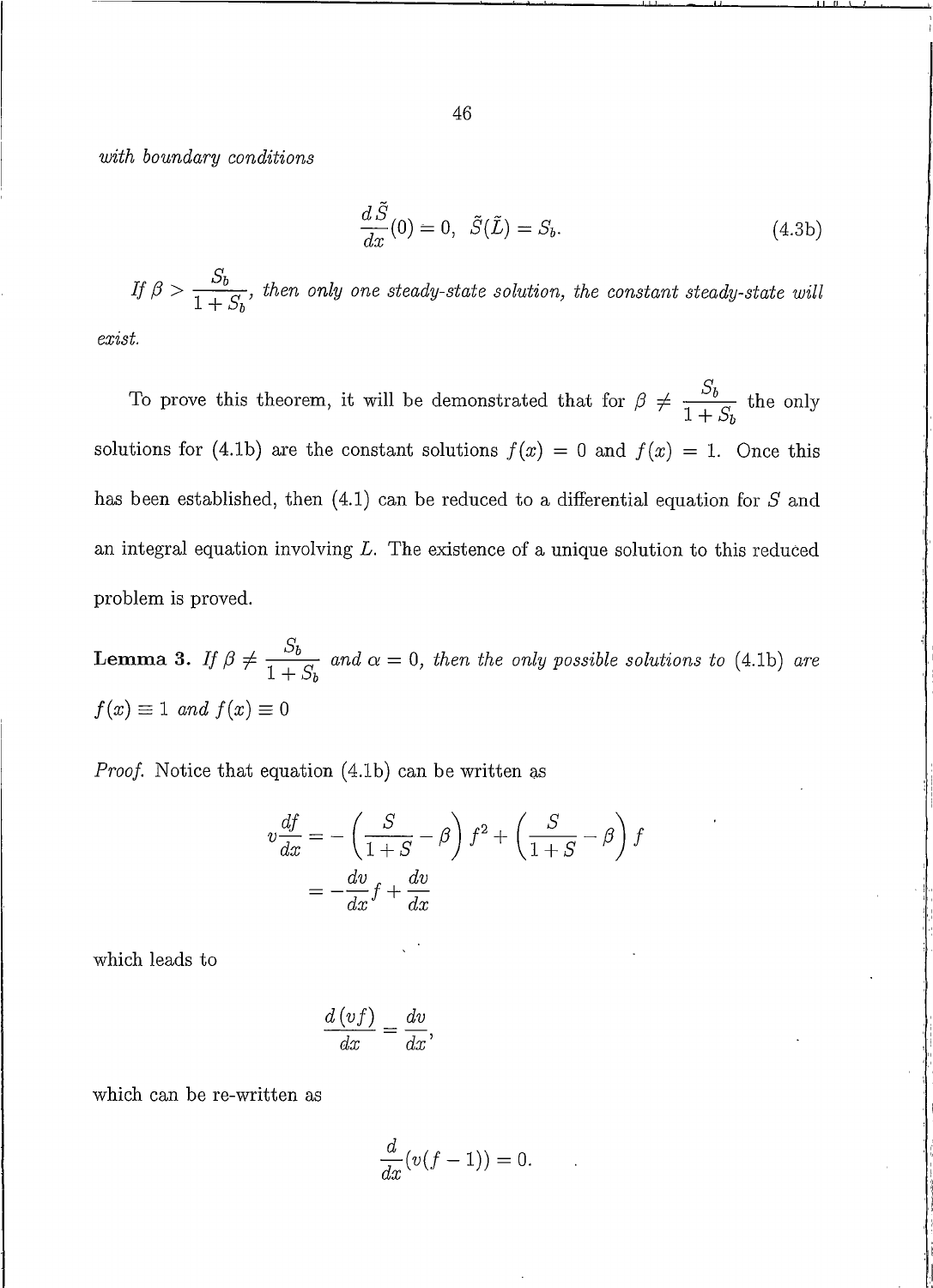with boundary conditions

$$
\frac{d\tilde{S}}{dx}(0) = 0, \quad \tilde{S}(\tilde{L}) = S_b.
$$
\n(4.3b)

If  $\beta > \frac{S_b}{1+S_b}$ , then only one steady-state solution, the constant steady-state will  $exist.$ 

To prove this theorem, it will be demonstrated that for  $\beta \neq \frac{S_b}{1+S_b}$  the only solutions for (4.1b) are the constant solutions  $f(x) = 0$  and  $f(x) = 1$ . Once this has been established, then  $(4.1)$  can be reduced to a differential equation for S and an integral equation involving  $L$ . The existence of a unique solution to this reduced problem is proved.

**Lemma 3.** If  $\beta \neq \frac{S_b}{1+S_b}$  and  $\alpha = 0$ , then the only possible solutions to (4.1b) are  $f(x) \equiv 1$  and  $f(x) \equiv 0$ 

*Proof.* Notice that equation (4.1b) can be written as

$$
v\frac{df}{dx} = -\left(\frac{S}{1+S} - \beta\right)f^2 + \left(\frac{S}{1+S} - \beta\right)f
$$

$$
= -\frac{dv}{dx}f + \frac{dv}{dx}
$$

which leads to

$$
\frac{d\left(vf\right)}{dx} = \frac{dv}{dx},
$$

which can be re-written as

$$
\frac{d}{dx}(v(f-1))=0.
$$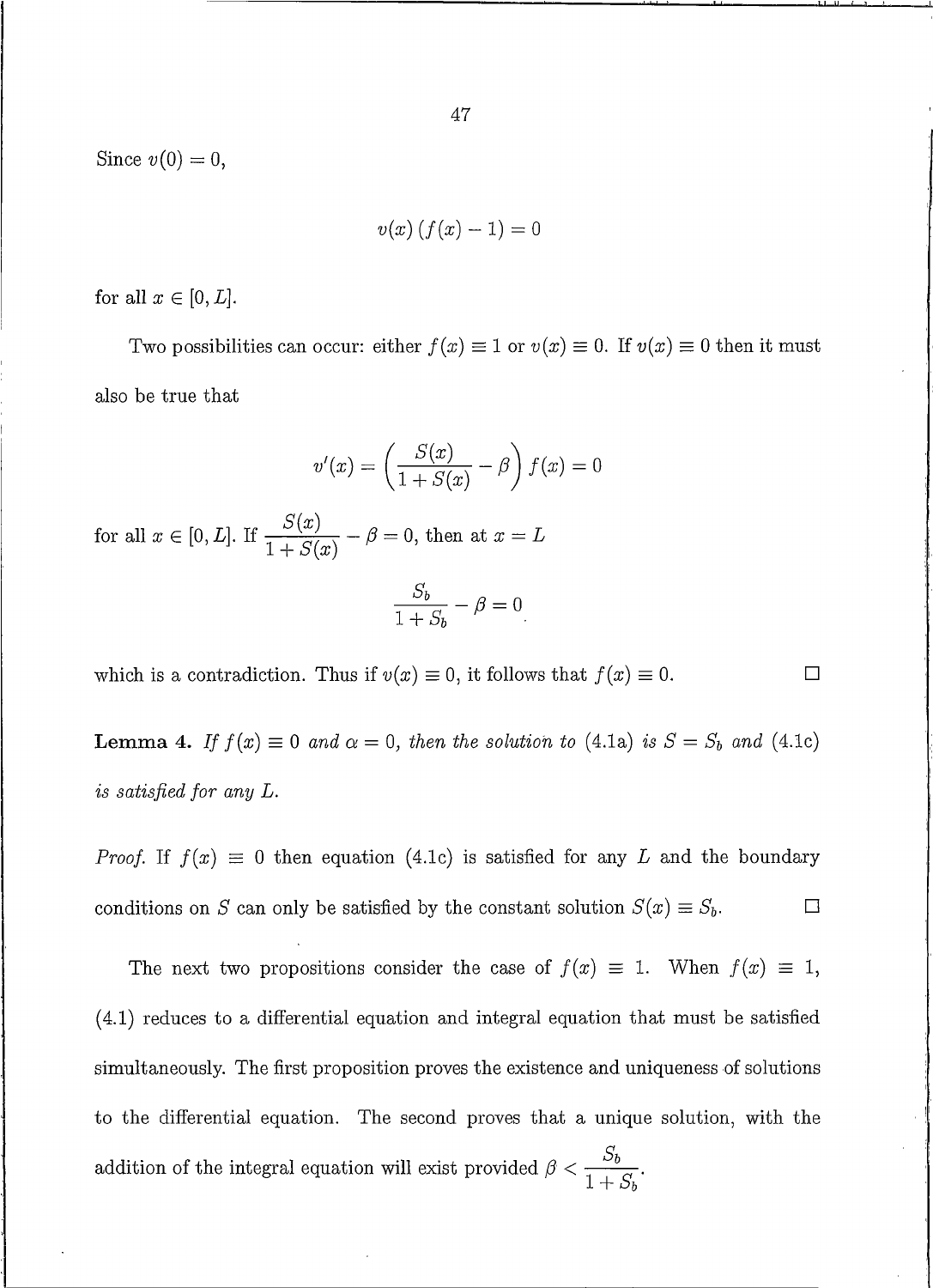Since  $v(0) = 0$ ,

$$
v(x)\left(f(x)-1\right)=0
$$

for all  $x \in [0, L]$ .

Two possibilities can occur: either  $f(x) \equiv 1$  or  $v(x) \equiv 0$ . If  $v(x) \equiv 0$  then it must also be true that

$$
v'(x) = \left(\frac{S(x)}{1 + S(x)} - \beta\right) f(x) = 0
$$

for all  $x \in [0, L]$ . If  $\frac{S(x)}{1 + S(x)} - \beta = 0$ , then at  $x = L$ 

$$
\frac{S_b}{1+S_b} - \beta = 0
$$

 $\Box$ 

which is a contradiction. Thus if  $v(x) \equiv 0$ , it follows that  $f(x) \equiv 0$ .

**Lemma 4.** If  $f(x) \equiv 0$  and  $\alpha = 0$ , then the solution to (4.1a) is  $S = S_b$  and (4.1c) is satisfied for any L.

*Proof.* If  $f(x) \equiv 0$  then equation (4.1c) is satisfied for any L and the boundary conditions on S can only be satisfied by the constant solution  $S(x) \equiv S_b$ .  $\Box$ 

The next two propositions consider the case of  $f(x) \equiv 1$ . When  $f(x) \equiv 1$ ,  $(4.1)$  reduces to a differential equation and integral equation that must be satisfied simultaneously. The first proposition proves the existence and uniqueness of solutions to the differential equation. The second proves that a unique solution, with the addition of the integral equation will exist provided  $\beta < \frac{S_b}{1 + S_b}$ .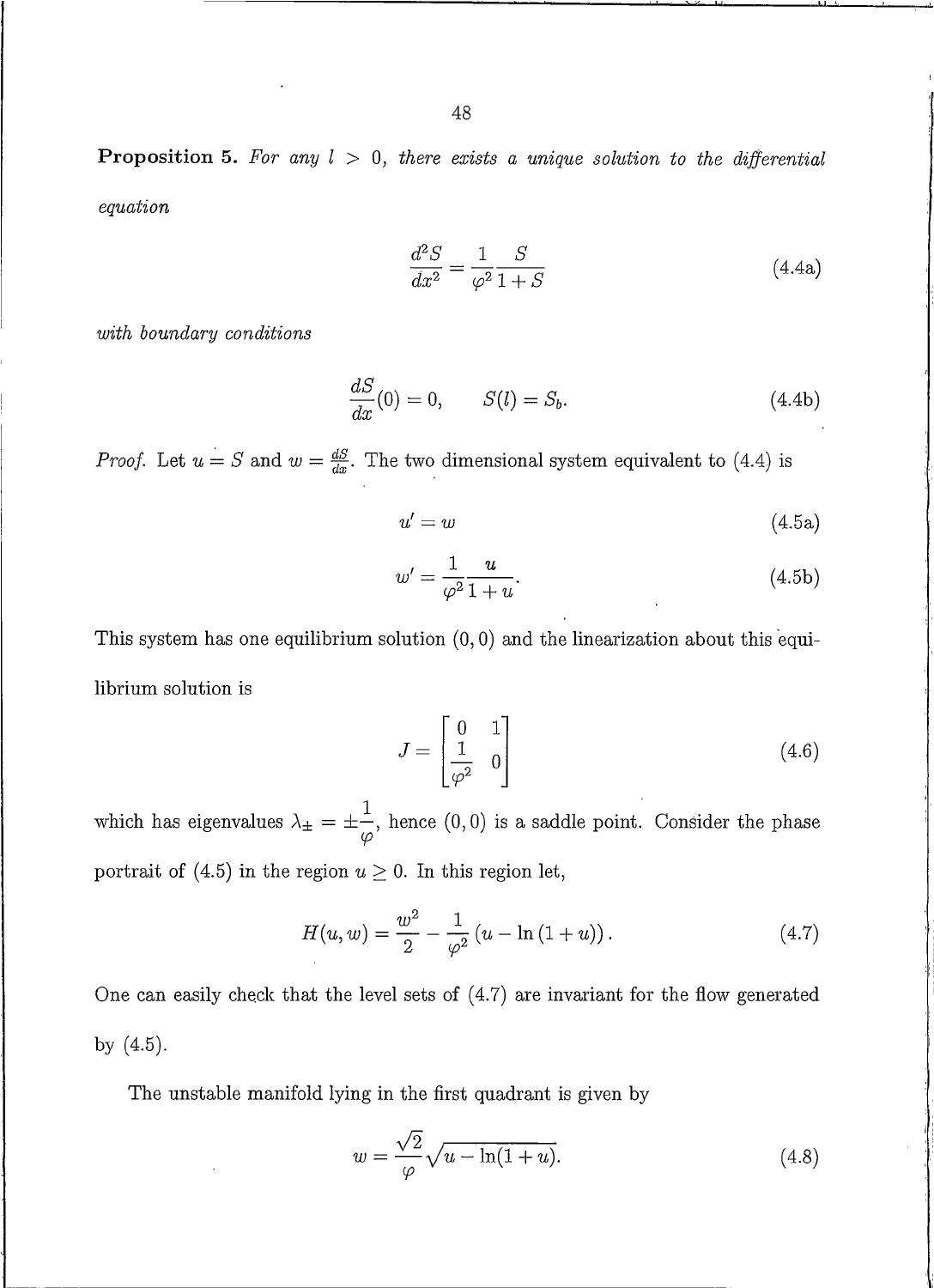**Proposition 5.** For any  $l > 0$ , there exists a unique solution to the differential equation

$$
\frac{d^2S}{dx^2} = \frac{1}{\varphi^2} \frac{S}{1+S}
$$
\n(4.4a)

with boundary conditions

$$
\frac{dS}{dx}(0) = 0, \qquad S(l) = S_b.
$$
\n(4.4b)

*Proof.* Let  $u = S$  and  $w = \frac{dS}{dx}$ . The two dimensional system equivalent to (4.4) is

$$
u' = w \tag{4.5a}
$$

$$
w' = \frac{1}{\varphi^2} \frac{u}{1+u}.\tag{4.5b}
$$

This system has one equilibrium solution  $(0,0)$  and the linearization about this equilibrium solution is

$$
J = \begin{bmatrix} 0 & 1 \\ \frac{1}{\varphi^2} & 0 \end{bmatrix} \tag{4.6}
$$

which has eigenvalues  $\lambda_{\pm} = \pm \frac{1}{\varphi}$ , hence (0,0) is a saddle point. Consider the phase portrait of (4.5) in the region  $u \ge 0$ . In this region let,

$$
H(u, w) = \frac{w^2}{2} - \frac{1}{\varphi^2} (u - \ln(1 + u)).
$$
\n(4.7)

One can easily check that the level sets of  $(4.7)$  are invariant for the flow generated by  $(4.5)$ .

The unstable manifold lying in the first quadrant is given by

$$
w = \frac{\sqrt{2}}{\varphi} \sqrt{u - \ln(1 + u)}.\tag{4.8}
$$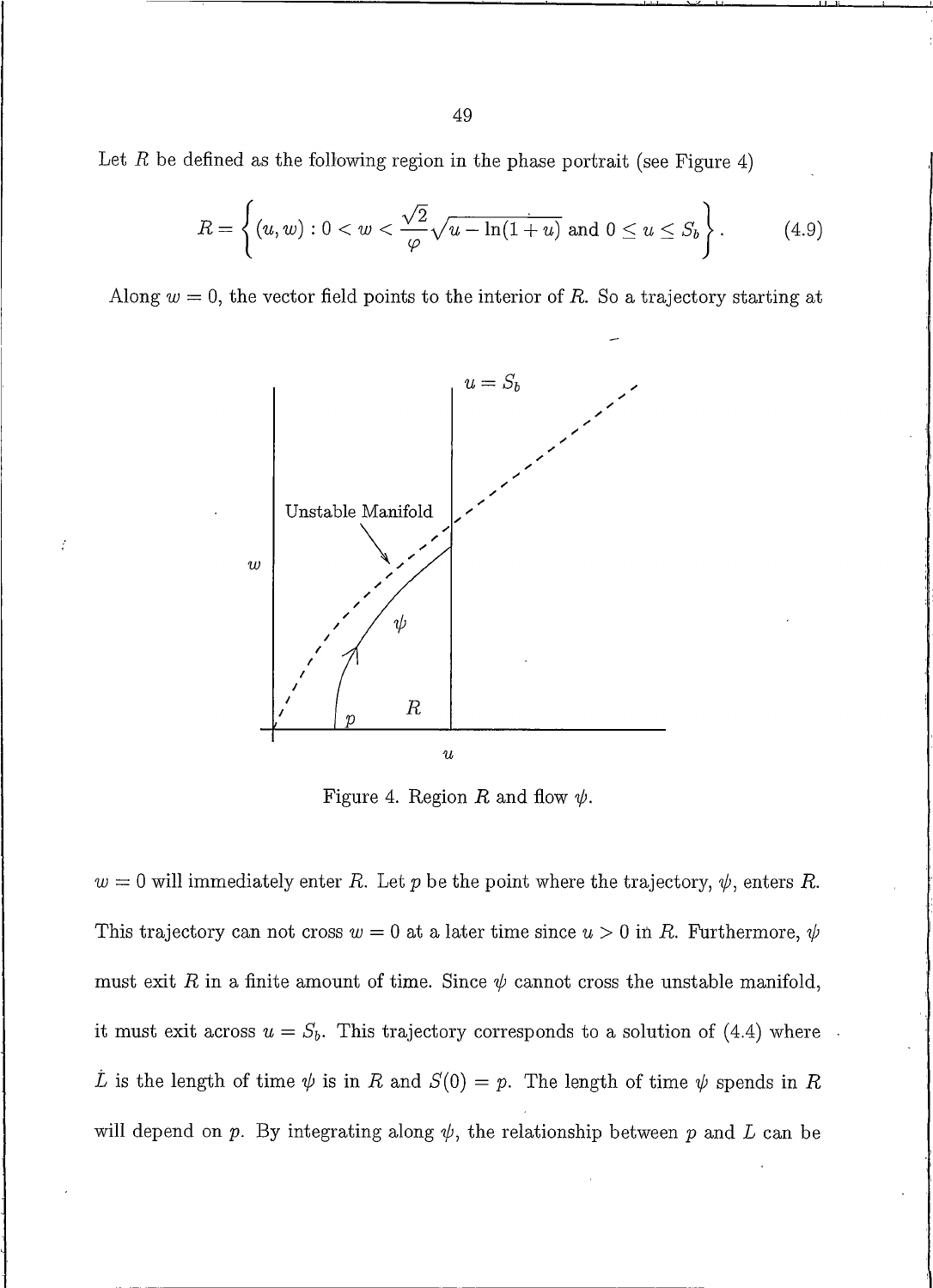Let R be defined as the following region in the phase portrait (see Figure 4)

$$
R = \left\{ (u, w) : 0 < w < \frac{\sqrt{2}}{\varphi} \sqrt{u - \ln(1 + u)} \text{ and } 0 \le u \le S_b \right\}.
$$
 (4.9)

Along  $w = 0$ , the vector field points to the interior of R. So a trajectory starting at



 $\frac{7}{1}$ 

Figure 4. Region R and flow  $\psi$ .

 $w = 0$  will immediately enter R. Let p be the point where the trajectory,  $\psi$ , enters R. This trajectory can not cross  $w = 0$  at a later time since  $u > 0$  in R. Furthermore,  $\psi$ must exit R in a finite amount of time. Since  $\psi$  cannot cross the unstable manifold, it must exit across  $u = S_b$ . This trajectory corresponds to a solution of (4.4) where L is the length of time  $\psi$  is in R and  $S(0) = p$ . The length of time  $\psi$  spends in R will depend on p. By integrating along  $\psi$ , the relationship between p and L can be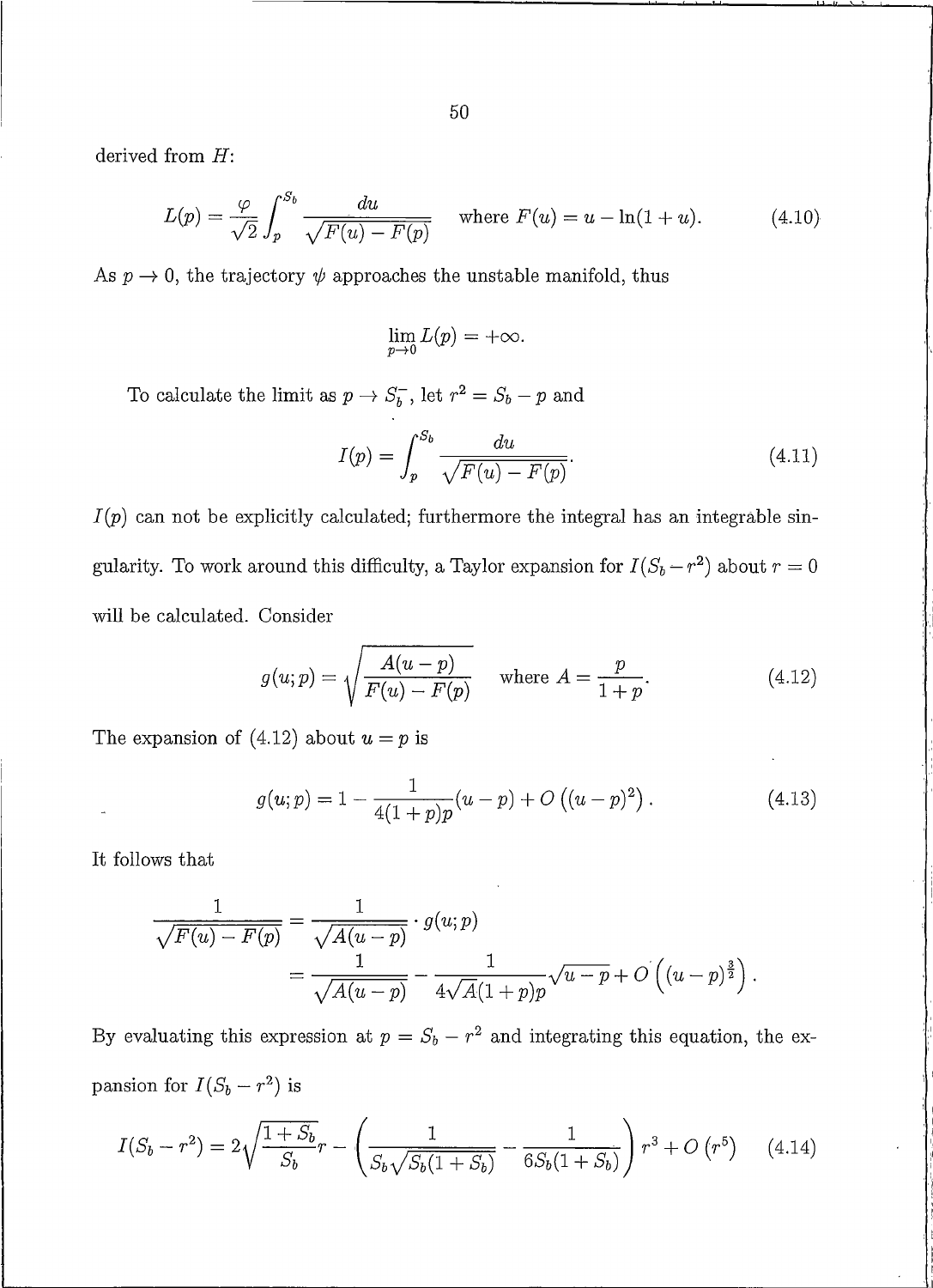derived from  $H$ :

$$
L(p) = \frac{\varphi}{\sqrt{2}} \int_{p}^{S_b} \frac{du}{\sqrt{F(u) - F(p)}} \quad \text{where } F(u) = u - \ln(1 + u). \tag{4.10}
$$

As  $p \to 0$ , the trajectory  $\psi$  approaches the unstable manifold, thus

$$
\lim_{p\to 0} L(p) = +\infty.
$$

To calculate the limit as  $p \to S_b^-$  , let  $r^2 = S_b - p$  and

$$
I(p) = \int_{p}^{S_b} \frac{du}{\sqrt{F(u) - F(p)}}.
$$
\n(4.11)

 $I(p)$  can not be explicitly calculated; furthermore the integral has an integrable singularity. To work around this difficulty, a Taylor expansion for  $I(S_b - r^2)$  about  $r = 0$ will be calculated. Consider

$$
g(u; p) = \sqrt{\frac{A(u-p)}{F(u) - F(p)}} \quad \text{where } A = \frac{p}{1+p}.
$$
 (4.12)

The expansion of (4.12) about  $u = p$  is

$$
g(u; p) = 1 - \frac{1}{4(1+p)p}(u-p) + O((u-p)^2).
$$
 (4.13)

It follows that

$$
\frac{1}{\sqrt{F(u) - F(p)}} = \frac{1}{\sqrt{A(u - p)}} \cdot g(u; p)
$$
  
= 
$$
\frac{1}{\sqrt{A(u - p)}} - \frac{1}{4\sqrt{A(1 + p)p}} \sqrt{u - p} + O((u - p)^{\frac{3}{2}}).
$$

By evaluating this expression at  $p = S_b - r^2$  and integrating this equation, the expansion for  $I(S_b - r^2)$  is

$$
I(S_b - r^2) = 2\sqrt{\frac{1 + S_b}{S_b}}r - \left(\frac{1}{S_b\sqrt{S_b(1 + S_b)}} - \frac{1}{6S_b(1 + S_b)}\right)r^3 + O(r^5) \tag{4.14}
$$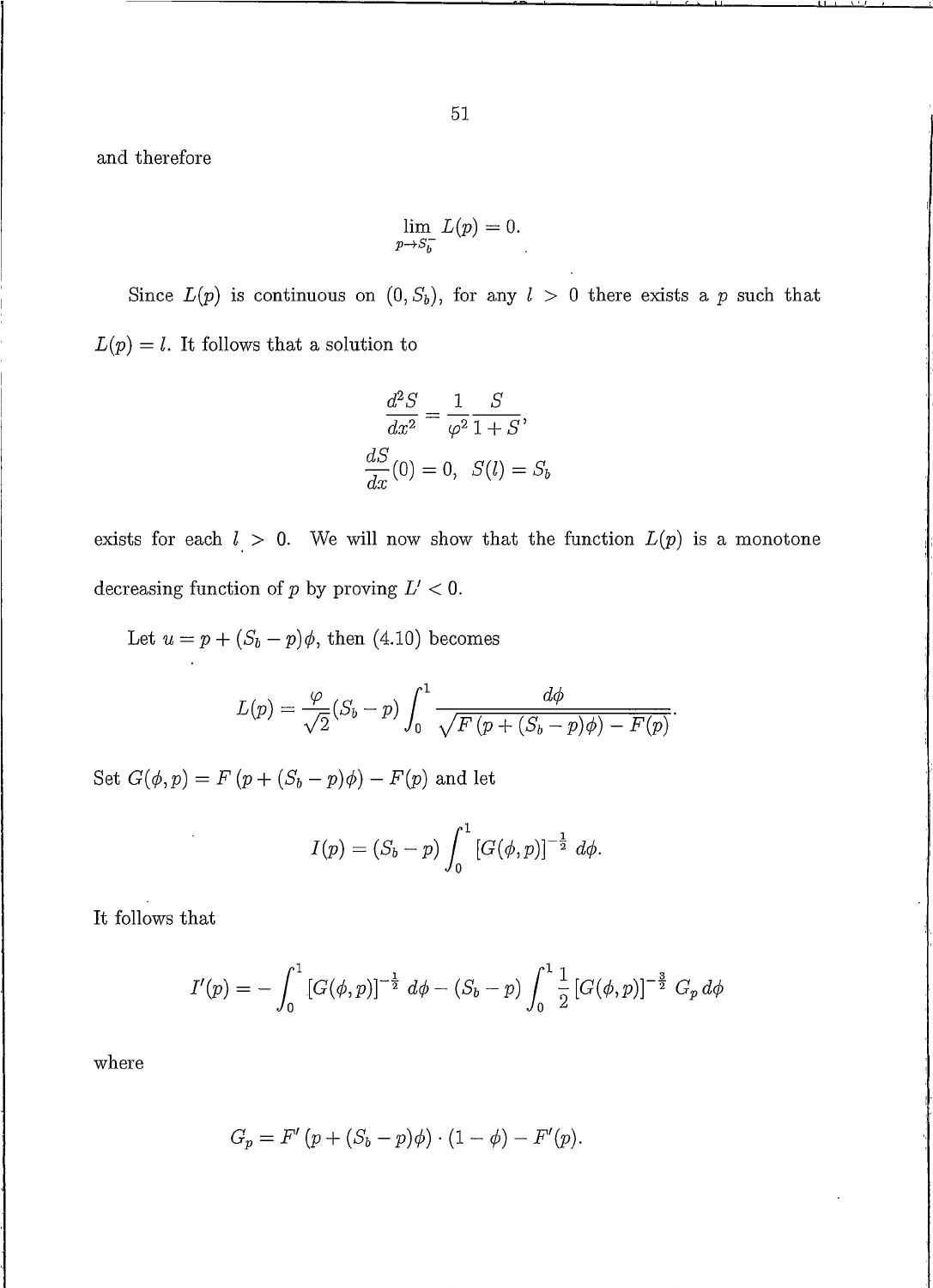and therefore

$$
\lim_{p \to S_b^-} L(p) = 0.
$$

Since  $L(p)$  is continuous on  $(0, S_b)$ , for any  $l > 0$  there exists a p such that  $L(p) = l$ . It follows that a solution to

$$
\frac{d^2S}{dx^2} = \frac{1}{\varphi^2} \frac{S}{1+S},
$$

$$
\frac{dS}{dx}(0) = 0, \quad S(l) = S_b
$$

exists for each  $l > 0$ . We will now show that the function  $L(p)$  is a monotone decreasing function of p by proving  $L' < 0$ .

Let  $u = p + (S_b - p)\phi$ , then (4.10) becomes

$$
L(p) = \frac{\varphi}{\sqrt{2}}(S_b - p) \int_0^1 \frac{d\phi}{\sqrt{F(p + (S_b - p)\phi) - F(p)}}.
$$

Set  $G(\phi, p) = F(p + (S_b - p)\phi) - F(p)$  and let

$$
I(p) = (S_b - p) \int_0^1 [G(\phi, p)]^{-\frac{1}{2}} d\phi.
$$

It follows that

$$
I'(p) = -\int_0^1 \left[ G(\phi, p) \right]^{-\frac{1}{2}} d\phi - (S_b - p) \int_0^1 \frac{1}{2} \left[ G(\phi, p) \right]^{-\frac{3}{2}} G_p d\phi
$$

where

$$
G_p = F'(p + (S_b - p)\phi) \cdot (1 - \phi) - F'(p).
$$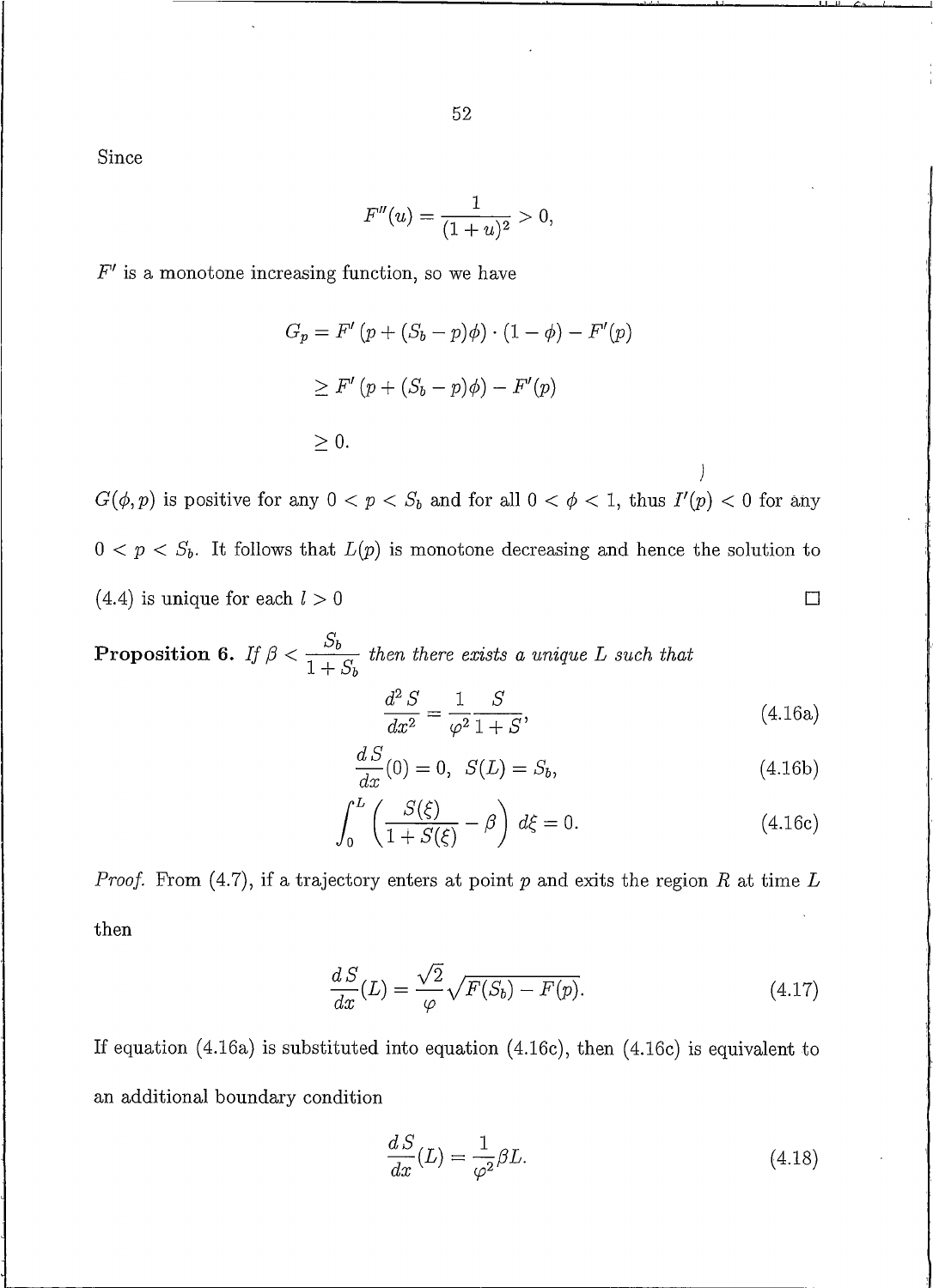52

Since

$$
F''(u) = \frac{1}{(1+u)^2} > 0,
$$

 $F'$  is a monotone increasing function, so we have

$$
G_p = F'(p + (S_b - p)\phi) \cdot (1 - \phi) - F'(p)
$$
  
\n
$$
\geq F'(p + (S_b - p)\phi) - F'(p)
$$
  
\n
$$
\geq 0.
$$

 $G(\phi, p)$  is positive for any  $0 < p < S_b$  and for all  $0 < \phi < 1$ , thus  $I'(p) < 0$  for any  $0 < p < S_b$ . It follows that  $L(p)$  is monotone decreasing and hence the solution to  $(4.4)$  is unique for each  $l > 0$  $\Box$ 

**Proposition 6.** If 
$$
\beta < \frac{S_b}{1+S_b}
$$
 then there exists a unique L such that  

$$
\frac{d^2 S}{dx^2} = \frac{1}{\varphi^2} \frac{S}{1+S}, \qquad (4.16a)
$$

$$
\frac{dS}{dx}(0) = 0, \ S(L) = S_b,
$$
\n(4.16b)

J

$$
\int_0^L \left( \frac{S(\xi)}{1 + S(\xi)} - \beta \right) d\xi = 0.
$$
\n(4.16c)

*Proof.* From (4.7), if a trajectory enters at point  $p$  and exits the region  $R$  at time  $L$ then

$$
\frac{dS}{dx}(L) = \frac{\sqrt{2}}{\varphi} \sqrt{F(S_b) - F(p)}.
$$
\n(4.17)

If equation  $(4.16a)$  is substituted into equation  $(4.16c)$ , then  $(4.16c)$  is equivalent to an additional boundary condition

$$
\frac{dS}{dx}(L) = \frac{1}{\varphi^2} \beta L. \tag{4.18}
$$